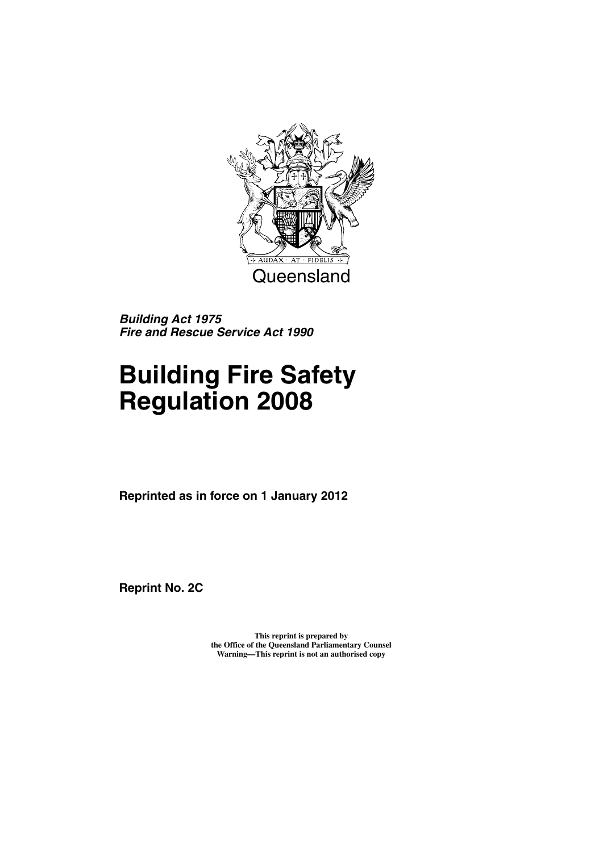

*Building Act 1975 Fire and Rescue Service Act 1990*

# **Building Fire Safety Regulation 2008**

**Reprinted as in force on 1 January 2012**

**Reprint No. 2C**

**This reprint is prepared by the Office of the Queensland Parliamentary Counsel Warning—This reprint is not an authorised copy**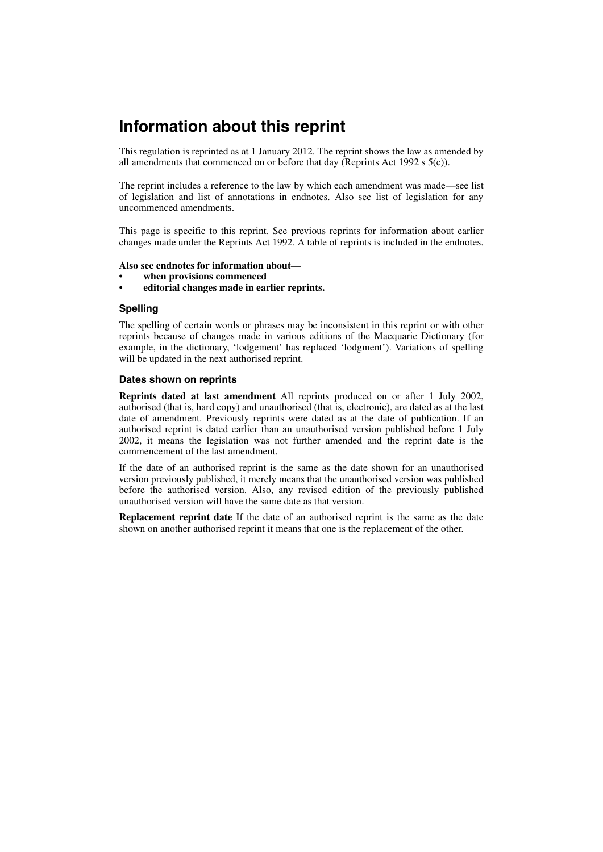## **Information about this reprint**

This regulation is reprinted as at 1 January 2012. The reprint shows the law as amended by all amendments that commenced on or before that day (Reprints Act 1992 s  $5(c)$ ).

The reprint includes a reference to the law by which each amendment was made—see list of legislation and list of annotations in endnotes. Also see list of legislation for any uncommenced amendments.

This page is specific to this reprint. See previous reprints for information about earlier changes made under the Reprints Act 1992. A table of reprints is included in the endnotes.

#### **Also see endnotes for information about—**

- **when provisions commenced**
- **editorial changes made in earlier reprints.**

#### **Spelling**

The spelling of certain words or phrases may be inconsistent in this reprint or with other reprints because of changes made in various editions of the Macquarie Dictionary (for example, in the dictionary, 'lodgement' has replaced 'lodgment'). Variations of spelling will be updated in the next authorised reprint.

#### **Dates shown on reprints**

**Reprints dated at last amendment** All reprints produced on or after 1 July 2002, authorised (that is, hard copy) and unauthorised (that is, electronic), are dated as at the last date of amendment. Previously reprints were dated as at the date of publication. If an authorised reprint is dated earlier than an unauthorised version published before 1 July 2002, it means the legislation was not further amended and the reprint date is the commencement of the last amendment.

If the date of an authorised reprint is the same as the date shown for an unauthorised version previously published, it merely means that the unauthorised version was published before the authorised version. Also, any revised edition of the previously published unauthorised version will have the same date as that version.

**Replacement reprint date** If the date of an authorised reprint is the same as the date shown on another authorised reprint it means that one is the replacement of the other.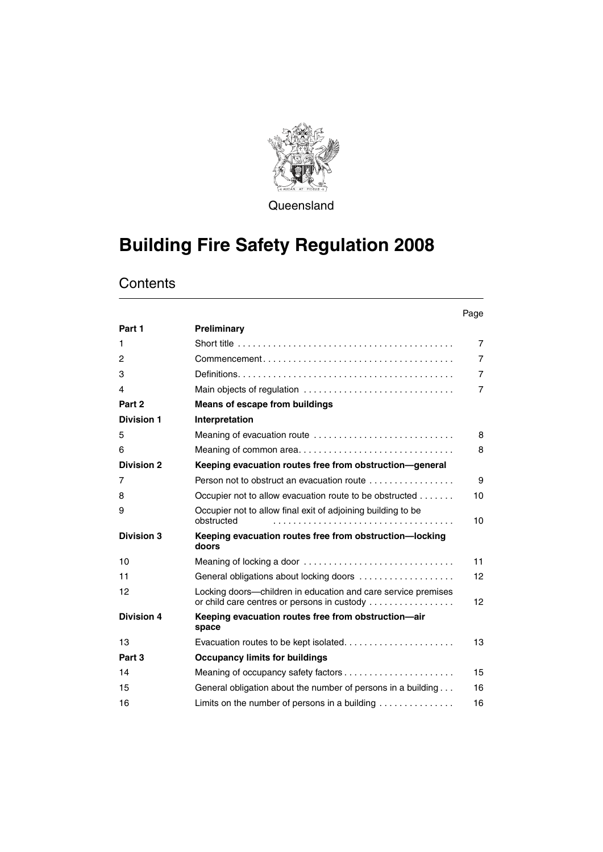

**Queensland** 

## **Building Fire Safety Regulation 2008**

|                   |                                                                                                              | Page            |
|-------------------|--------------------------------------------------------------------------------------------------------------|-----------------|
| Part 1            | Preliminary                                                                                                  |                 |
| 1                 |                                                                                                              | $\overline{7}$  |
| $\overline{c}$    | $Commonement \ldots \ldots \ldots \ldots \ldots \ldots \ldots \ldots \ldots \ldots \ldots$                   | $\overline{7}$  |
| 3                 |                                                                                                              | $\overline{7}$  |
| 4                 | Main objects of regulation                                                                                   | $\overline{7}$  |
| Part 2            | <b>Means of escape from buildings</b>                                                                        |                 |
| <b>Division 1</b> | Interpretation                                                                                               |                 |
| 5                 | Meaning of evacuation route                                                                                  | 8               |
| 6                 |                                                                                                              | 8               |
| <b>Division 2</b> | Keeping evacuation routes free from obstruction-general                                                      |                 |
| 7                 | Person not to obstruct an evacuation route                                                                   | 9               |
| 8                 | Occupier not to allow evacuation route to be obstructed                                                      | 10 <sup>1</sup> |
| 9                 | Occupier not to allow final exit of adjoining building to be<br>obstructed                                   | 10              |
| <b>Division 3</b> | Keeping evacuation routes free from obstruction-locking<br>doors                                             |                 |
| 10                |                                                                                                              | 11              |
| 11                | General obligations about locking doors                                                                      | 12              |
| 12                | Locking doors—children in education and care service premises<br>or child care centres or persons in custody | 12 <sup>2</sup> |
| <b>Division 4</b> | Keeping evacuation routes free from obstruction-air<br>space                                                 |                 |
| 13                | Evacuation routes to be kept isolated                                                                        | 13              |
| Part 3            | <b>Occupancy limits for buildings</b>                                                                        |                 |
| 14                |                                                                                                              | 15              |
| 15                | General obligation about the number of persons in a building                                                 | 16              |
| 16                | Limits on the number of persons in a building $\ldots \ldots \ldots \ldots$                                  | 16              |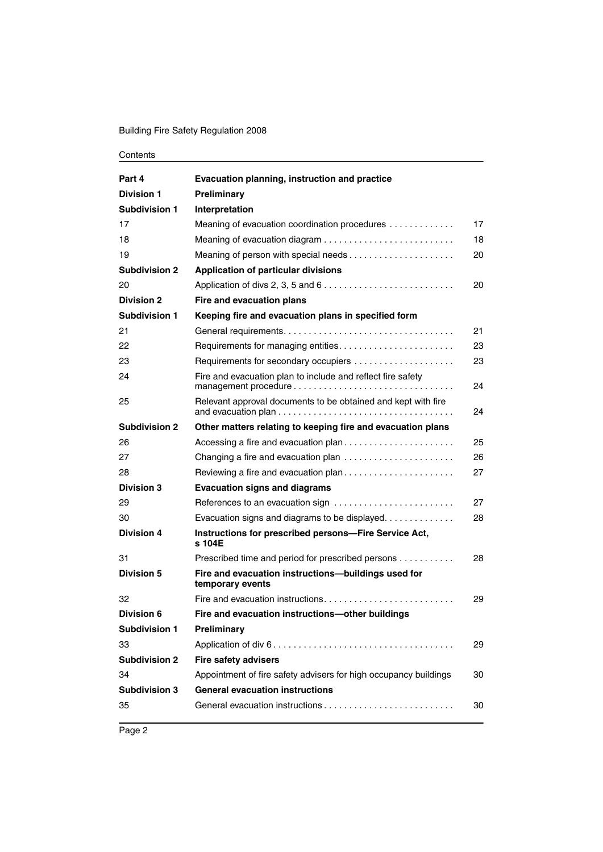#### Building Fire Safety Regulation 2008

| Part 4               | Evacuation planning, instruction and practice                                               |    |
|----------------------|---------------------------------------------------------------------------------------------|----|
| <b>Division 1</b>    | Preliminary                                                                                 |    |
| Subdivision 1        | Interpretation                                                                              |    |
| 17                   | Meaning of evacuation coordination procedures                                               | 17 |
| 18                   |                                                                                             | 18 |
| 19                   |                                                                                             | 20 |
| <b>Subdivision 2</b> | <b>Application of particular divisions</b>                                                  |    |
| 20                   | Application of divs 2, 3, 5 and $6 \ldots \ldots \ldots \ldots \ldots \ldots \ldots \ldots$ | 20 |
| <b>Division 2</b>    | Fire and evacuation plans                                                                   |    |
| Subdivision 1        | Keeping fire and evacuation plans in specified form                                         |    |
| 21                   |                                                                                             | 21 |
| 22                   | Requirements for managing entities                                                          | 23 |
| 23                   | Requirements for secondary occupiers                                                        | 23 |
| 24                   | Fire and evacuation plan to include and reflect fire safety<br>management procedure         | 24 |
| 25                   | Relevant approval documents to be obtained and kept with fire                               | 24 |
| <b>Subdivision 2</b> | Other matters relating to keeping fire and evacuation plans                                 |    |
| 26                   | Accessing a fire and evacuation plan                                                        | 25 |
| 27                   |                                                                                             | 26 |
| 28                   | Reviewing a fire and evacuation plan                                                        | 27 |
| <b>Division 3</b>    | <b>Evacuation signs and diagrams</b>                                                        |    |
| 29                   | References to an evacuation sign                                                            | 27 |
| 30                   | Evacuation signs and diagrams to be displayed                                               | 28 |
| <b>Division 4</b>    | Instructions for prescribed persons-Fire Service Act,<br>s 104E                             |    |
| 31                   | Prescribed time and period for prescribed persons                                           | 28 |
| <b>Division 5</b>    | Fire and evacuation instructions-buildings used for<br>temporary events                     |    |
| 32                   |                                                                                             | 29 |
| Division 6           | Fire and evacuation instructions-other buildings                                            |    |
| <b>Subdivision 1</b> | Preliminary                                                                                 |    |
| 33                   |                                                                                             | 29 |
| <b>Subdivision 2</b> | <b>Fire safety advisers</b>                                                                 |    |
| 34                   | Appointment of fire safety advisers for high occupancy buildings                            | 30 |
| <b>Subdivision 3</b> | <b>General evacuation instructions</b>                                                      |    |
| 35                   |                                                                                             | 30 |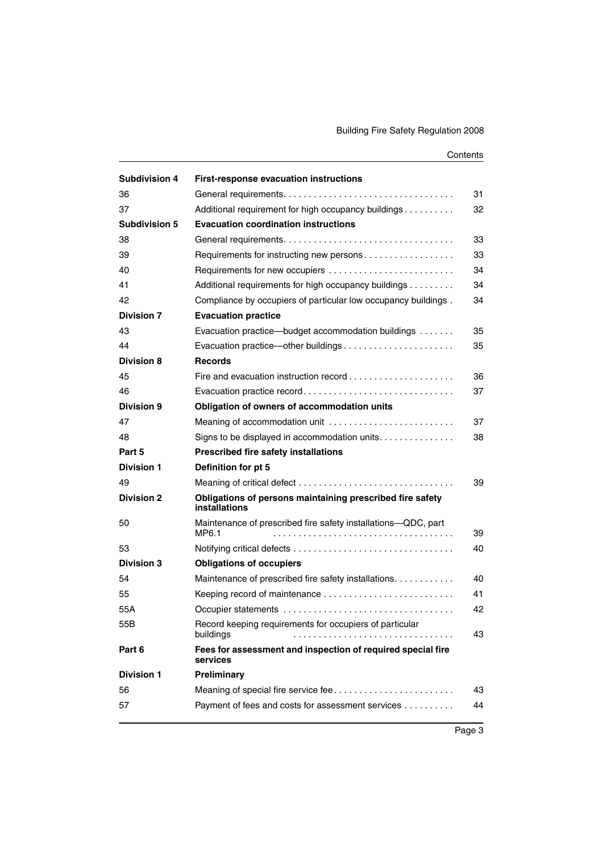| <b>Subdivision 4</b>    | <b>First-response evacuation instructions</b>                              |          |
|-------------------------|----------------------------------------------------------------------------|----------|
| 36                      |                                                                            | 31       |
| 37                      | Additional requirement for high occupancy buildings                        | 32       |
| <b>Subdivision 5</b>    | <b>Evacuation coordination instructions</b>                                |          |
| 38                      |                                                                            | 33       |
| 39                      | Requirements for instructing new persons                                   | 33       |
| 40                      |                                                                            | 34       |
| 41                      | Additional requirements for high occupancy buildings                       | 34       |
| 42                      | Compliance by occupiers of particular low occupancy buildings.             | 34       |
| <b>Division 7</b>       | <b>Evacuation practice</b>                                                 |          |
| 43                      | Evacuation practice—budget accommodation buildings                         | 35       |
| 44                      |                                                                            | 35       |
| <b>Division 8</b>       | <b>Records</b>                                                             |          |
| 45                      |                                                                            | 36       |
| 46                      | Evacuation practice record                                                 | 37       |
| Division 9              | Obligation of owners of accommodation units                                |          |
| 47                      | Meaning of accommodation unit                                              | 37       |
| 48                      | Signs to be displayed in accommodation units.                              | 38       |
|                         |                                                                            |          |
| Part 5                  | <b>Prescribed fire safety installations</b>                                |          |
| <b>Division 1</b>       | Definition for pt 5                                                        |          |
| 49                      |                                                                            | 39       |
| <b>Division 2</b>       | Obligations of persons maintaining prescribed fire safety<br>installations |          |
| 50                      | Maintenance of prescribed fire safety installations-QDC, part              |          |
|                         | MP6.1                                                                      | 39<br>40 |
| 53<br><b>Division 3</b> |                                                                            |          |
| 54                      | <b>Obligations of occupiers</b>                                            | 40       |
| 55                      | Maintenance of prescribed fire safety installations.                       | 41       |
| 55A                     | Keeping record of maintenance                                              | 42       |
| 55B                     | Record keeping requirements for occupiers of particular<br>buildings       | 43       |
| Part 6                  | Fees for assessment and inspection of required special fire<br>services    |          |
| <b>Division 1</b>       | Preliminary                                                                |          |
| 56                      | Meaning of special fire service fee                                        | 43       |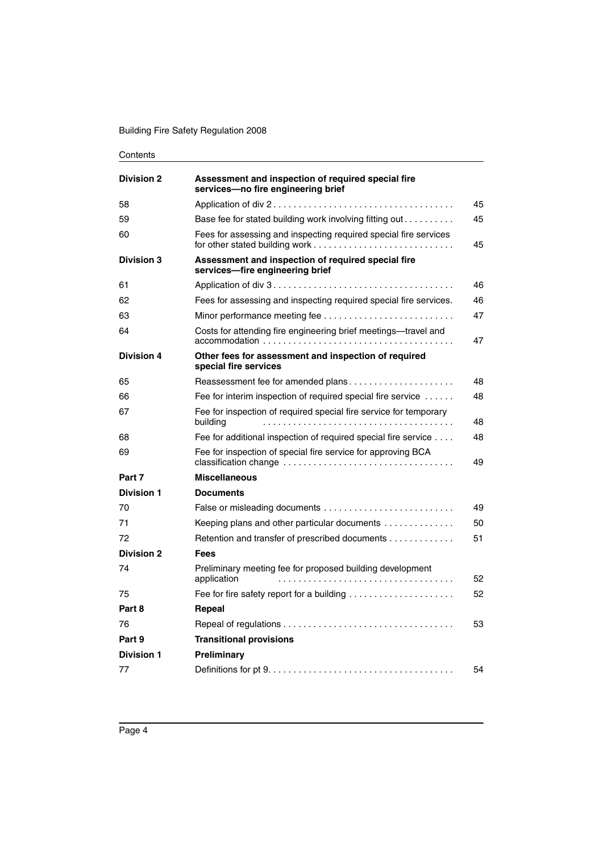| <b>Division 2</b> | Assessment and inspection of required special fire<br>services-no fire engineering brief |    |
|-------------------|------------------------------------------------------------------------------------------|----|
| 58                |                                                                                          | 45 |
| 59                | Base fee for stated building work involving fitting out                                  | 45 |
| 60                | Fees for assessing and inspecting required special fire services                         | 45 |
| <b>Division 3</b> | Assessment and inspection of required special fire<br>services-fire engineering brief    |    |
| 61                |                                                                                          | 46 |
| 62                | Fees for assessing and inspecting required special fire services.                        | 46 |
| 63                | Minor performance meeting fee                                                            | 47 |
| 64                | Costs for attending fire engineering brief meetings-travel and                           | 47 |
| <b>Division 4</b> | Other fees for assessment and inspection of required<br>special fire services            |    |
| 65                | Reassessment fee for amended plans                                                       | 48 |
| 66                | Fee for interim inspection of required special fire service                              | 48 |
| 67                | Fee for inspection of required special fire service for temporary<br>building            | 48 |
| 68                | Fee for additional inspection of required special fire service                           | 48 |
| 69                | Fee for inspection of special fire service for approving BCA                             | 49 |
| Part 7            | <b>Miscellaneous</b>                                                                     |    |
| <b>Division 1</b> | <b>Documents</b>                                                                         |    |
| 70                |                                                                                          | 49 |
| 71                | Keeping plans and other particular documents                                             | 50 |
| 72                | Retention and transfer of prescribed documents                                           | 51 |
| <b>Division 2</b> | <b>Fees</b>                                                                              |    |
| 74                | Preliminary meeting fee for proposed building development<br>application                 | 52 |
| 75                | Fee for fire safety report for a building $\ldots \ldots \ldots \ldots \ldots \ldots$    | 52 |
| Part 8            | Repeal                                                                                   |    |
| 76                |                                                                                          | 53 |
| Part 9            | <b>Transitional provisions</b>                                                           |    |
| <b>Division 1</b> | Preliminary                                                                              |    |
| 77                |                                                                                          | 54 |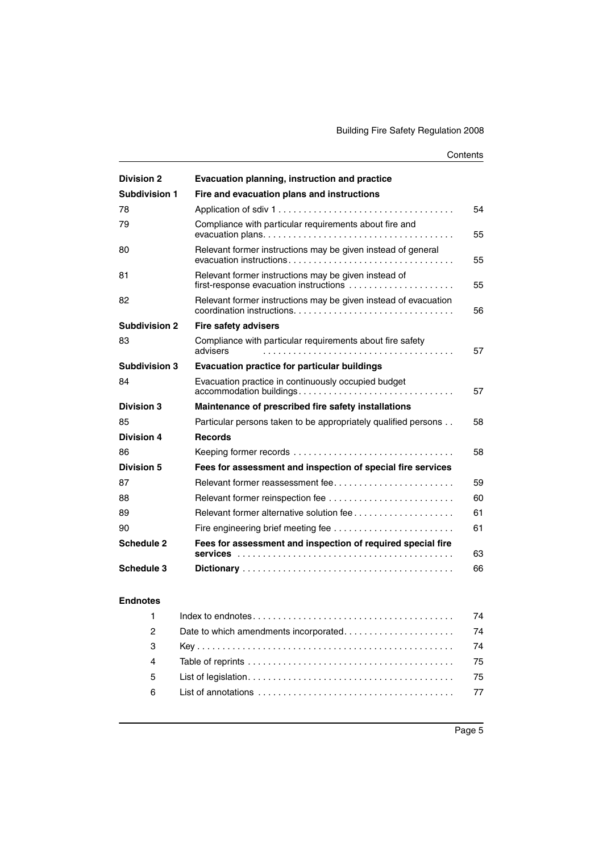| <b>Division 2</b>    | Evacuation planning, instruction and practice                                                  |    |
|----------------------|------------------------------------------------------------------------------------------------|----|
| <b>Subdivision 1</b> | Fire and evacuation plans and instructions                                                     |    |
| 78                   |                                                                                                | 54 |
| 79                   | Compliance with particular requirements about fire and                                         | 55 |
| 80                   | Relevant former instructions may be given instead of general                                   | 55 |
| 81                   | Relevant former instructions may be given instead of<br>first-response evacuation instructions | 55 |
| 82                   | Relevant former instructions may be given instead of evacuation                                | 56 |
| <b>Subdivision 2</b> | <b>Fire safety advisers</b>                                                                    |    |
| 83                   | Compliance with particular requirements about fire safety<br>advisers                          | 57 |
| <b>Subdivision 3</b> | <b>Evacuation practice for particular buildings</b>                                            |    |
| 84                   | Evacuation practice in continuously occupied budget<br>accommodation buildings                 | 57 |
| <b>Division 3</b>    | Maintenance of prescribed fire safety installations                                            |    |
| 85                   | Particular persons taken to be appropriately qualified persons                                 | 58 |
| <b>Division 4</b>    | <b>Records</b>                                                                                 |    |
| 86                   |                                                                                                | 58 |
| <b>Division 5</b>    | Fees for assessment and inspection of special fire services                                    |    |
| 87                   | Relevant former reassessment fee                                                               | 59 |
| 88                   |                                                                                                | 60 |
| 89                   | Relevant former alternative solution fee                                                       | 61 |
| 90                   |                                                                                                | 61 |
| <b>Schedule 2</b>    | Fees for assessment and inspection of required special fire                                    | 63 |
| Schedule 3           |                                                                                                | 66 |
| <b>Endnotes</b>      |                                                                                                |    |

| $1 -$          | 74  |
|----------------|-----|
| $\overline{2}$ |     |
| $\mathbf{3}$   |     |
| $\overline{4}$ | -75 |
| 5 <sup>5</sup> |     |
| 6              |     |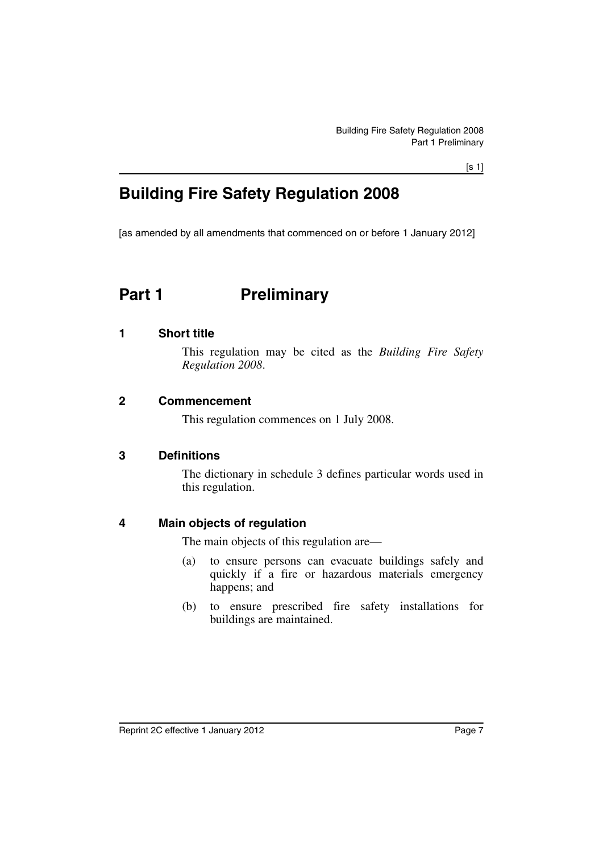[s 1]

## **Building Fire Safety Regulation 2008**

[as amended by all amendments that commenced on or before 1 January 2012]

## <span id="page-8-0"></span>**Part 1** Preliminary

#### <span id="page-8-1"></span>**1 Short title**

This regulation may be cited as the *Building Fire Safety Regulation 2008*.

#### <span id="page-8-2"></span>**2 Commencement**

This regulation commences on 1 July 2008.

#### <span id="page-8-3"></span>**3 Definitions**

The dictionary in schedule 3 defines particular words used in this regulation.

#### <span id="page-8-4"></span>**4 Main objects of regulation**

The main objects of this regulation are—

- (a) to ensure persons can evacuate buildings safely and quickly if a fire or hazardous materials emergency happens; and
- (b) to ensure prescribed fire safety installations for buildings are maintained.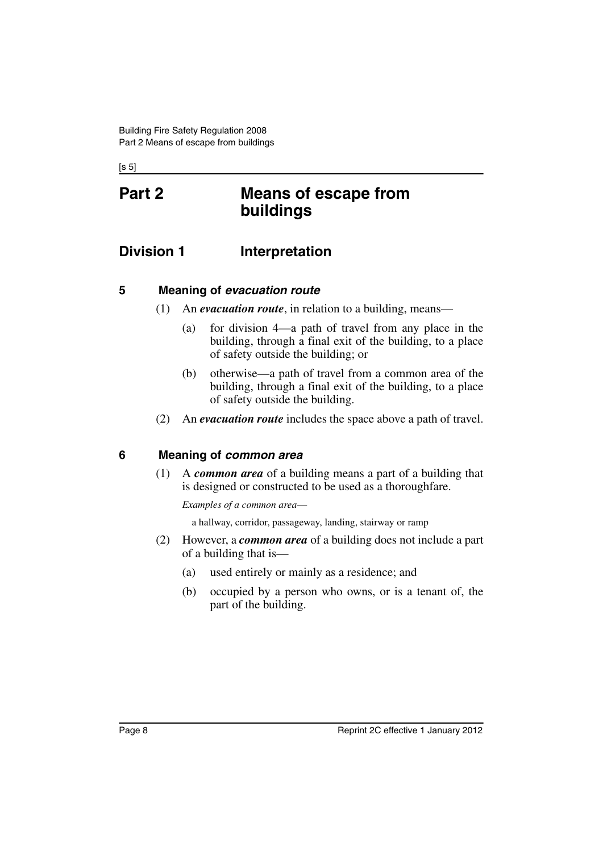$[s 5]$ 

## <span id="page-9-0"></span>**Part 2 Means of escape from buildings**

## <span id="page-9-1"></span>**Division 1** Interpretation

#### <span id="page-9-2"></span>**5 Meaning of** *evacuation route*

- (1) An *evacuation route*, in relation to a building, means—
	- (a) for division 4—a path of travel from any place in the building, through a final exit of the building, to a place of safety outside the building; or
	- (b) otherwise—a path of travel from a common area of the building, through a final exit of the building, to a place of safety outside the building.
- (2) An *evacuation route* includes the space above a path of travel.

#### <span id="page-9-3"></span>**6 Meaning of** *common area*

(1) A *common area* of a building means a part of a building that is designed or constructed to be used as a thoroughfare.

*Examples of a common area*—

a hallway, corridor, passageway, landing, stairway or ramp

- (2) However, a *common area* of a building does not include a part of a building that is—
	- (a) used entirely or mainly as a residence; and
	- (b) occupied by a person who owns, or is a tenant of, the part of the building.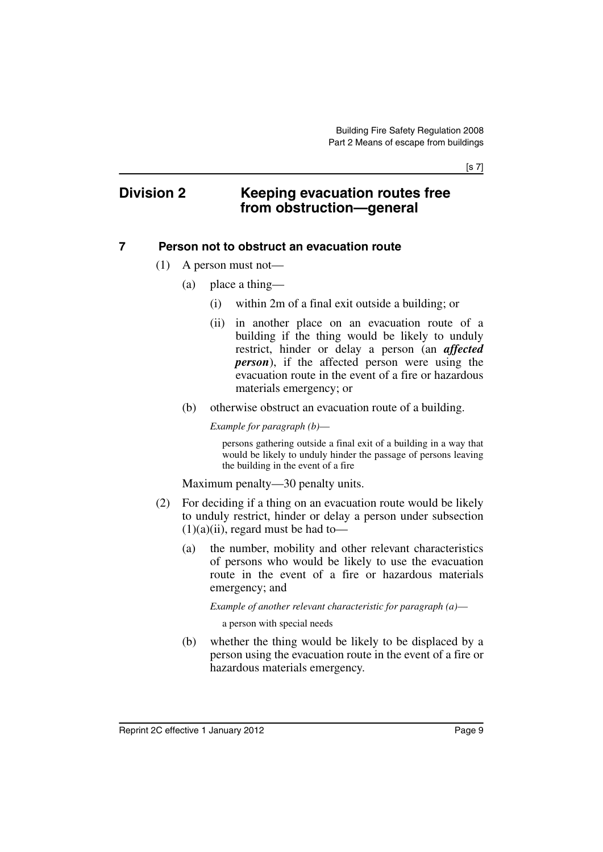[s 7]

### <span id="page-10-0"></span>**Division 2 Keeping evacuation routes free from obstruction—general**

#### <span id="page-10-1"></span>**7 Person not to obstruct an evacuation route**

- (1) A person must not—
	- (a) place a thing—
		- (i) within 2m of a final exit outside a building; or
		- (ii) in another place on an evacuation route of a building if the thing would be likely to unduly restrict, hinder or delay a person (an *affected person*), if the affected person were using the evacuation route in the event of a fire or hazardous materials emergency; or
	- (b) otherwise obstruct an evacuation route of a building.

*Example for paragraph (b)*—

persons gathering outside a final exit of a building in a way that would be likely to unduly hinder the passage of persons leaving the building in the event of a fire

Maximum penalty—30 penalty units.

- (2) For deciding if a thing on an evacuation route would be likely to unduly restrict, hinder or delay a person under subsection  $(1)(a)(ii)$ , regard must be had to-
	- (a) the number, mobility and other relevant characteristics of persons who would be likely to use the evacuation route in the event of a fire or hazardous materials emergency; and

*Example of another relevant characteristic for paragraph (a)*—

a person with special needs

(b) whether the thing would be likely to be displaced by a person using the evacuation route in the event of a fire or hazardous materials emergency.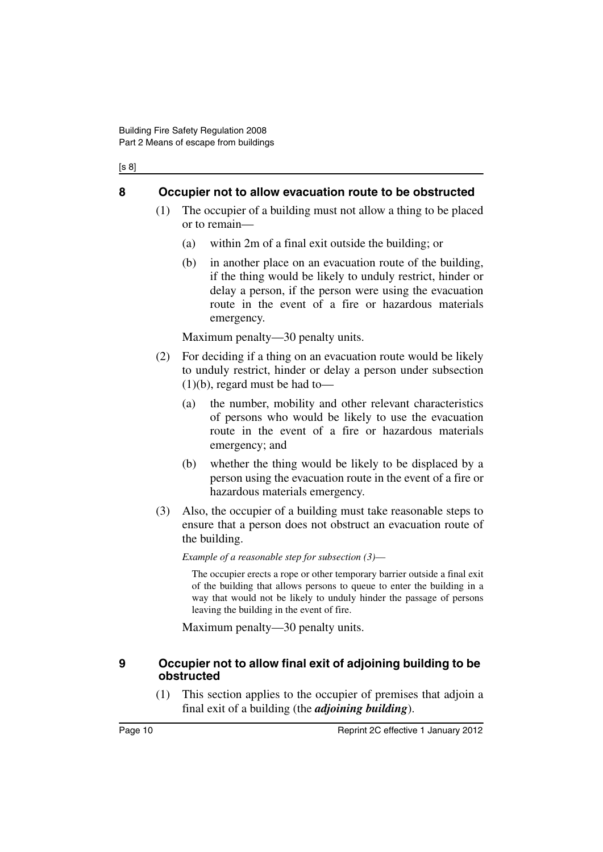#### [s 8]

#### <span id="page-11-0"></span>**8 Occupier not to allow evacuation route to be obstructed**

- (1) The occupier of a building must not allow a thing to be placed or to remain—
	- (a) within 2m of a final exit outside the building; or
	- (b) in another place on an evacuation route of the building, if the thing would be likely to unduly restrict, hinder or delay a person, if the person were using the evacuation route in the event of a fire or hazardous materials emergency.

Maximum penalty—30 penalty units.

- (2) For deciding if a thing on an evacuation route would be likely to unduly restrict, hinder or delay a person under subsection  $(1)(b)$ , regard must be had to-
	- (a) the number, mobility and other relevant characteristics of persons who would be likely to use the evacuation route in the event of a fire or hazardous materials emergency; and
	- (b) whether the thing would be likely to be displaced by a person using the evacuation route in the event of a fire or hazardous materials emergency.
- (3) Also, the occupier of a building must take reasonable steps to ensure that a person does not obstruct an evacuation route of the building.

*Example of a reasonable step for subsection (3)*—

The occupier erects a rope or other temporary barrier outside a final exit of the building that allows persons to queue to enter the building in a way that would not be likely to unduly hinder the passage of persons leaving the building in the event of fire.

Maximum penalty—30 penalty units.

#### <span id="page-11-1"></span>**9 Occupier not to allow final exit of adjoining building to be obstructed**

(1) This section applies to the occupier of premises that adjoin a final exit of a building (the *adjoining building*).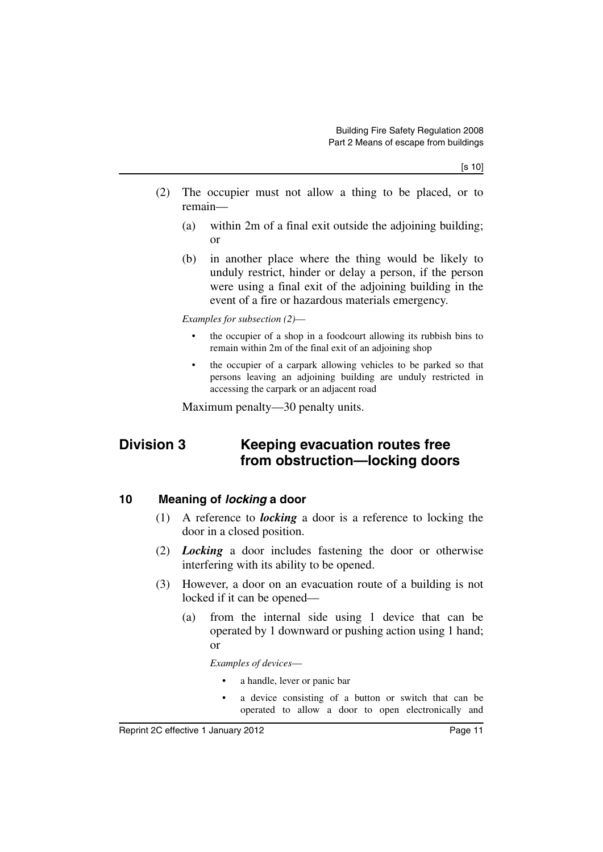- (2) The occupier must not allow a thing to be placed, or to remain—
	- (a) within 2m of a final exit outside the adjoining building; or
	- (b) in another place where the thing would be likely to unduly restrict, hinder or delay a person, if the person were using a final exit of the adjoining building in the event of a fire or hazardous materials emergency.

*Examples for subsection (2)*—

- the occupier of a shop in a foodcourt allowing its rubbish bins to remain within 2m of the final exit of an adjoining shop
- the occupier of a carpark allowing vehicles to be parked so that persons leaving an adjoining building are unduly restricted in accessing the carpark or an adjacent road

Maximum penalty—30 penalty units.

## <span id="page-12-0"></span>**Division 3 Keeping evacuation routes free from obstruction—locking doors**

### <span id="page-12-1"></span>**10 Meaning of** *locking* **a door**

- (1) A reference to *locking* a door is a reference to locking the door in a closed position.
- (2) *Locking* a door includes fastening the door or otherwise interfering with its ability to be opened.
- (3) However, a door on an evacuation route of a building is not locked if it can be opened—
	- (a) from the internal side using 1 device that can be operated by 1 downward or pushing action using 1 hand; or

*Examples of devices*—

- a handle, lever or panic bar
- a device consisting of a button or switch that can be operated to allow a door to open electronically and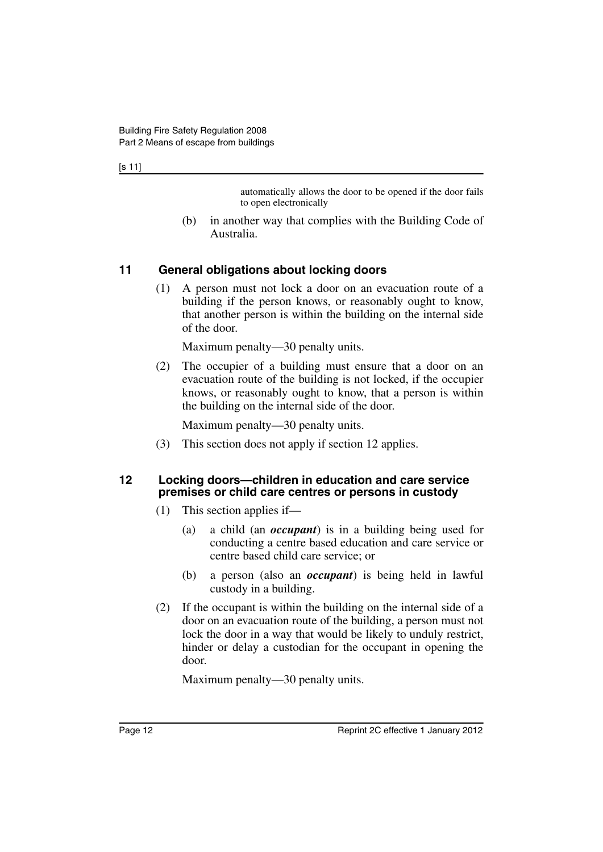automatically allows the door to be opened if the door fails to open electronically

(b) in another way that complies with the Building Code of Australia.

#### <span id="page-13-0"></span>**11 General obligations about locking doors**

(1) A person must not lock a door on an evacuation route of a building if the person knows, or reasonably ought to know, that another person is within the building on the internal side of the door.

Maximum penalty—30 penalty units.

(2) The occupier of a building must ensure that a door on an evacuation route of the building is not locked, if the occupier knows, or reasonably ought to know, that a person is within the building on the internal side of the door.

Maximum penalty—30 penalty units.

(3) This section does not apply if section 12 applies.

#### <span id="page-13-1"></span>**12 Locking doors—children in education and care service premises or child care centres or persons in custody**

- (1) This section applies if—
	- (a) a child (an *occupant*) is in a building being used for conducting a centre based education and care service or centre based child care service; or
	- (b) a person (also an *occupant*) is being held in lawful custody in a building.
- (2) If the occupant is within the building on the internal side of a door on an evacuation route of the building, a person must not lock the door in a way that would be likely to unduly restrict, hinder or delay a custodian for the occupant in opening the door.

Maximum penalty—30 penalty units.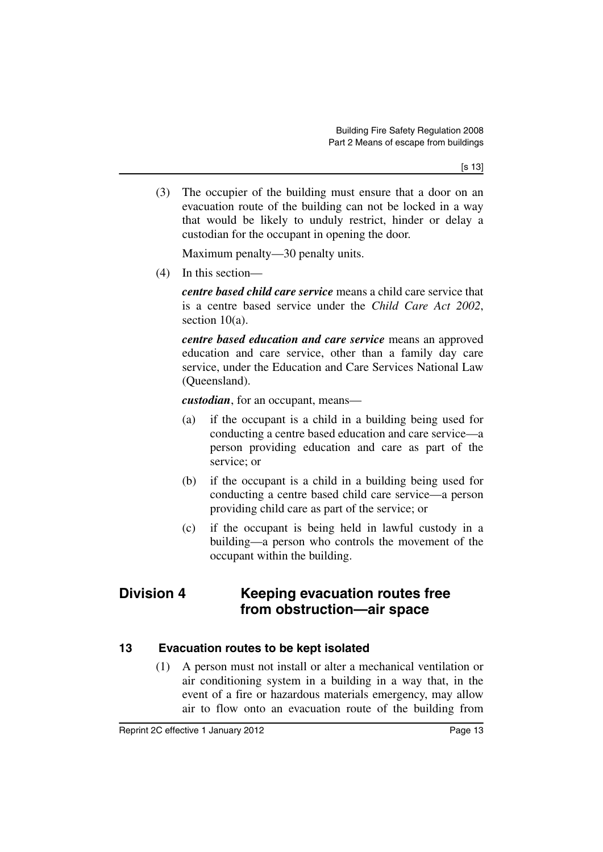(3) The occupier of the building must ensure that a door on an evacuation route of the building can not be locked in a way that would be likely to unduly restrict, hinder or delay a custodian for the occupant in opening the door.

Maximum penalty—30 penalty units.

(4) In this section—

*centre based child care service* means a child care service that is a centre based service under the *Child Care Act 2002*, section 10(a).

*centre based education and care service* means an approved education and care service, other than a family day care service, under the Education and Care Services National Law (Queensland).

*custodian*, for an occupant, means—

- (a) if the occupant is a child in a building being used for conducting a centre based education and care service—a person providing education and care as part of the service; or
- (b) if the occupant is a child in a building being used for conducting a centre based child care service—a person providing child care as part of the service; or
- (c) if the occupant is being held in lawful custody in a building—a person who controls the movement of the occupant within the building.

## <span id="page-14-0"></span>**Division 4 Keeping evacuation routes free from obstruction—air space**

### <span id="page-14-1"></span>**13 Evacuation routes to be kept isolated**

(1) A person must not install or alter a mechanical ventilation or air conditioning system in a building in a way that, in the event of a fire or hazardous materials emergency, may allow air to flow onto an evacuation route of the building from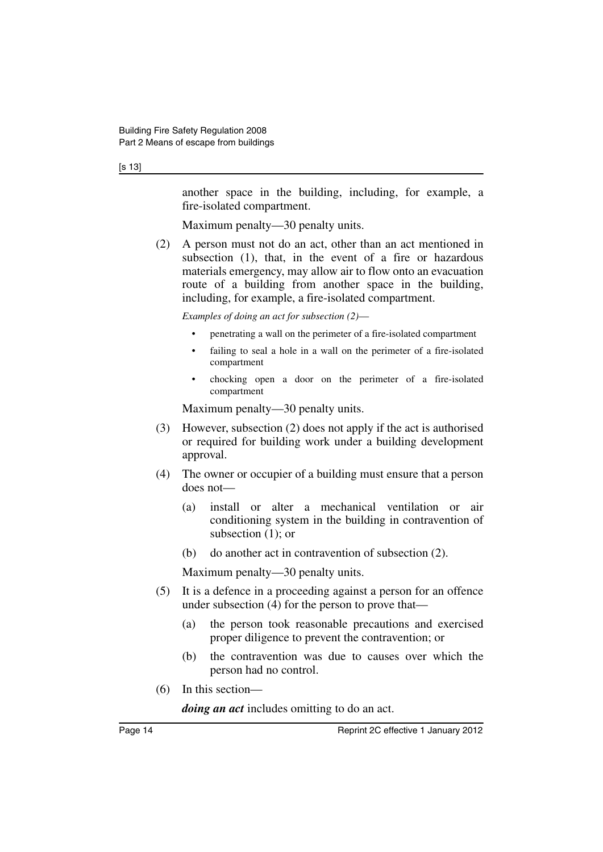#### [s 13]

another space in the building, including, for example, a fire-isolated compartment.

Maximum penalty—30 penalty units.

(2) A person must not do an act, other than an act mentioned in subsection (1), that, in the event of a fire or hazardous materials emergency, may allow air to flow onto an evacuation route of a building from another space in the building, including, for example, a fire-isolated compartment.

*Examples of doing an act for subsection (2)*—

- penetrating a wall on the perimeter of a fire-isolated compartment
- failing to seal a hole in a wall on the perimeter of a fire-isolated compartment
- chocking open a door on the perimeter of a fire-isolated compartment

Maximum penalty—30 penalty units.

- (3) However, subsection (2) does not apply if the act is authorised or required for building work under a building development approval.
- (4) The owner or occupier of a building must ensure that a person does not—
	- (a) install or alter a mechanical ventilation or air conditioning system in the building in contravention of subsection (1); or
	- (b) do another act in contravention of subsection (2).

Maximum penalty—30 penalty units.

- (5) It is a defence in a proceeding against a person for an offence under subsection (4) for the person to prove that—
	- (a) the person took reasonable precautions and exercised proper diligence to prevent the contravention; or
	- (b) the contravention was due to causes over which the person had no control.
- (6) In this section—

*doing an act* includes omitting to do an act.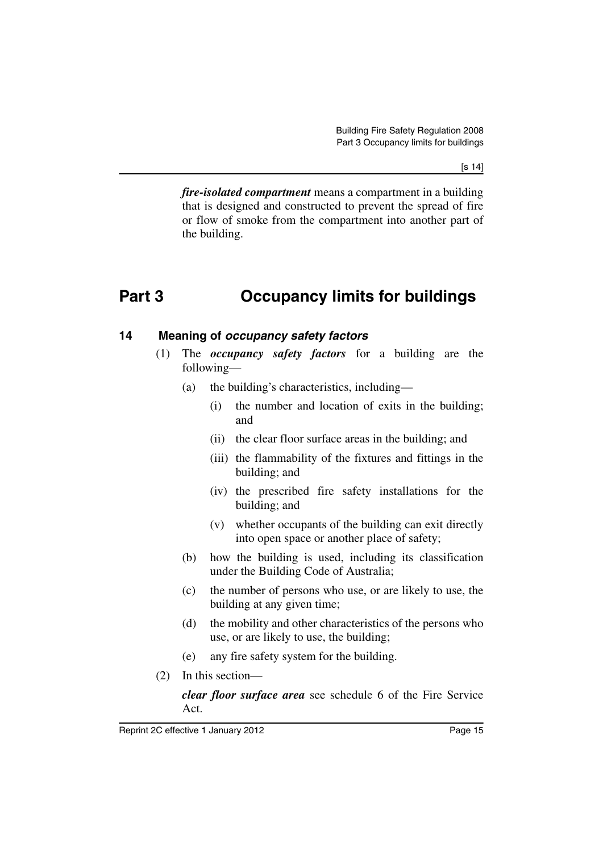[s 14]

*fire-isolated compartment* means a compartment in a building that is designed and constructed to prevent the spread of fire or flow of smoke from the compartment into another part of the building.

## <span id="page-16-0"></span>**Part 3 Occupancy limits for buildings**

#### <span id="page-16-1"></span>**14 Meaning of** *occupancy safety factors*

- (1) The *occupancy safety factors* for a building are the following—
	- (a) the building's characteristics, including—
		- (i) the number and location of exits in the building; and
		- (ii) the clear floor surface areas in the building; and
		- (iii) the flammability of the fixtures and fittings in the building; and
		- (iv) the prescribed fire safety installations for the building; and
		- (v) whether occupants of the building can exit directly into open space or another place of safety;
	- (b) how the building is used, including its classification under the Building Code of Australia;
	- (c) the number of persons who use, or are likely to use, the building at any given time;
	- (d) the mobility and other characteristics of the persons who use, or are likely to use, the building;
	- (e) any fire safety system for the building.
- (2) In this section—

*clear floor surface area* see schedule 6 of the Fire Service Act.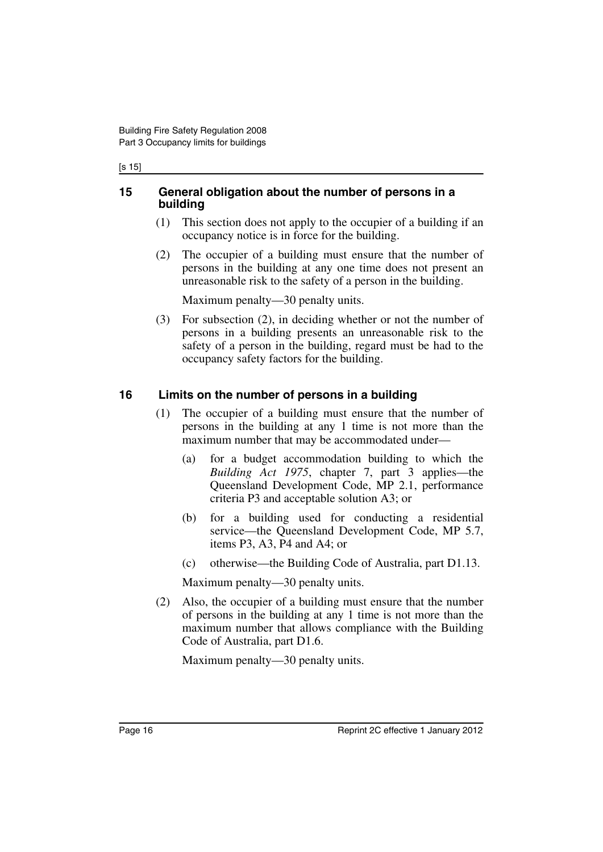#### [s 15]

#### <span id="page-17-0"></span>**15 General obligation about the number of persons in a building**

- (1) This section does not apply to the occupier of a building if an occupancy notice is in force for the building.
- (2) The occupier of a building must ensure that the number of persons in the building at any one time does not present an unreasonable risk to the safety of a person in the building.

Maximum penalty—30 penalty units.

(3) For subsection (2), in deciding whether or not the number of persons in a building presents an unreasonable risk to the safety of a person in the building, regard must be had to the occupancy safety factors for the building.

#### <span id="page-17-1"></span>**16 Limits on the number of persons in a building**

- (1) The occupier of a building must ensure that the number of persons in the building at any 1 time is not more than the maximum number that may be accommodated under—
	- (a) for a budget accommodation building to which the *Building Act 1975*, chapter 7, part 3 applies—the Queensland Development Code, MP 2.1, performance criteria P3 and acceptable solution A3; or
	- (b) for a building used for conducting a residential service—the Queensland Development Code, MP 5.7, items P3, A3, P4 and A4; or
	- (c) otherwise—the Building Code of Australia, part D1.13.

Maximum penalty—30 penalty units.

(2) Also, the occupier of a building must ensure that the number of persons in the building at any 1 time is not more than the maximum number that allows compliance with the Building Code of Australia, part D1.6.

Maximum penalty—30 penalty units.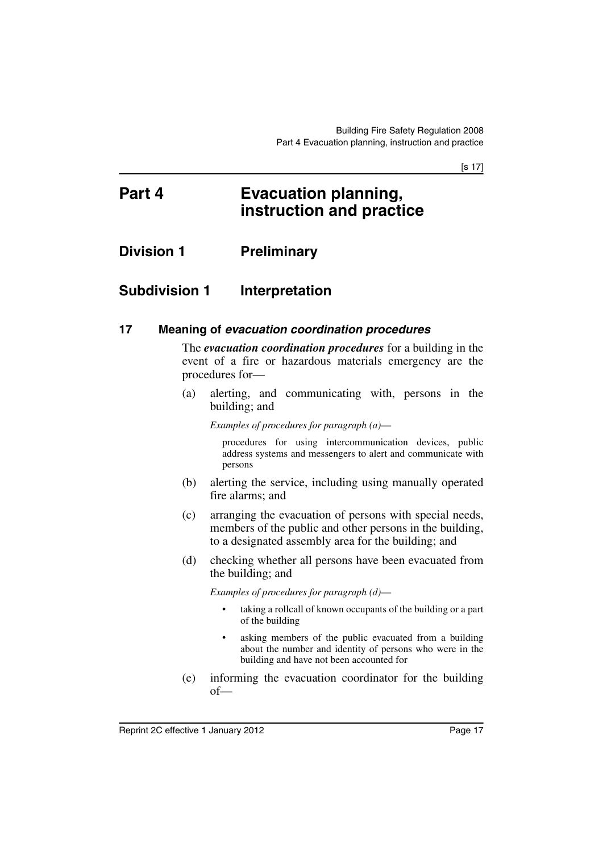[s 17]

## <span id="page-18-0"></span>**Part 4 Evacuation planning, instruction and practice**

<span id="page-18-1"></span>**Division 1 Preliminary**

## <span id="page-18-2"></span>**Subdivision 1 Interpretation**

#### <span id="page-18-3"></span>**17 Meaning of** *evacuation coordination procedures*

The *evacuation coordination procedures* for a building in the event of a fire or hazardous materials emergency are the procedures for—

(a) alerting, and communicating with, persons in the building; and

*Examples of procedures for paragraph (a)*—

procedures for using intercommunication devices, public address systems and messengers to alert and communicate with persons

- (b) alerting the service, including using manually operated fire alarms; and
- (c) arranging the evacuation of persons with special needs, members of the public and other persons in the building, to a designated assembly area for the building; and
- (d) checking whether all persons have been evacuated from the building; and

*Examples of procedures for paragraph (d)*—

- taking a rollcall of known occupants of the building or a part of the building
- asking members of the public evacuated from a building about the number and identity of persons who were in the building and have not been accounted for
- (e) informing the evacuation coordinator for the building of—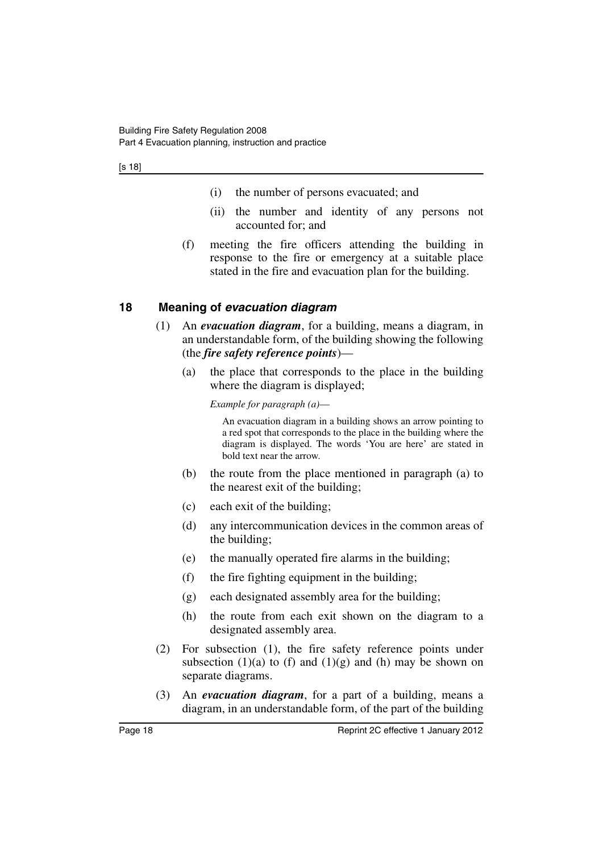[s 18]

- (i) the number of persons evacuated; and
- (ii) the number and identity of any persons not accounted for; and
- (f) meeting the fire officers attending the building in response to the fire or emergency at a suitable place stated in the fire and evacuation plan for the building.

#### <span id="page-19-0"></span>**18 Meaning of** *evacuation diagram*

- (1) An *evacuation diagram*, for a building, means a diagram, in an understandable form, of the building showing the following (the *fire safety reference points*)—
	- (a) the place that corresponds to the place in the building where the diagram is displayed;

*Example for paragraph (a)*—

An evacuation diagram in a building shows an arrow pointing to a red spot that corresponds to the place in the building where the diagram is displayed. The words 'You are here' are stated in bold text near the arrow.

- (b) the route from the place mentioned in paragraph (a) to the nearest exit of the building;
- (c) each exit of the building;
- (d) any intercommunication devices in the common areas of the building;
- (e) the manually operated fire alarms in the building;
- (f) the fire fighting equipment in the building;
- (g) each designated assembly area for the building;
- (h) the route from each exit shown on the diagram to a designated assembly area.
- (2) For subsection (1), the fire safety reference points under subsection  $(1)(a)$  to  $(f)$  and  $(1)(g)$  and  $(h)$  may be shown on separate diagrams.
- (3) An *evacuation diagram*, for a part of a building, means a diagram, in an understandable form, of the part of the building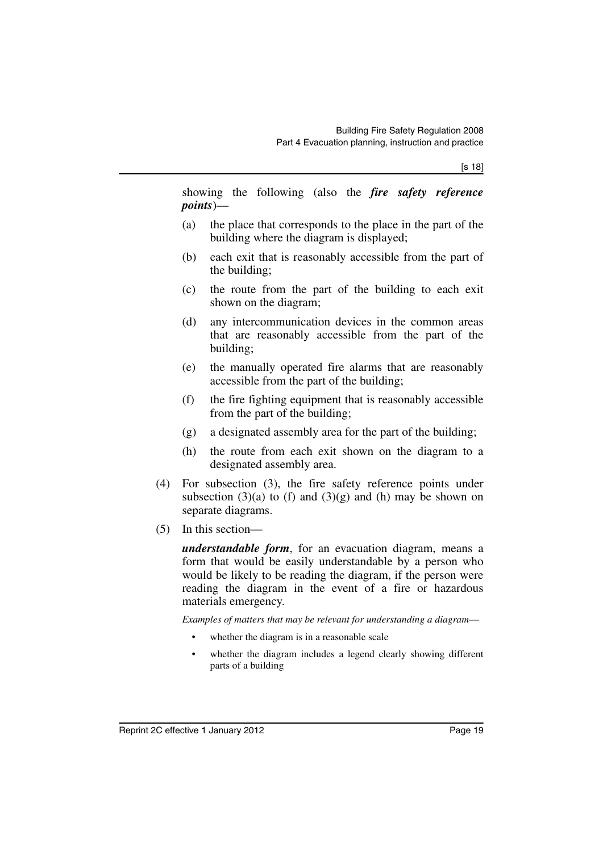showing the following (also the *fire safety reference points*)—

- (a) the place that corresponds to the place in the part of the building where the diagram is displayed;
- (b) each exit that is reasonably accessible from the part of the building;
- (c) the route from the part of the building to each exit shown on the diagram;
- (d) any intercommunication devices in the common areas that are reasonably accessible from the part of the building;
- (e) the manually operated fire alarms that are reasonably accessible from the part of the building;
- (f) the fire fighting equipment that is reasonably accessible from the part of the building;
- (g) a designated assembly area for the part of the building;
- (h) the route from each exit shown on the diagram to a designated assembly area.
- (4) For subsection (3), the fire safety reference points under subsection (3)(a) to (f) and (3)(g) and (h) may be shown on separate diagrams.
- (5) In this section—

*understandable form*, for an evacuation diagram, means a form that would be easily understandable by a person who would be likely to be reading the diagram, if the person were reading the diagram in the event of a fire or hazardous materials emergency.

*Examples of matters that may be relevant for understanding a diagram*—

- whether the diagram is in a reasonable scale
- whether the diagram includes a legend clearly showing different parts of a building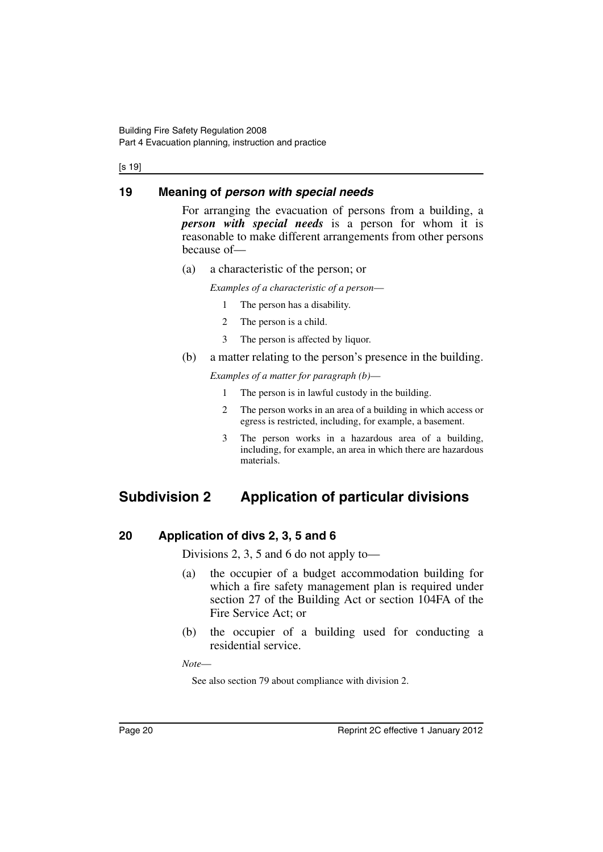#### [s 19]

#### <span id="page-21-0"></span>**19 Meaning of** *person with special needs*

For arranging the evacuation of persons from a building, a *person with special needs* is a person for whom it is reasonable to make different arrangements from other persons because of—

(a) a characteristic of the person; or

*Examples of a characteristic of a person*—

- 1 The person has a disability.
- 2 The person is a child.
- 3 The person is affected by liquor.
- (b) a matter relating to the person's presence in the building.

*Examples of a matter for paragraph (b)*—

- 1 The person is in lawful custody in the building.
- 2 The person works in an area of a building in which access or egress is restricted, including, for example, a basement.
- 3 The person works in a hazardous area of a building, including, for example, an area in which there are hazardous materials.

## <span id="page-21-1"></span>**Subdivision 2 Application of particular divisions**

#### <span id="page-21-2"></span>**20 Application of divs 2, 3, 5 and 6**

Divisions 2, 3, 5 and 6 do not apply to—

- (a) the occupier of a budget accommodation building for which a fire safety management plan is required under section 27 of the Building Act or section 104FA of the Fire Service Act; or
- (b) the occupier of a building used for conducting a residential service.

*Note*—

See also section 79 about compliance with division 2.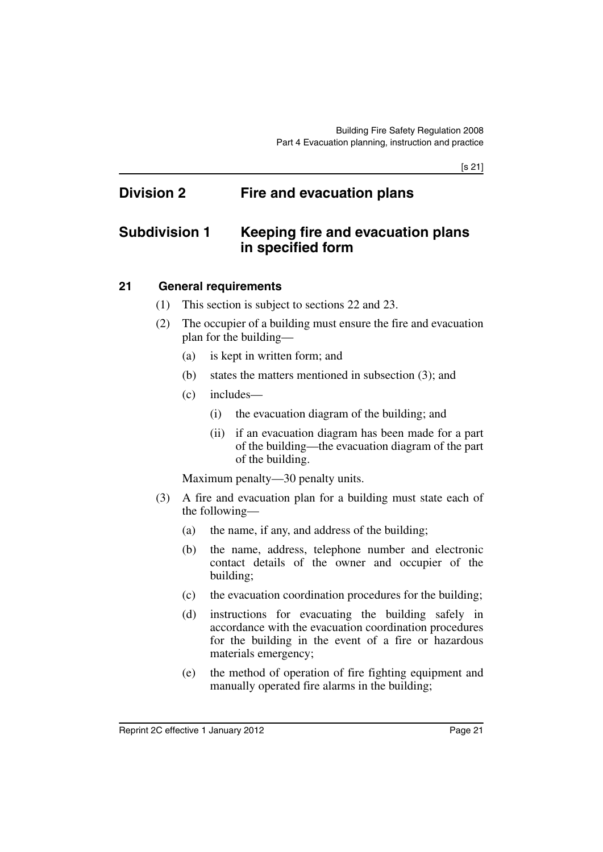[s 21]

## <span id="page-22-0"></span>**Division 2 Fire and evacuation plans**

## <span id="page-22-1"></span>**Subdivision 1 Keeping fire and evacuation plans in specified form**

#### <span id="page-22-2"></span>**21 General requirements**

- (1) This section is subject to sections 22 and 23.
- (2) The occupier of a building must ensure the fire and evacuation plan for the building—
	- (a) is kept in written form; and
	- (b) states the matters mentioned in subsection (3); and
	- (c) includes—
		- (i) the evacuation diagram of the building; and
		- (ii) if an evacuation diagram has been made for a part of the building—the evacuation diagram of the part of the building.

Maximum penalty—30 penalty units.

- (3) A fire and evacuation plan for a building must state each of the following—
	- (a) the name, if any, and address of the building;
	- (b) the name, address, telephone number and electronic contact details of the owner and occupier of the building;
	- (c) the evacuation coordination procedures for the building;
	- (d) instructions for evacuating the building safely in accordance with the evacuation coordination procedures for the building in the event of a fire or hazardous materials emergency;
	- (e) the method of operation of fire fighting equipment and manually operated fire alarms in the building;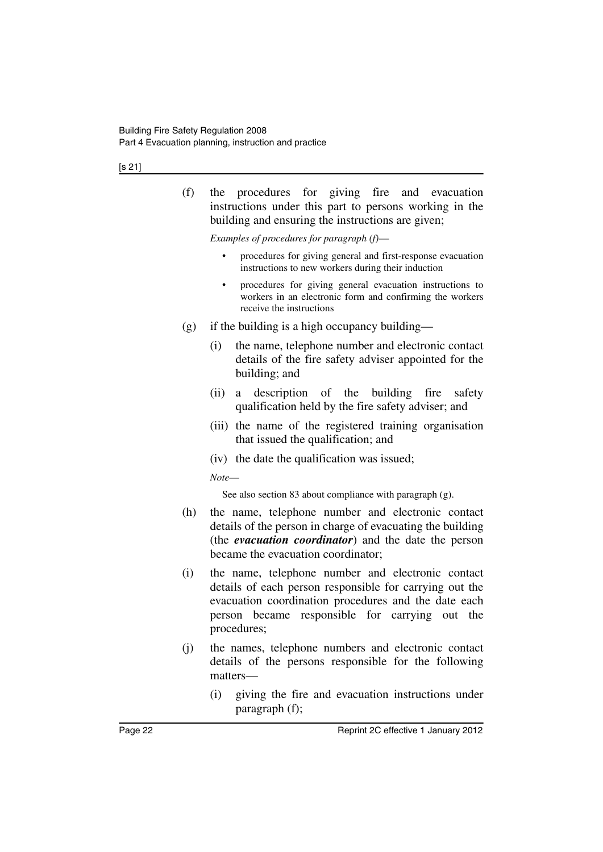[s 21]

(f) the procedures for giving fire and evacuation instructions under this part to persons working in the building and ensuring the instructions are given;

*Examples of procedures for paragraph (f)*—

- procedures for giving general and first-response evacuation instructions to new workers during their induction
- procedures for giving general evacuation instructions to workers in an electronic form and confirming the workers receive the instructions
- $(g)$  if the building is a high occupancy building—
	- (i) the name, telephone number and electronic contact details of the fire safety adviser appointed for the building; and
	- (ii) a description of the building fire safety qualification held by the fire safety adviser; and
	- (iii) the name of the registered training organisation that issued the qualification; and
	- (iv) the date the qualification was issued;

*Note*—

See also section 83 about compliance with paragraph (g).

- (h) the name, telephone number and electronic contact details of the person in charge of evacuating the building (the *evacuation coordinator*) and the date the person became the evacuation coordinator;
- (i) the name, telephone number and electronic contact details of each person responsible for carrying out the evacuation coordination procedures and the date each person became responsible for carrying out the procedures;
- (j) the names, telephone numbers and electronic contact details of the persons responsible for the following matters—
	- (i) giving the fire and evacuation instructions under paragraph (f);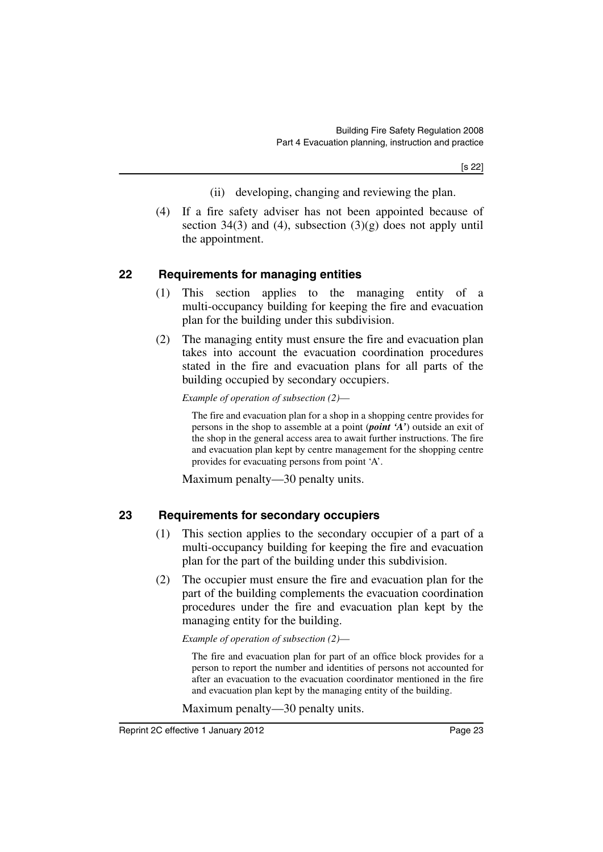- (ii) developing, changing and reviewing the plan.
- (4) If a fire safety adviser has not been appointed because of section 34(3) and (4), subsection  $(3)(g)$  does not apply until the appointment.

#### <span id="page-24-0"></span>**22 Requirements for managing entities**

- (1) This section applies to the managing entity of a multi-occupancy building for keeping the fire and evacuation plan for the building under this subdivision.
- (2) The managing entity must ensure the fire and evacuation plan takes into account the evacuation coordination procedures stated in the fire and evacuation plans for all parts of the building occupied by secondary occupiers.

*Example of operation of subsection (2)*—

The fire and evacuation plan for a shop in a shopping centre provides for persons in the shop to assemble at a point (*point 'A'*) outside an exit of the shop in the general access area to await further instructions. The fire and evacuation plan kept by centre management for the shopping centre provides for evacuating persons from point 'A'.

Maximum penalty—30 penalty units.

### <span id="page-24-1"></span>**23 Requirements for secondary occupiers**

- (1) This section applies to the secondary occupier of a part of a multi-occupancy building for keeping the fire and evacuation plan for the part of the building under this subdivision.
- (2) The occupier must ensure the fire and evacuation plan for the part of the building complements the evacuation coordination procedures under the fire and evacuation plan kept by the managing entity for the building.

#### *Example of operation of subsection (2)*—

The fire and evacuation plan for part of an office block provides for a person to report the number and identities of persons not accounted for after an evacuation to the evacuation coordinator mentioned in the fire and evacuation plan kept by the managing entity of the building.

Maximum penalty—30 penalty units.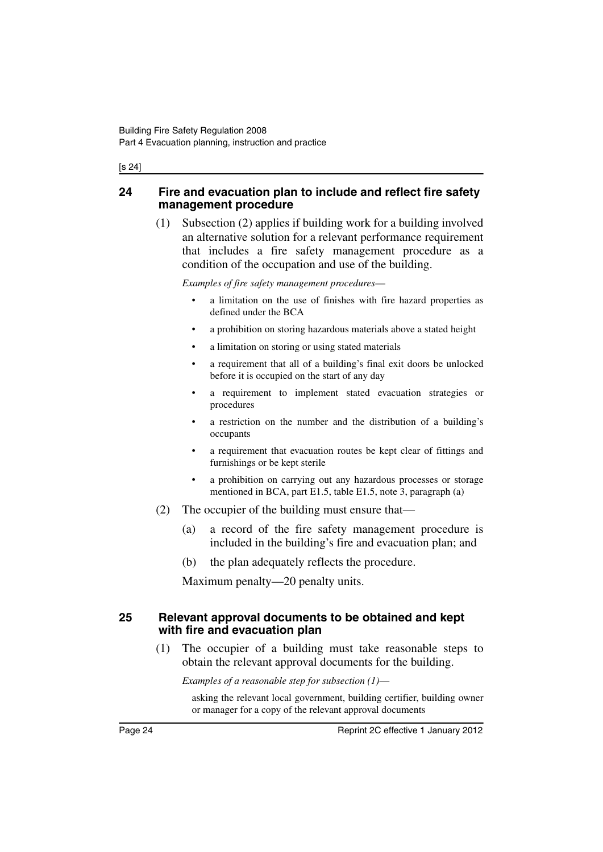#### [s 24]

#### <span id="page-25-0"></span>**24 Fire and evacuation plan to include and reflect fire safety management procedure**

(1) Subsection (2) applies if building work for a building involved an alternative solution for a relevant performance requirement that includes a fire safety management procedure as a condition of the occupation and use of the building.

*Examples of fire safety management procedures*—

- a limitation on the use of finishes with fire hazard properties as defined under the BCA
- a prohibition on storing hazardous materials above a stated height
- a limitation on storing or using stated materials
- a requirement that all of a building's final exit doors be unlocked before it is occupied on the start of any day
- a requirement to implement stated evacuation strategies or procedures
- a restriction on the number and the distribution of a building's occupants
- a requirement that evacuation routes be kept clear of fittings and furnishings or be kept sterile
- a prohibition on carrying out any hazardous processes or storage mentioned in BCA, part E1.5, table E1.5, note 3, paragraph (a)
- (2) The occupier of the building must ensure that—
	- (a) a record of the fire safety management procedure is included in the building's fire and evacuation plan; and
	- (b) the plan adequately reflects the procedure.

Maximum penalty—20 penalty units.

#### <span id="page-25-1"></span>**25 Relevant approval documents to be obtained and kept with fire and evacuation plan**

(1) The occupier of a building must take reasonable steps to obtain the relevant approval documents for the building.

*Examples of a reasonable step for subsection (1)*—

asking the relevant local government, building certifier, building owner or manager for a copy of the relevant approval documents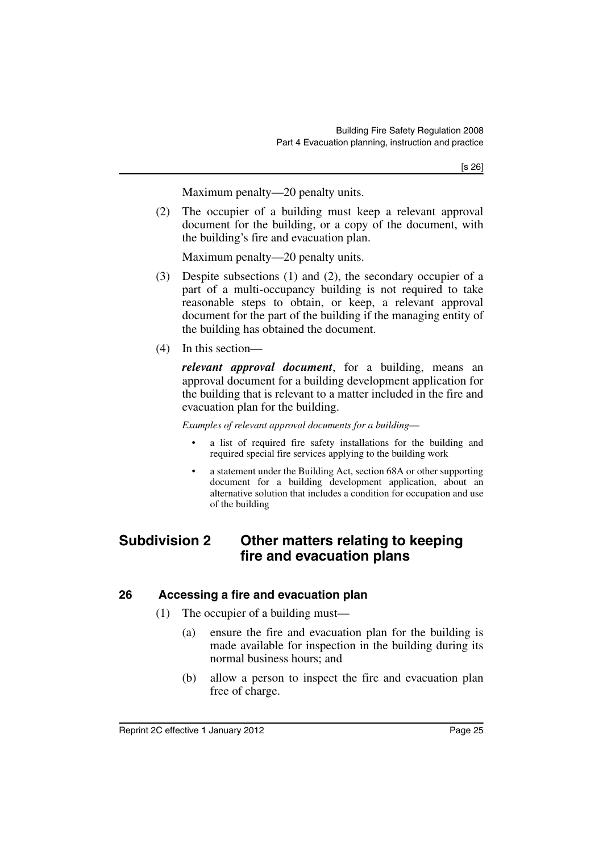Maximum penalty—20 penalty units.

(2) The occupier of a building must keep a relevant approval document for the building, or a copy of the document, with the building's fire and evacuation plan.

Maximum penalty—20 penalty units.

- (3) Despite subsections (1) and (2), the secondary occupier of a part of a multi-occupancy building is not required to take reasonable steps to obtain, or keep, a relevant approval document for the part of the building if the managing entity of the building has obtained the document.
- (4) In this section—

*relevant approval document*, for a building, means an approval document for a building development application for the building that is relevant to a matter included in the fire and evacuation plan for the building.

*Examples of relevant approval documents for a building*—

- a list of required fire safety installations for the building and required special fire services applying to the building work
- a statement under the Building Act, section 68A or other supporting document for a building development application, about an alternative solution that includes a condition for occupation and use of the building

## <span id="page-26-0"></span>**Subdivision 2 Other matters relating to keeping fire and evacuation plans**

#### <span id="page-26-1"></span>**26 Accessing a fire and evacuation plan**

- (1) The occupier of a building must—
	- (a) ensure the fire and evacuation plan for the building is made available for inspection in the building during its normal business hours; and
	- (b) allow a person to inspect the fire and evacuation plan free of charge.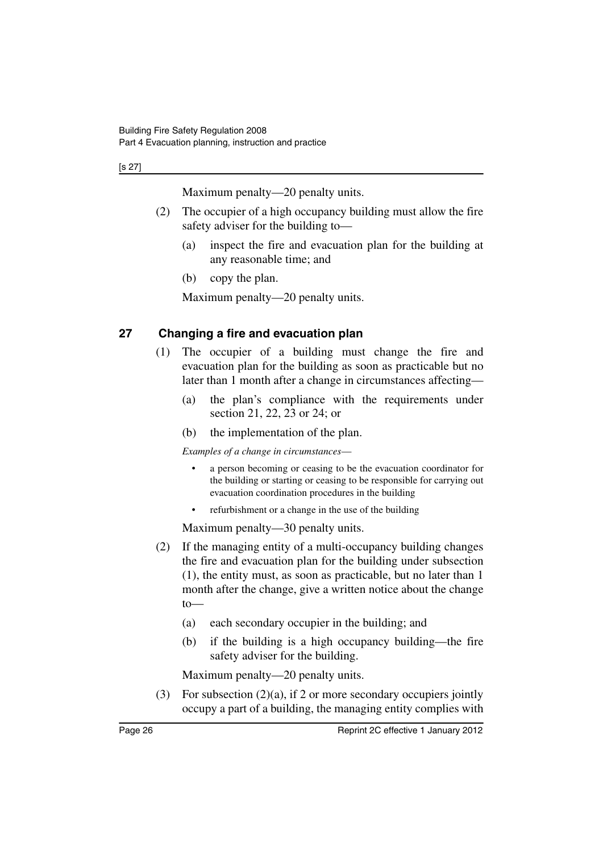[s 27]

Maximum penalty—20 penalty units.

- (2) The occupier of a high occupancy building must allow the fire safety adviser for the building to—
	- (a) inspect the fire and evacuation plan for the building at any reasonable time; and
	- (b) copy the plan.

Maximum penalty—20 penalty units.

### <span id="page-27-0"></span>**27 Changing a fire and evacuation plan**

- (1) The occupier of a building must change the fire and evacuation plan for the building as soon as practicable but no later than 1 month after a change in circumstances affecting—
	- (a) the plan's compliance with the requirements under section 21, 22, 23 or 24; or
	- (b) the implementation of the plan.

*Examples of a change in circumstances*—

- a person becoming or ceasing to be the evacuation coordinator for the building or starting or ceasing to be responsible for carrying out evacuation coordination procedures in the building
- refurbishment or a change in the use of the building

Maximum penalty—30 penalty units.

- (2) If the managing entity of a multi-occupancy building changes the fire and evacuation plan for the building under subsection (1), the entity must, as soon as practicable, but no later than 1 month after the change, give a written notice about the change  $to$ 
	- (a) each secondary occupier in the building; and
	- (b) if the building is a high occupancy building—the fire safety adviser for the building.

Maximum penalty—20 penalty units.

(3) For subsection (2)(a), if 2 or more secondary occupiers jointly occupy a part of a building, the managing entity complies with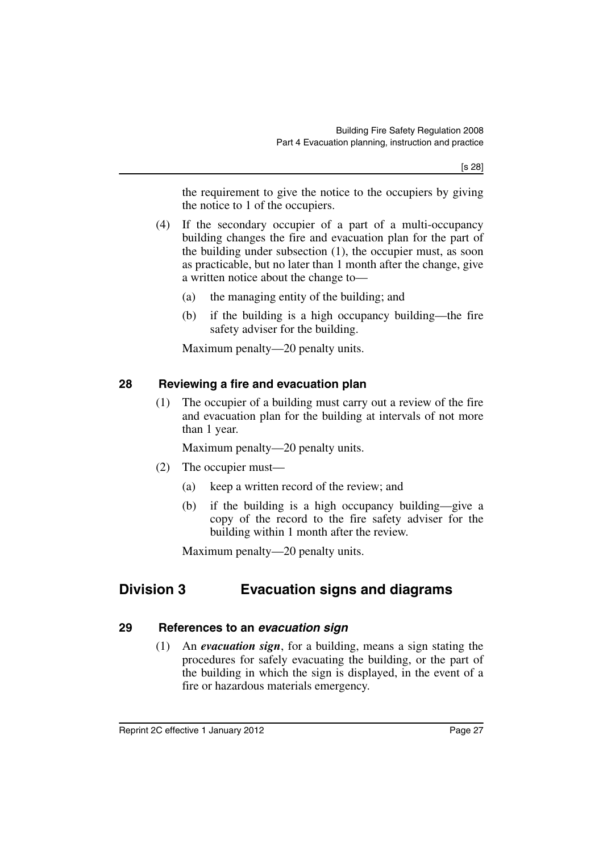the requirement to give the notice to the occupiers by giving the notice to 1 of the occupiers.

- (4) If the secondary occupier of a part of a multi-occupancy building changes the fire and evacuation plan for the part of the building under subsection (1), the occupier must, as soon as practicable, but no later than 1 month after the change, give a written notice about the change to—
	- (a) the managing entity of the building; and
	- (b) if the building is a high occupancy building—the fire safety adviser for the building.

Maximum penalty—20 penalty units.

#### <span id="page-28-0"></span>**28 Reviewing a fire and evacuation plan**

(1) The occupier of a building must carry out a review of the fire and evacuation plan for the building at intervals of not more than 1 year.

Maximum penalty—20 penalty units.

- (2) The occupier must—
	- (a) keep a written record of the review; and
	- (b) if the building is a high occupancy building—give a copy of the record to the fire safety adviser for the building within 1 month after the review.

Maximum penalty—20 penalty units.

## <span id="page-28-1"></span>**Division 3 Evacuation signs and diagrams**

#### <span id="page-28-2"></span>**29 References to an** *evacuation sign*

(1) An *evacuation sign*, for a building, means a sign stating the procedures for safely evacuating the building, or the part of the building in which the sign is displayed, in the event of a fire or hazardous materials emergency.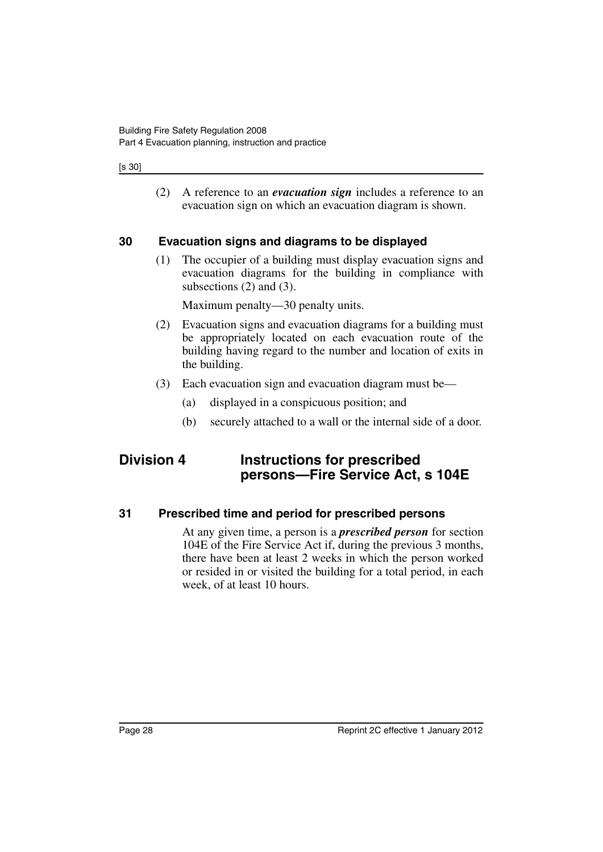#### [s 30]

(2) A reference to an *evacuation sign* includes a reference to an evacuation sign on which an evacuation diagram is shown.

#### <span id="page-29-0"></span>**30 Evacuation signs and diagrams to be displayed**

(1) The occupier of a building must display evacuation signs and evacuation diagrams for the building in compliance with subsections (2) and (3).

Maximum penalty—30 penalty units.

- (2) Evacuation signs and evacuation diagrams for a building must be appropriately located on each evacuation route of the building having regard to the number and location of exits in the building.
- (3) Each evacuation sign and evacuation diagram must be—
	- (a) displayed in a conspicuous position; and
	- (b) securely attached to a wall or the internal side of a door.

## <span id="page-29-1"></span>**Division 4 Instructions for prescribed persons—Fire Service Act, s 104E**

#### <span id="page-29-2"></span>**31 Prescribed time and period for prescribed persons**

At any given time, a person is a *prescribed person* for section 104E of the Fire Service Act if, during the previous 3 months, there have been at least 2 weeks in which the person worked or resided in or visited the building for a total period, in each week, of at least 10 hours.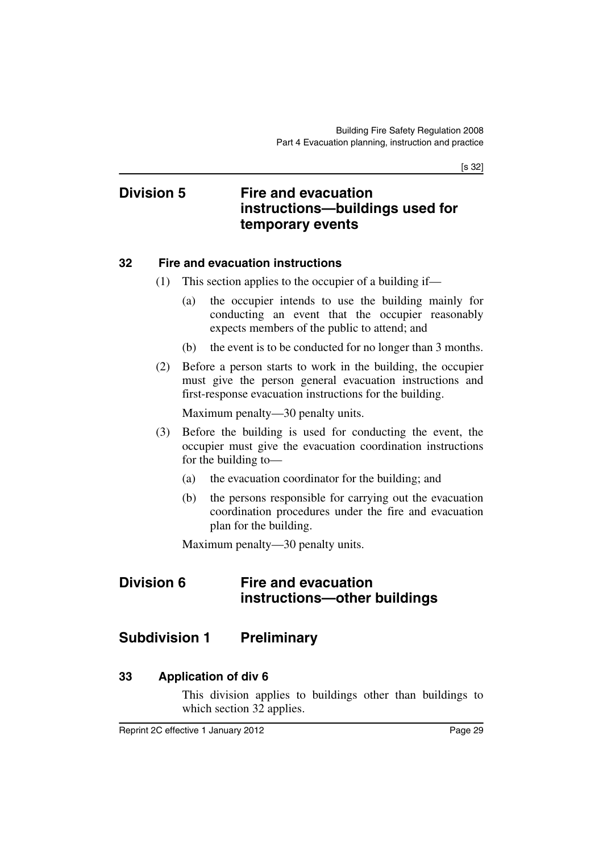[s 32]

## <span id="page-30-0"></span>**Division 5 Fire and evacuation instructions—buildings used for temporary events**

#### <span id="page-30-1"></span>**32 Fire and evacuation instructions**

- (1) This section applies to the occupier of a building if—
	- (a) the occupier intends to use the building mainly for conducting an event that the occupier reasonably expects members of the public to attend; and
	- (b) the event is to be conducted for no longer than 3 months.
- (2) Before a person starts to work in the building, the occupier must give the person general evacuation instructions and first-response evacuation instructions for the building.

Maximum penalty—30 penalty units.

- (3) Before the building is used for conducting the event, the occupier must give the evacuation coordination instructions for the building to—
	- (a) the evacuation coordinator for the building; and
	- (b) the persons responsible for carrying out the evacuation coordination procedures under the fire and evacuation plan for the building.

Maximum penalty—30 penalty units.

## <span id="page-30-2"></span>**Division 6 Fire and evacuation instructions—other buildings**

## <span id="page-30-3"></span>**Subdivision 1 Preliminary**

### <span id="page-30-4"></span>**33 Application of div 6**

This division applies to buildings other than buildings to which section 32 applies.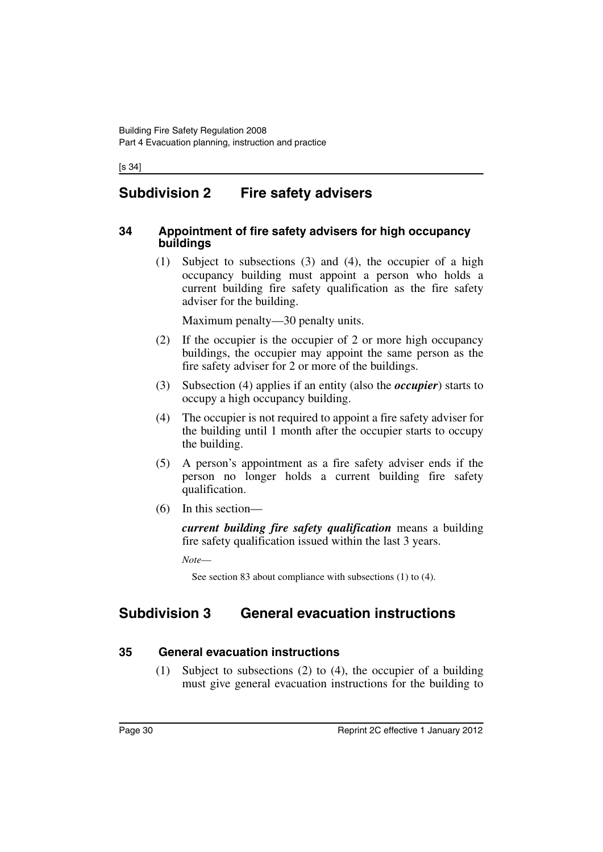[s 34]

## <span id="page-31-0"></span>**Subdivision 2 Fire safety advisers**

#### <span id="page-31-1"></span>**34 Appointment of fire safety advisers for high occupancy buildings**

(1) Subject to subsections (3) and (4), the occupier of a high occupancy building must appoint a person who holds a current building fire safety qualification as the fire safety adviser for the building.

Maximum penalty—30 penalty units.

- (2) If the occupier is the occupier of 2 or more high occupancy buildings, the occupier may appoint the same person as the fire safety adviser for 2 or more of the buildings.
- (3) Subsection (4) applies if an entity (also the *occupier*) starts to occupy a high occupancy building.
- (4) The occupier is not required to appoint a fire safety adviser for the building until 1 month after the occupier starts to occupy the building.
- (5) A person's appointment as a fire safety adviser ends if the person no longer holds a current building fire safety qualification.
- (6) In this section—

*current building fire safety qualification* means a building fire safety qualification issued within the last 3 years.

*Note*—

See section 83 about compliance with subsections (1) to (4).

## <span id="page-31-2"></span>**Subdivision 3 General evacuation instructions**

#### <span id="page-31-3"></span>**35 General evacuation instructions**

(1) Subject to subsections (2) to (4), the occupier of a building must give general evacuation instructions for the building to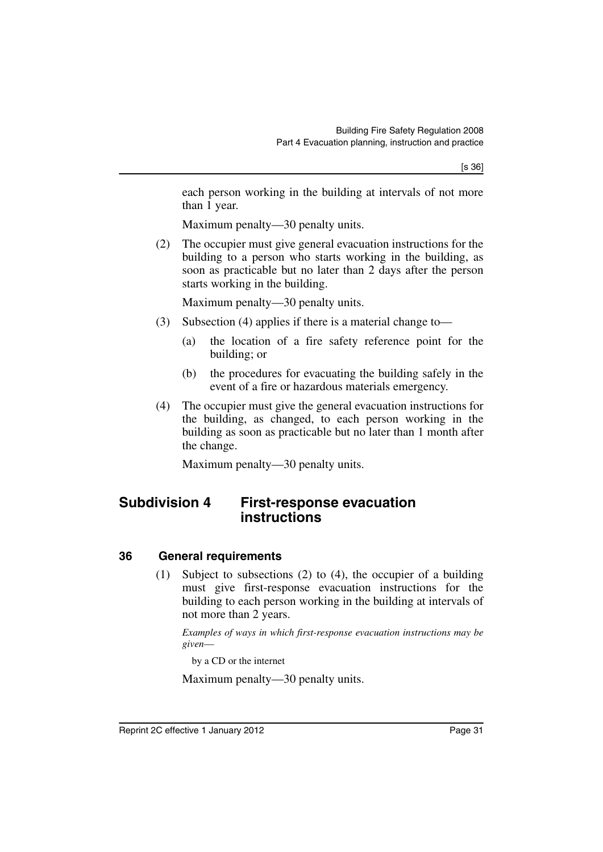each person working in the building at intervals of not more than 1 year.

Maximum penalty—30 penalty units.

(2) The occupier must give general evacuation instructions for the building to a person who starts working in the building, as soon as practicable but no later than 2 days after the person starts working in the building.

Maximum penalty—30 penalty units.

- (3) Subsection (4) applies if there is a material change to—
	- (a) the location of a fire safety reference point for the building; or
	- (b) the procedures for evacuating the building safely in the event of a fire or hazardous materials emergency.
- (4) The occupier must give the general evacuation instructions for the building, as changed, to each person working in the building as soon as practicable but no later than 1 month after the change.

Maximum penalty—30 penalty units.

## <span id="page-32-0"></span>**Subdivision 4 First-response evacuation instructions**

#### <span id="page-32-1"></span>**36 General requirements**

(1) Subject to subsections (2) to (4), the occupier of a building must give first-response evacuation instructions for the building to each person working in the building at intervals of not more than 2 years.

*Examples of ways in which first-response evacuation instructions may be given*—

by a CD or the internet

Maximum penalty—30 penalty units.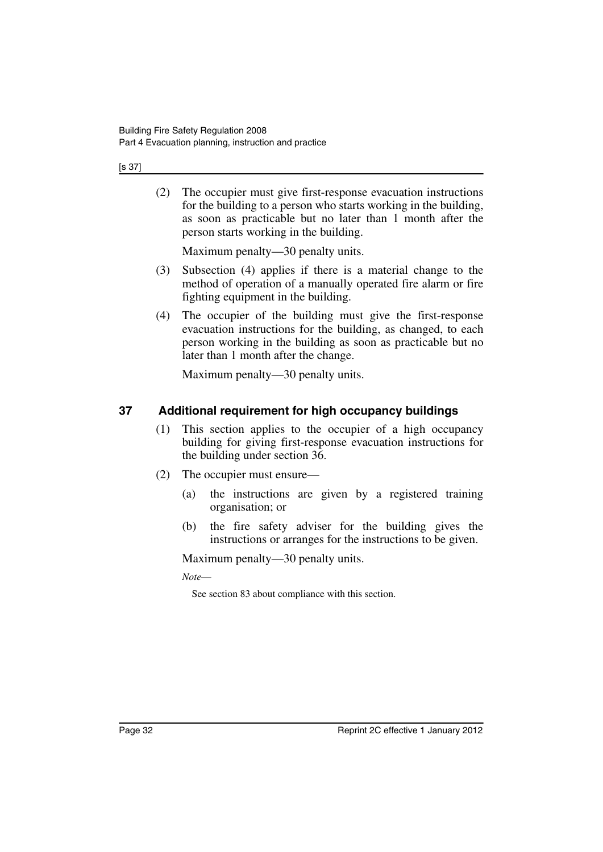#### [s 37]

(2) The occupier must give first-response evacuation instructions for the building to a person who starts working in the building, as soon as practicable but no later than 1 month after the person starts working in the building.

Maximum penalty—30 penalty units.

- (3) Subsection (4) applies if there is a material change to the method of operation of a manually operated fire alarm or fire fighting equipment in the building.
- (4) The occupier of the building must give the first-response evacuation instructions for the building, as changed, to each person working in the building as soon as practicable but no later than 1 month after the change.

Maximum penalty—30 penalty units.

### <span id="page-33-0"></span>**37 Additional requirement for high occupancy buildings**

- (1) This section applies to the occupier of a high occupancy building for giving first-response evacuation instructions for the building under section 36.
- (2) The occupier must ensure—
	- (a) the instructions are given by a registered training organisation; or
	- (b) the fire safety adviser for the building gives the instructions or arranges for the instructions to be given.

Maximum penalty—30 penalty units.

*Note*—

See section 83 about compliance with this section.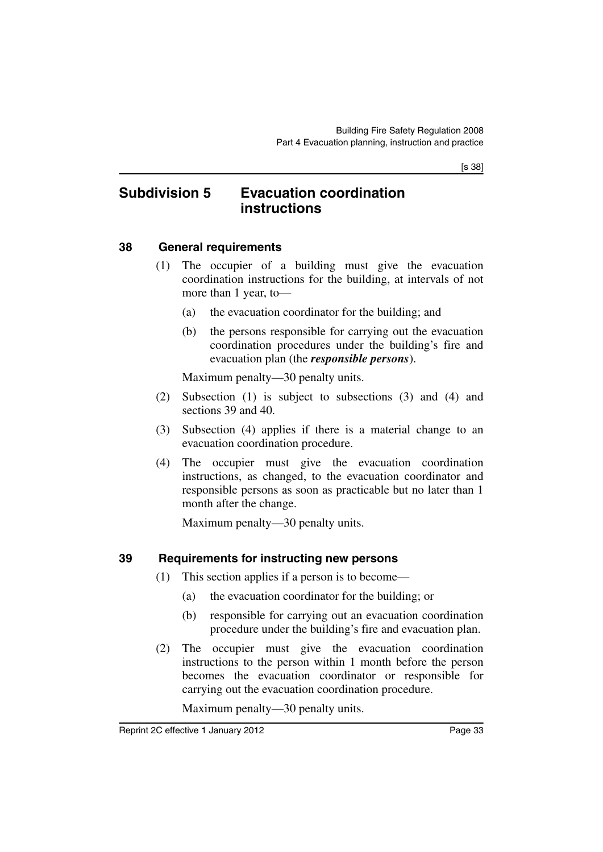[s 38]

## <span id="page-34-0"></span>**Subdivision 5 Evacuation coordination instructions**

#### <span id="page-34-1"></span>**38 General requirements**

- (1) The occupier of a building must give the evacuation coordination instructions for the building, at intervals of not more than 1 year, to—
	- (a) the evacuation coordinator for the building; and
	- (b) the persons responsible for carrying out the evacuation coordination procedures under the building's fire and evacuation plan (the *responsible persons*).

Maximum penalty—30 penalty units.

- (2) Subsection (1) is subject to subsections (3) and (4) and sections 39 and 40.
- (3) Subsection (4) applies if there is a material change to an evacuation coordination procedure.
- (4) The occupier must give the evacuation coordination instructions, as changed, to the evacuation coordinator and responsible persons as soon as practicable but no later than 1 month after the change.

Maximum penalty—30 penalty units.

## <span id="page-34-2"></span>**39 Requirements for instructing new persons**

- (1) This section applies if a person is to become—
	- (a) the evacuation coordinator for the building; or
	- (b) responsible for carrying out an evacuation coordination procedure under the building's fire and evacuation plan.
- (2) The occupier must give the evacuation coordination instructions to the person within 1 month before the person becomes the evacuation coordinator or responsible for carrying out the evacuation coordination procedure.

Maximum penalty—30 penalty units.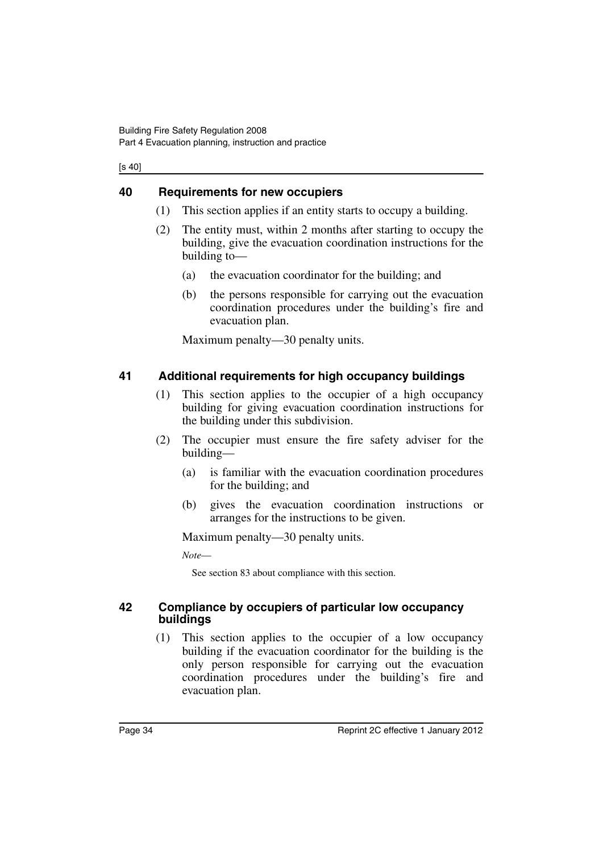[s 40]

#### <span id="page-35-0"></span>**40 Requirements for new occupiers**

- (1) This section applies if an entity starts to occupy a building.
- (2) The entity must, within 2 months after starting to occupy the building, give the evacuation coordination instructions for the building to—
	- (a) the evacuation coordinator for the building; and
	- (b) the persons responsible for carrying out the evacuation coordination procedures under the building's fire and evacuation plan.

Maximum penalty—30 penalty units.

#### <span id="page-35-1"></span>**41 Additional requirements for high occupancy buildings**

- (1) This section applies to the occupier of a high occupancy building for giving evacuation coordination instructions for the building under this subdivision.
- (2) The occupier must ensure the fire safety adviser for the building—
	- (a) is familiar with the evacuation coordination procedures for the building; and
	- (b) gives the evacuation coordination instructions or arranges for the instructions to be given.

Maximum penalty—30 penalty units.

*Note*—

See section 83 about compliance with this section.

#### <span id="page-35-2"></span>**42 Compliance by occupiers of particular low occupancy buildings**

(1) This section applies to the occupier of a low occupancy building if the evacuation coordinator for the building is the only person responsible for carrying out the evacuation coordination procedures under the building's fire and evacuation plan.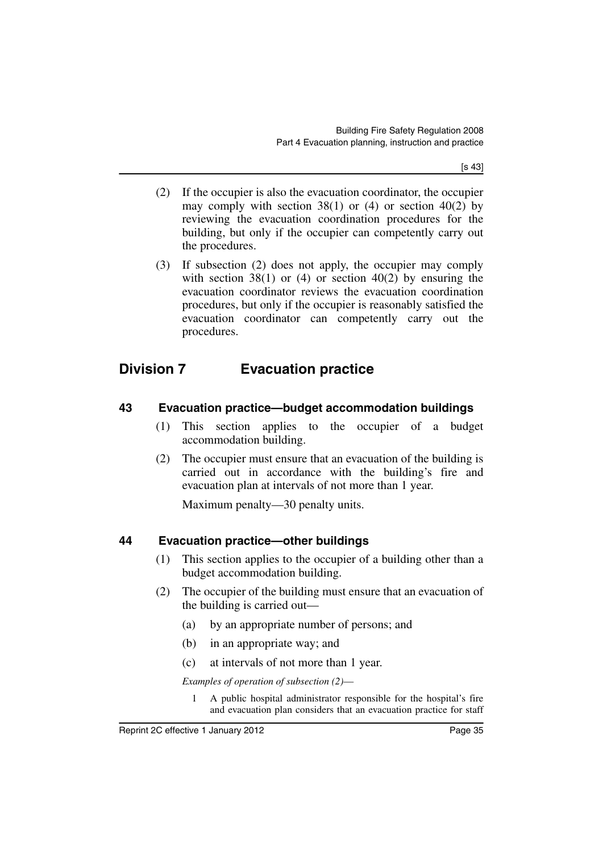[s 43]

- (2) If the occupier is also the evacuation coordinator, the occupier may comply with section 38(1) or (4) or section 40(2) by reviewing the evacuation coordination procedures for the building, but only if the occupier can competently carry out the procedures.
- (3) If subsection (2) does not apply, the occupier may comply with section 38(1) or (4) or section 40(2) by ensuring the evacuation coordinator reviews the evacuation coordination procedures, but only if the occupier is reasonably satisfied the evacuation coordinator can competently carry out the procedures.

# **Division 7 Evacuation practice**

### **43 Evacuation practice—budget accommodation buildings**

- (1) This section applies to the occupier of a budget accommodation building.
- (2) The occupier must ensure that an evacuation of the building is carried out in accordance with the building's fire and evacuation plan at intervals of not more than 1 year.

Maximum penalty—30 penalty units.

### **44 Evacuation practice—other buildings**

- (1) This section applies to the occupier of a building other than a budget accommodation building.
- (2) The occupier of the building must ensure that an evacuation of the building is carried out—
	- (a) by an appropriate number of persons; and
	- (b) in an appropriate way; and
	- (c) at intervals of not more than 1 year.

*Examples of operation of subsection (2)*—

1 A public hospital administrator responsible for the hospital's fire and evacuation plan considers that an evacuation practice for staff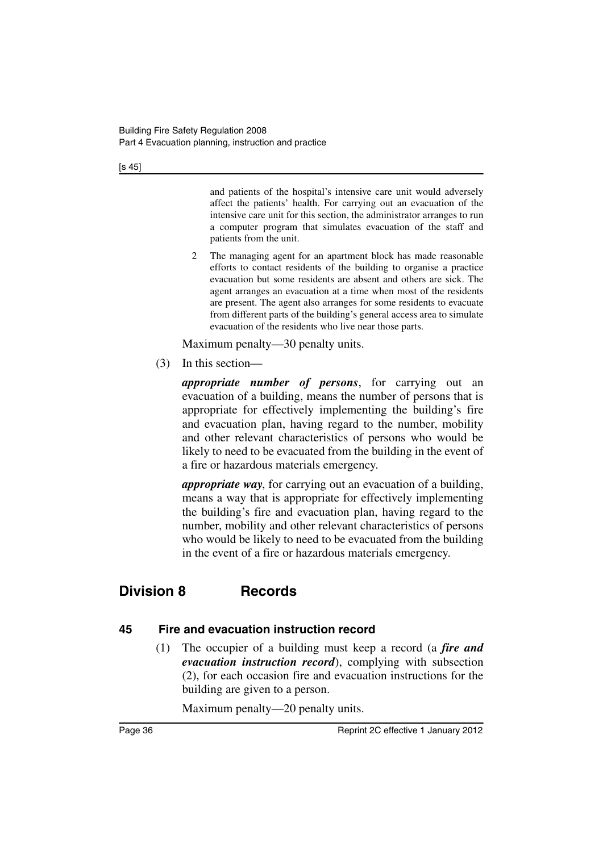[s 45]

and patients of the hospital's intensive care unit would adversely affect the patients' health. For carrying out an evacuation of the intensive care unit for this section, the administrator arranges to run a computer program that simulates evacuation of the staff and patients from the unit.

2 The managing agent for an apartment block has made reasonable efforts to contact residents of the building to organise a practice evacuation but some residents are absent and others are sick. The agent arranges an evacuation at a time when most of the residents are present. The agent also arranges for some residents to evacuate from different parts of the building's general access area to simulate evacuation of the residents who live near those parts.

Maximum penalty—30 penalty units.

(3) In this section—

*appropriate number of persons*, for carrying out an evacuation of a building, means the number of persons that is appropriate for effectively implementing the building's fire and evacuation plan, having regard to the number, mobility and other relevant characteristics of persons who would be likely to need to be evacuated from the building in the event of a fire or hazardous materials emergency.

*appropriate way*, for carrying out an evacuation of a building, means a way that is appropriate for effectively implementing the building's fire and evacuation plan, having regard to the number, mobility and other relevant characteristics of persons who would be likely to need to be evacuated from the building in the event of a fire or hazardous materials emergency.

# **Division 8 Records**

### **45 Fire and evacuation instruction record**

(1) The occupier of a building must keep a record (a *fire and evacuation instruction record*), complying with subsection (2), for each occasion fire and evacuation instructions for the building are given to a person.

Maximum penalty—20 penalty units.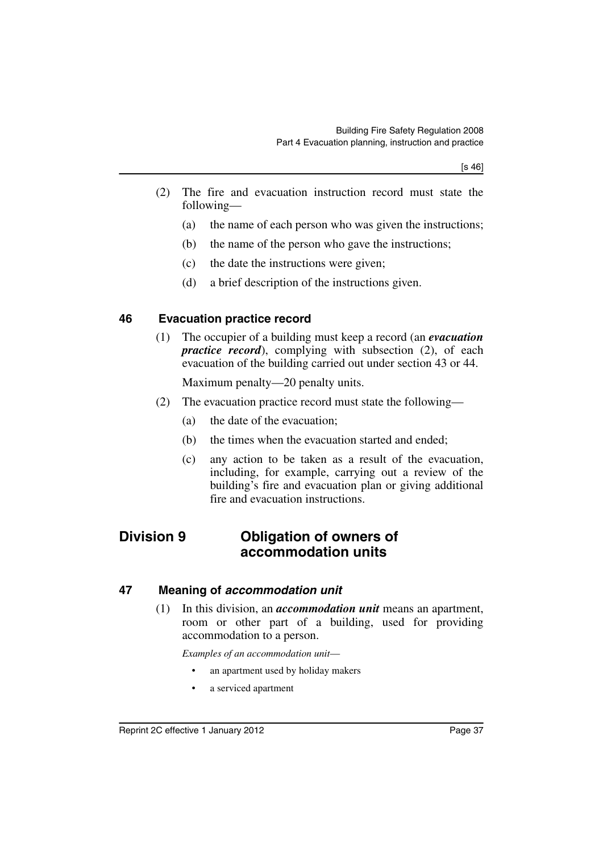- (2) The fire and evacuation instruction record must state the following—
	- (a) the name of each person who was given the instructions;
	- (b) the name of the person who gave the instructions;
	- (c) the date the instructions were given;
	- (d) a brief description of the instructions given.

#### **46 Evacuation practice record**

(1) The occupier of a building must keep a record (an *evacuation practice record*), complying with subsection (2), of each evacuation of the building carried out under section 43 or 44.

Maximum penalty—20 penalty units.

- (2) The evacuation practice record must state the following—
	- (a) the date of the evacuation;
	- (b) the times when the evacuation started and ended;
	- (c) any action to be taken as a result of the evacuation, including, for example, carrying out a review of the building's fire and evacuation plan or giving additional fire and evacuation instructions.

### **Division 9 Obligation of owners of accommodation units**

#### **47 Meaning of** *accommodation unit*

(1) In this division, an *accommodation unit* means an apartment, room or other part of a building, used for providing accommodation to a person.

*Examples of an accommodation unit*—

- an apartment used by holiday makers
- a serviced apartment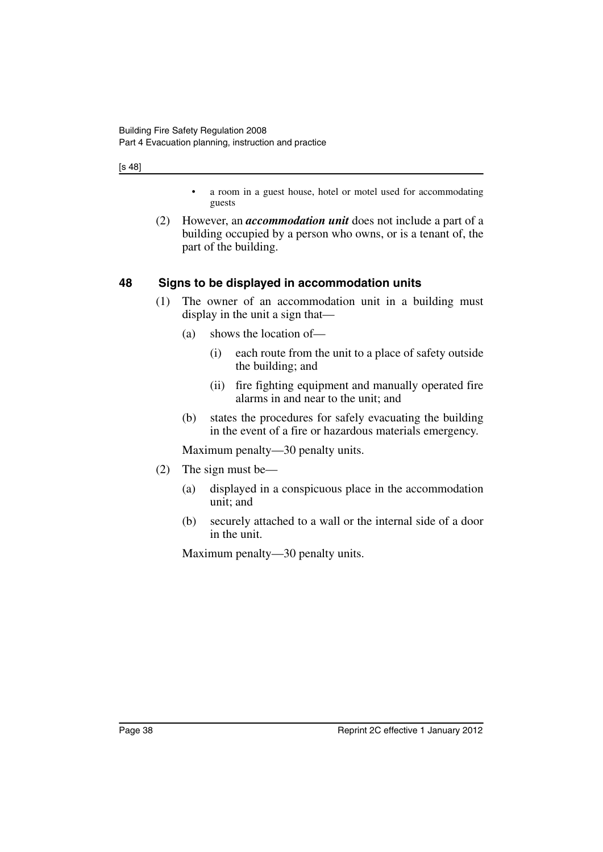[s 48]

- a room in a guest house, hotel or motel used for accommodating guests
- (2) However, an *accommodation unit* does not include a part of a building occupied by a person who owns, or is a tenant of, the part of the building.

### **48 Signs to be displayed in accommodation units**

- (1) The owner of an accommodation unit in a building must display in the unit a sign that—
	- (a) shows the location of—
		- (i) each route from the unit to a place of safety outside the building; and
		- (ii) fire fighting equipment and manually operated fire alarms in and near to the unit; and
	- (b) states the procedures for safely evacuating the building in the event of a fire or hazardous materials emergency.

Maximum penalty—30 penalty units.

- (2) The sign must be—
	- (a) displayed in a conspicuous place in the accommodation unit; and
	- (b) securely attached to a wall or the internal side of a door in the unit.

Maximum penalty—30 penalty units.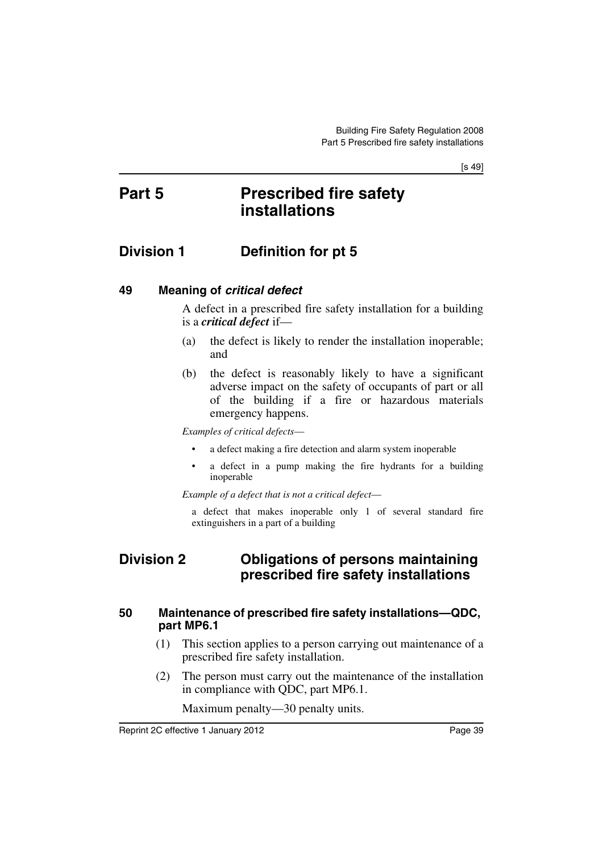[s 49]

# **Part 5 Prescribed fire safety installations**

## **Division 1 Definition for pt 5**

#### **49 Meaning of** *critical defect*

A defect in a prescribed fire safety installation for a building is a *critical defect* if—

- (a) the defect is likely to render the installation inoperable; and
- (b) the defect is reasonably likely to have a significant adverse impact on the safety of occupants of part or all of the building if a fire or hazardous materials emergency happens.

*Examples of critical defects*—

- a defect making a fire detection and alarm system inoperable
- a defect in a pump making the fire hydrants for a building inoperable

*Example of a defect that is not a critical defect*—

a defect that makes inoperable only 1 of several standard fire extinguishers in a part of a building

## **Division 2 Obligations of persons maintaining prescribed fire safety installations**

#### **50 Maintenance of prescribed fire safety installations—QDC, part MP6.1**

- (1) This section applies to a person carrying out maintenance of a prescribed fire safety installation.
- (2) The person must carry out the maintenance of the installation in compliance with QDC, part MP6.1.

Maximum penalty—30 penalty units.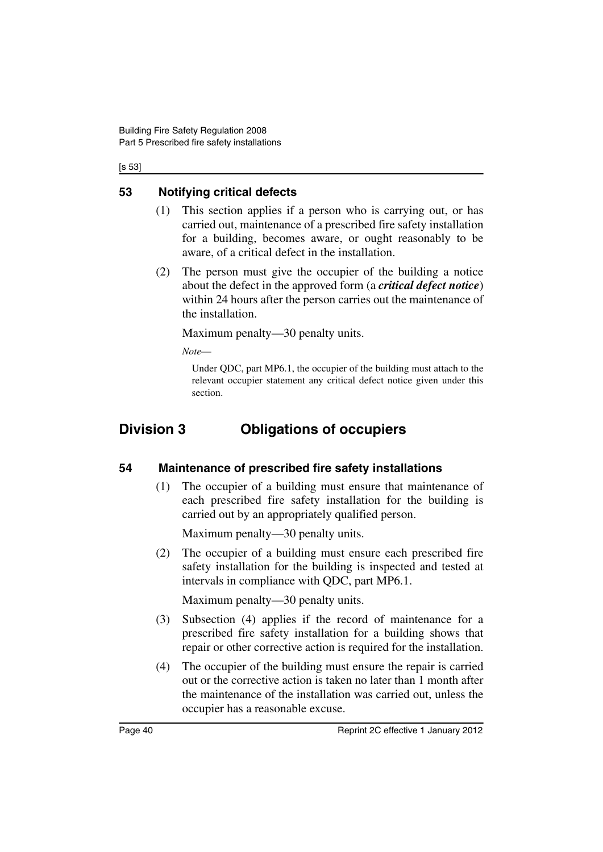[s 53]

### **53 Notifying critical defects**

- (1) This section applies if a person who is carrying out, or has carried out, maintenance of a prescribed fire safety installation for a building, becomes aware, or ought reasonably to be aware, of a critical defect in the installation.
- (2) The person must give the occupier of the building a notice about the defect in the approved form (a *critical defect notice*) within 24 hours after the person carries out the maintenance of the installation.

Maximum penalty—30 penalty units.

*Note*—

Under QDC, part MP6.1, the occupier of the building must attach to the relevant occupier statement any critical defect notice given under this section.

# **Division 3 Obligations of occupiers**

### **54 Maintenance of prescribed fire safety installations**

(1) The occupier of a building must ensure that maintenance of each prescribed fire safety installation for the building is carried out by an appropriately qualified person.

Maximum penalty—30 penalty units.

(2) The occupier of a building must ensure each prescribed fire safety installation for the building is inspected and tested at intervals in compliance with QDC, part MP6.1.

Maximum penalty—30 penalty units.

- (3) Subsection (4) applies if the record of maintenance for a prescribed fire safety installation for a building shows that repair or other corrective action is required for the installation.
- (4) The occupier of the building must ensure the repair is carried out or the corrective action is taken no later than 1 month after the maintenance of the installation was carried out, unless the occupier has a reasonable excuse.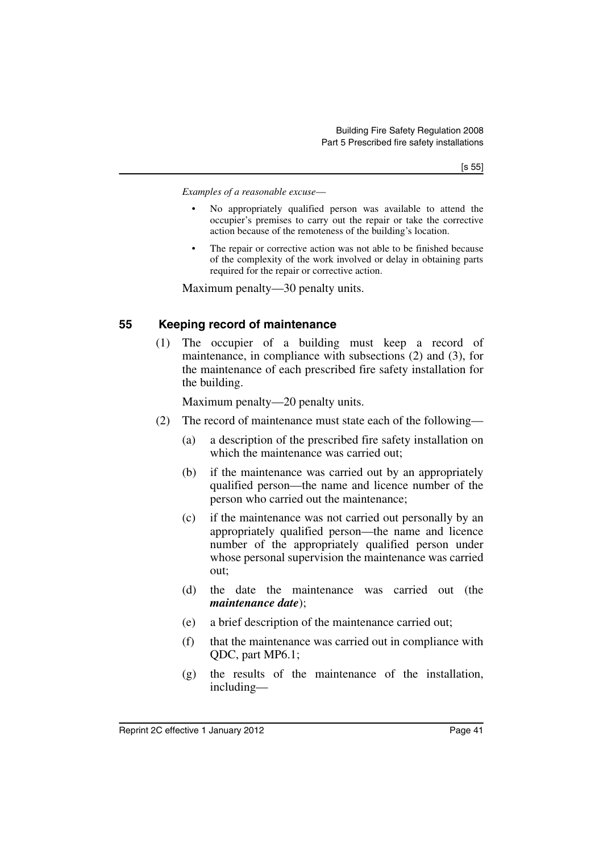*Examples of a reasonable excuse*—

- No appropriately qualified person was available to attend the occupier's premises to carry out the repair or take the corrective action because of the remoteness of the building's location.
- The repair or corrective action was not able to be finished because of the complexity of the work involved or delay in obtaining parts required for the repair or corrective action.

Maximum penalty—30 penalty units.

#### **55 Keeping record of maintenance**

(1) The occupier of a building must keep a record of maintenance, in compliance with subsections (2) and (3), for the maintenance of each prescribed fire safety installation for the building.

Maximum penalty—20 penalty units.

- (2) The record of maintenance must state each of the following—
	- (a) a description of the prescribed fire safety installation on which the maintenance was carried out;
	- (b) if the maintenance was carried out by an appropriately qualified person—the name and licence number of the person who carried out the maintenance;
	- (c) if the maintenance was not carried out personally by an appropriately qualified person—the name and licence number of the appropriately qualified person under whose personal supervision the maintenance was carried out;
	- (d) the date the maintenance was carried out (the *maintenance date*);
	- (e) a brief description of the maintenance carried out;
	- (f) that the maintenance was carried out in compliance with QDC, part MP6.1;
	- (g) the results of the maintenance of the installation, including—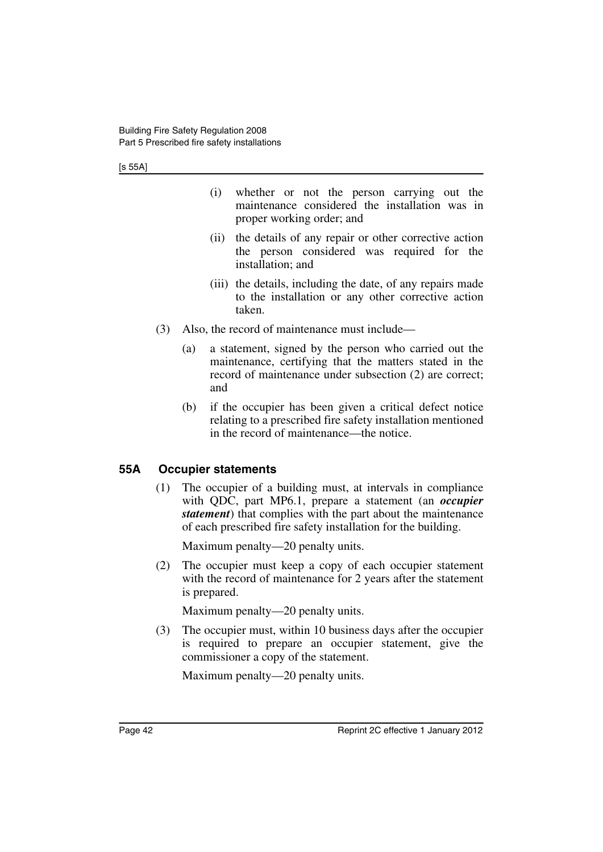[s 55A]

- (i) whether or not the person carrying out the maintenance considered the installation was in proper working order; and
- (ii) the details of any repair or other corrective action the person considered was required for the installation; and
- (iii) the details, including the date, of any repairs made to the installation or any other corrective action taken.
- (3) Also, the record of maintenance must include—
	- (a) a statement, signed by the person who carried out the maintenance, certifying that the matters stated in the record of maintenance under subsection (2) are correct; and
	- (b) if the occupier has been given a critical defect notice relating to a prescribed fire safety installation mentioned in the record of maintenance—the notice.

### **55A Occupier statements**

(1) The occupier of a building must, at intervals in compliance with QDC, part MP6.1, prepare a statement (an *occupier statement*) that complies with the part about the maintenance of each prescribed fire safety installation for the building.

Maximum penalty—20 penalty units.

(2) The occupier must keep a copy of each occupier statement with the record of maintenance for 2 years after the statement is prepared.

Maximum penalty—20 penalty units.

(3) The occupier must, within 10 business days after the occupier is required to prepare an occupier statement, give the commissioner a copy of the statement.

Maximum penalty—20 penalty units.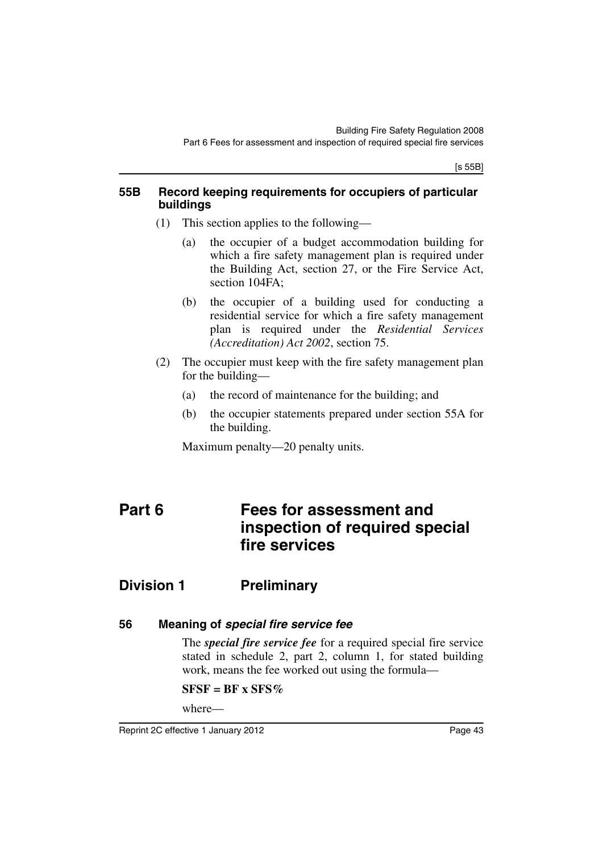[s 55B]

#### **55B Record keeping requirements for occupiers of particular buildings**

- (1) This section applies to the following—
	- (a) the occupier of a budget accommodation building for which a fire safety management plan is required under the Building Act, section 27, or the Fire Service Act, section 104FA;
	- (b) the occupier of a building used for conducting a residential service for which a fire safety management plan is required under the *Residential Services (Accreditation) Act 2002*, section 75.
- (2) The occupier must keep with the fire safety management plan for the building—
	- (a) the record of maintenance for the building; and
	- (b) the occupier statements prepared under section 55A for the building.

Maximum penalty—20 penalty units.

# **Part 6 Fees for assessment and inspection of required special fire services**

# **Division 1 Preliminary**

### **56 Meaning of** *special fire service fee*

The *special fire service fee* for a required special fire service stated in schedule 2, part 2, column 1, for stated building work, means the fee worked out using the formula—

### $SFSF = BF \times SFS\%$

where—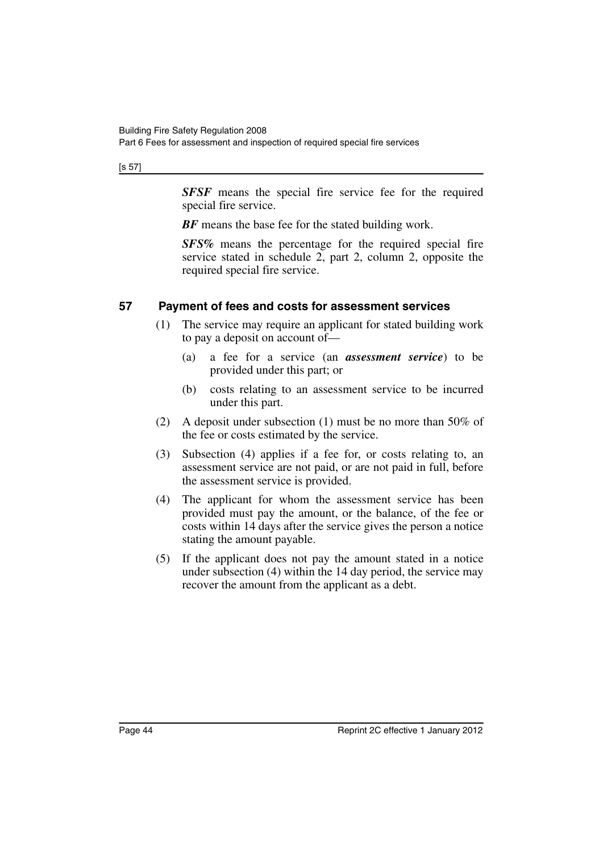Part 6 Fees for assessment and inspection of required special fire services

[s 57]

*SFSF* means the special fire service fee for the required special fire service.

**BF** means the base fee for the stated building work.

*SFS%* means the percentage for the required special fire service stated in schedule 2, part 2, column 2, opposite the required special fire service.

### **57 Payment of fees and costs for assessment services**

- (1) The service may require an applicant for stated building work to pay a deposit on account of—
	- (a) a fee for a service (an *assessment service*) to be provided under this part; or
	- (b) costs relating to an assessment service to be incurred under this part.
- (2) A deposit under subsection (1) must be no more than 50% of the fee or costs estimated by the service.
- (3) Subsection (4) applies if a fee for, or costs relating to, an assessment service are not paid, or are not paid in full, before the assessment service is provided.
- (4) The applicant for whom the assessment service has been provided must pay the amount, or the balance, of the fee or costs within 14 days after the service gives the person a notice stating the amount payable.
- (5) If the applicant does not pay the amount stated in a notice under subsection (4) within the 14 day period, the service may recover the amount from the applicant as a debt.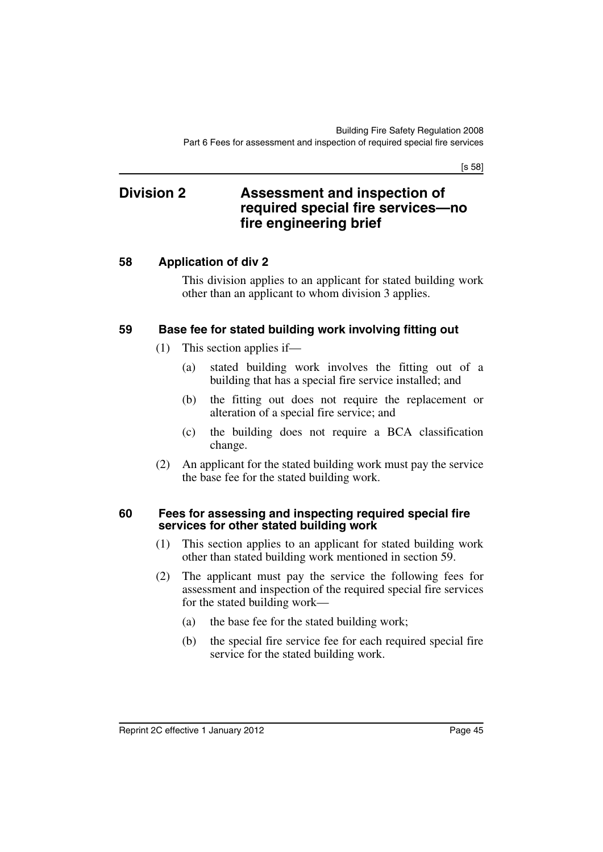[s 58]

### **Division 2 Assessment and inspection of required special fire services—no fire engineering brief**

### **58 Application of div 2**

This division applies to an applicant for stated building work other than an applicant to whom division 3 applies.

#### **59 Base fee for stated building work involving fitting out**

- (1) This section applies if—
	- (a) stated building work involves the fitting out of a building that has a special fire service installed; and
	- (b) the fitting out does not require the replacement or alteration of a special fire service; and
	- (c) the building does not require a BCA classification change.
- (2) An applicant for the stated building work must pay the service the base fee for the stated building work.

#### **60 Fees for assessing and inspecting required special fire services for other stated building work**

- (1) This section applies to an applicant for stated building work other than stated building work mentioned in section 59.
- (2) The applicant must pay the service the following fees for assessment and inspection of the required special fire services for the stated building work—
	- (a) the base fee for the stated building work;
	- (b) the special fire service fee for each required special fire service for the stated building work.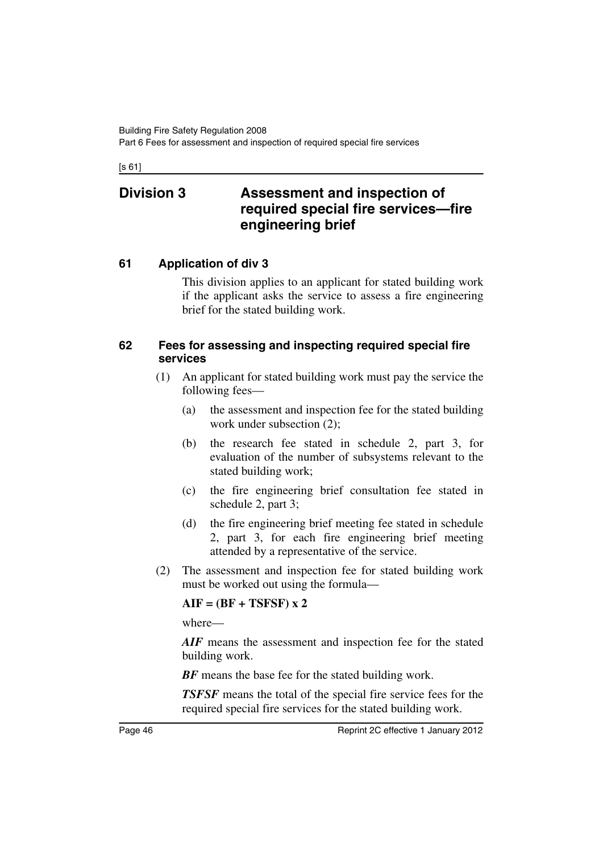[s 61]

## **Division 3 Assessment and inspection of required special fire services—fire engineering brief**

### **61 Application of div 3**

This division applies to an applicant for stated building work if the applicant asks the service to assess a fire engineering brief for the stated building work.

#### **62 Fees for assessing and inspecting required special fire services**

- (1) An applicant for stated building work must pay the service the following fees—
	- (a) the assessment and inspection fee for the stated building work under subsection (2);
	- (b) the research fee stated in schedule 2, part 3, for evaluation of the number of subsystems relevant to the stated building work;
	- (c) the fire engineering brief consultation fee stated in schedule 2, part 3;
	- (d) the fire engineering brief meeting fee stated in schedule 2, part 3, for each fire engineering brief meeting attended by a representative of the service.
- (2) The assessment and inspection fee for stated building work must be worked out using the formula—

#### **AIF = (BF + TSFSF) x 2**

where—

AIF means the assessment and inspection fee for the stated building work.

**BF** means the base fee for the stated building work.

*TSFSF* means the total of the special fire service fees for the required special fire services for the stated building work.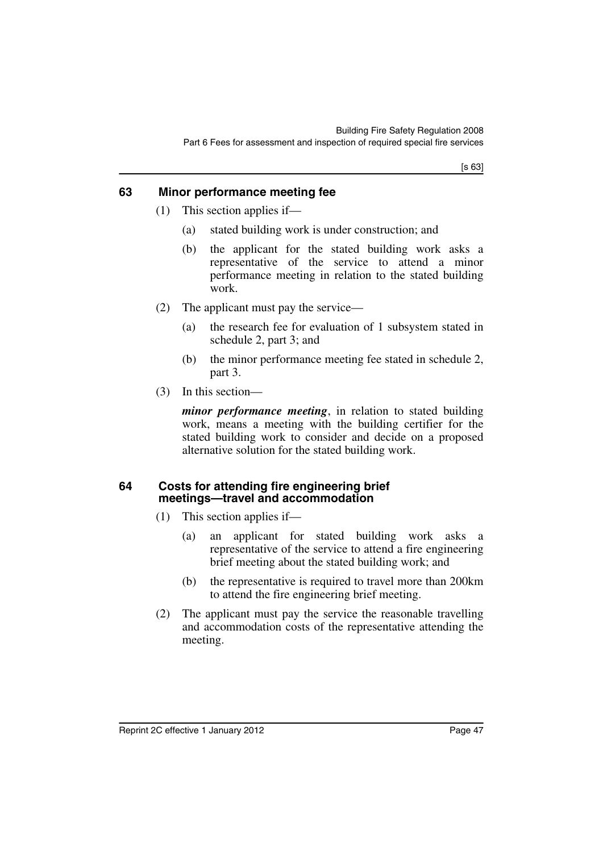[s 63]

#### **63 Minor performance meeting fee**

- (1) This section applies if—
	- (a) stated building work is under construction; and
	- (b) the applicant for the stated building work asks a representative of the service to attend a minor performance meeting in relation to the stated building work.
- (2) The applicant must pay the service—
	- (a) the research fee for evaluation of 1 subsystem stated in schedule 2, part 3; and
	- (b) the minor performance meeting fee stated in schedule 2, part 3.
- (3) In this section—

*minor performance meeting*, in relation to stated building work, means a meeting with the building certifier for the stated building work to consider and decide on a proposed alternative solution for the stated building work.

#### **64 Costs for attending fire engineering brief meetings—travel and accommodation**

- (1) This section applies if—
	- (a) an applicant for stated building work asks a representative of the service to attend a fire engineering brief meeting about the stated building work; and
	- (b) the representative is required to travel more than 200km to attend the fire engineering brief meeting.
- (2) The applicant must pay the service the reasonable travelling and accommodation costs of the representative attending the meeting.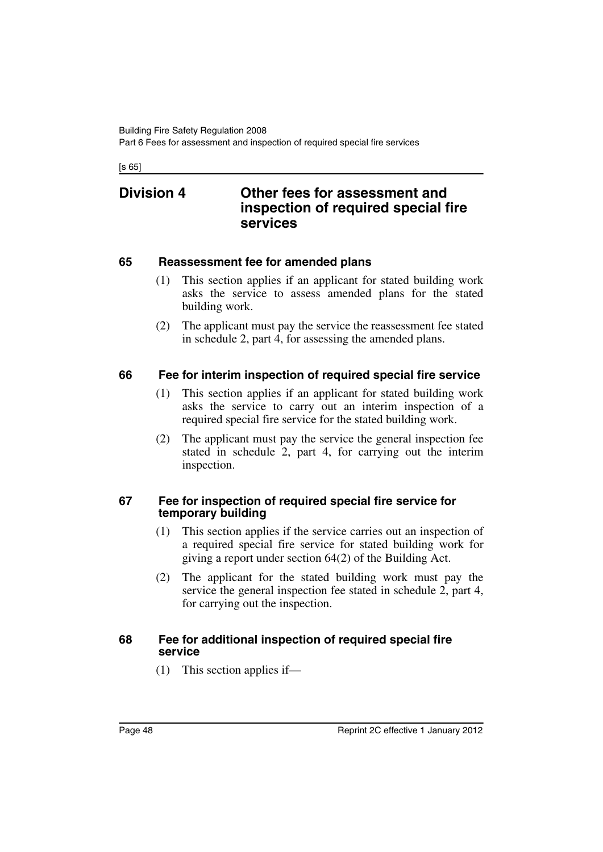[s 65]

### **Division 4 Other fees for assessment and inspection of required special fire services**

#### **65 Reassessment fee for amended plans**

- (1) This section applies if an applicant for stated building work asks the service to assess amended plans for the stated building work.
- (2) The applicant must pay the service the reassessment fee stated in schedule 2, part 4, for assessing the amended plans.

### **66 Fee for interim inspection of required special fire service**

- (1) This section applies if an applicant for stated building work asks the service to carry out an interim inspection of a required special fire service for the stated building work.
- (2) The applicant must pay the service the general inspection fee stated in schedule 2, part 4, for carrying out the interim inspection.

#### **67 Fee for inspection of required special fire service for temporary building**

- (1) This section applies if the service carries out an inspection of a required special fire service for stated building work for giving a report under section 64(2) of the Building Act.
- (2) The applicant for the stated building work must pay the service the general inspection fee stated in schedule 2, part 4, for carrying out the inspection.

#### **68 Fee for additional inspection of required special fire service**

(1) This section applies if—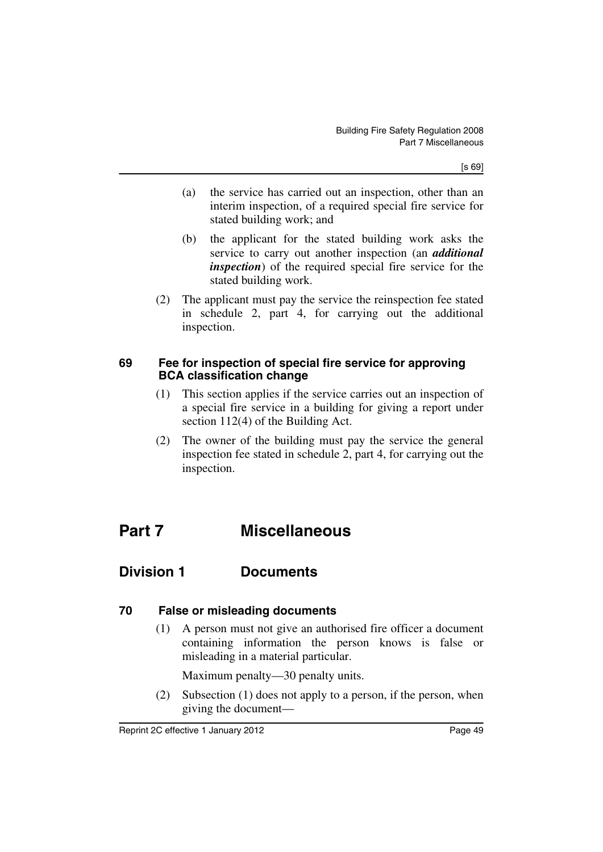- (a) the service has carried out an inspection, other than an interim inspection, of a required special fire service for stated building work; and
- (b) the applicant for the stated building work asks the service to carry out another inspection (an *additional inspection*) of the required special fire service for the stated building work.
- (2) The applicant must pay the service the reinspection fee stated in schedule 2, part 4, for carrying out the additional inspection.

### **69 Fee for inspection of special fire service for approving BCA classification change**

- (1) This section applies if the service carries out an inspection of a special fire service in a building for giving a report under section 112(4) of the Building Act.
- (2) The owner of the building must pay the service the general inspection fee stated in schedule 2, part 4, for carrying out the inspection.

# **Part 7 Miscellaneous**

### **Division 1 Documents**

### **70 False or misleading documents**

(1) A person must not give an authorised fire officer a document containing information the person knows is false or misleading in a material particular.

Maximum penalty—30 penalty units.

(2) Subsection (1) does not apply to a person, if the person, when giving the document—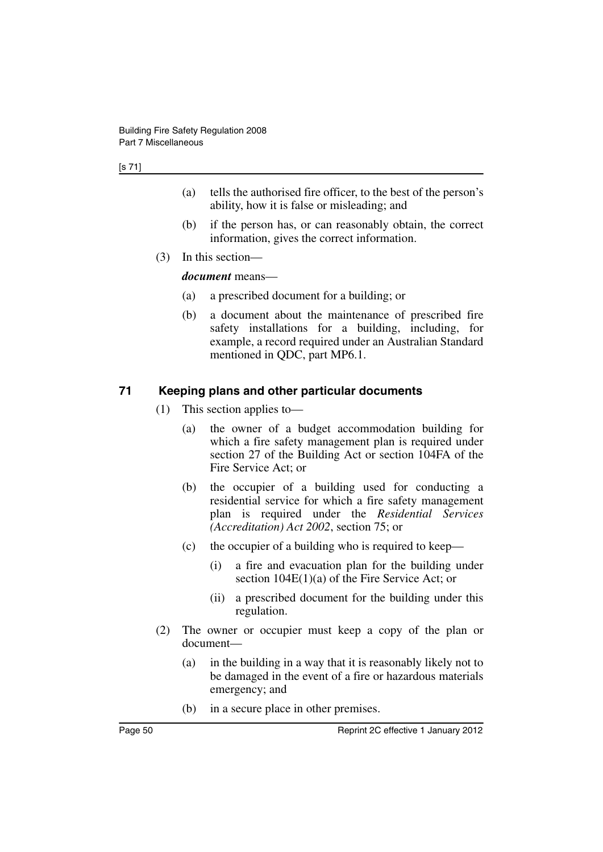#### [s 71]

- (a) tells the authorised fire officer, to the best of the person's ability, how it is false or misleading; and
- (b) if the person has, or can reasonably obtain, the correct information, gives the correct information.
- (3) In this section—

*document* means—

- (a) a prescribed document for a building; or
- (b) a document about the maintenance of prescribed fire safety installations for a building, including, for example, a record required under an Australian Standard mentioned in QDC, part MP6.1.

#### **71 Keeping plans and other particular documents**

- (1) This section applies to—
	- (a) the owner of a budget accommodation building for which a fire safety management plan is required under section 27 of the Building Act or section 104FA of the Fire Service Act; or
	- (b) the occupier of a building used for conducting a residential service for which a fire safety management plan is required under the *Residential Services (Accreditation) Act 2002*, section 75; or
	- (c) the occupier of a building who is required to keep—
		- (i) a fire and evacuation plan for the building under section 104E(1)(a) of the Fire Service Act; or
		- (ii) a prescribed document for the building under this regulation.
- (2) The owner or occupier must keep a copy of the plan or document—
	- (a) in the building in a way that it is reasonably likely not to be damaged in the event of a fire or hazardous materials emergency; and
	- (b) in a secure place in other premises.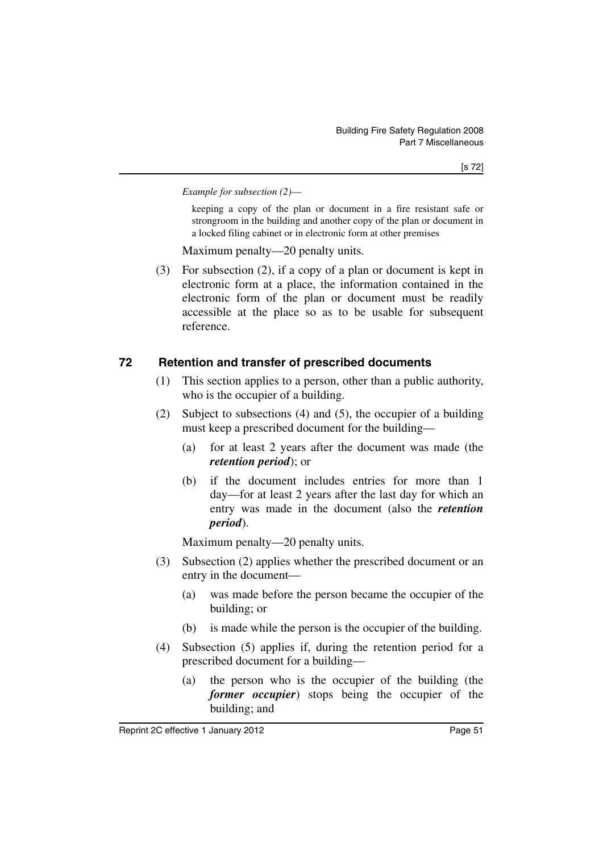*Example for subsection (2)*—

keeping a copy of the plan or document in a fire resistant safe or strongroom in the building and another copy of the plan or document in a locked filing cabinet or in electronic form at other premises

Maximum penalty—20 penalty units.

(3) For subsection (2), if a copy of a plan or document is kept in electronic form at a place, the information contained in the electronic form of the plan or document must be readily accessible at the place so as to be usable for subsequent reference.

### **72 Retention and transfer of prescribed documents**

- (1) This section applies to a person, other than a public authority, who is the occupier of a building.
- (2) Subject to subsections (4) and (5), the occupier of a building must keep a prescribed document for the building—
	- (a) for at least 2 years after the document was made (the *retention period*); or
	- (b) if the document includes entries for more than 1 day—for at least 2 years after the last day for which an entry was made in the document (also the *retention period*).

Maximum penalty—20 penalty units.

- (3) Subsection (2) applies whether the prescribed document or an entry in the document—
	- (a) was made before the person became the occupier of the building; or
	- (b) is made while the person is the occupier of the building.
- (4) Subsection (5) applies if, during the retention period for a prescribed document for a building—
	- (a) the person who is the occupier of the building (the *former occupier*) stops being the occupier of the building; and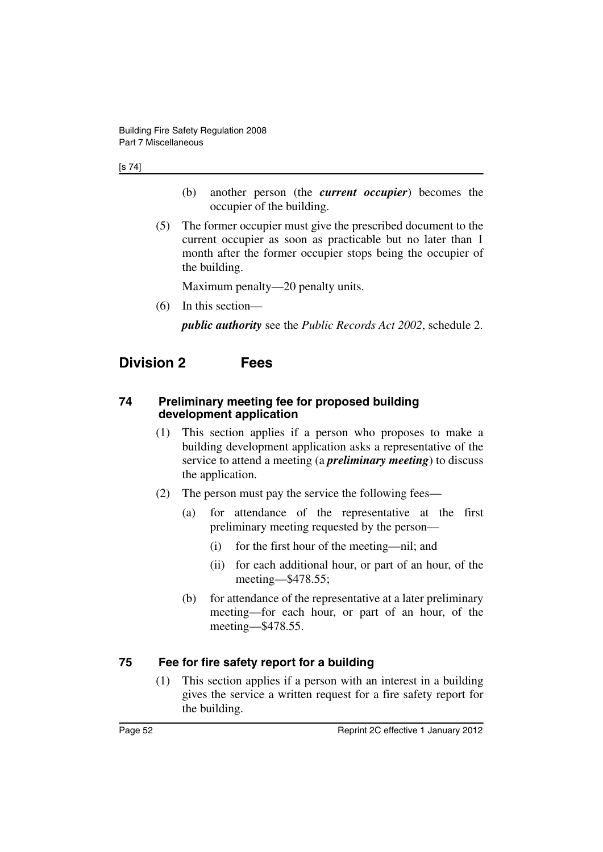#### [s 74]

- (b) another person (the *current occupier*) becomes the occupier of the building.
- (5) The former occupier must give the prescribed document to the current occupier as soon as practicable but no later than 1 month after the former occupier stops being the occupier of the building.

Maximum penalty—20 penalty units.

(6) In this section—

*public authority* see the *Public Records Act 2002*, schedule 2.

## **Division 2 Fees**

#### **74 Preliminary meeting fee for proposed building development application**

- (1) This section applies if a person who proposes to make a building development application asks a representative of the service to attend a meeting (a *preliminary meeting*) to discuss the application.
- (2) The person must pay the service the following fees—
	- (a) for attendance of the representative at the first preliminary meeting requested by the person—
		- (i) for the first hour of the meeting—nil; and
		- (ii) for each additional hour, or part of an hour, of the meeting—\$478.55;
	- (b) for attendance of the representative at a later preliminary meeting—for each hour, or part of an hour, of the meeting—\$478.55.

#### **75 Fee for fire safety report for a building**

(1) This section applies if a person with an interest in a building gives the service a written request for a fire safety report for the building.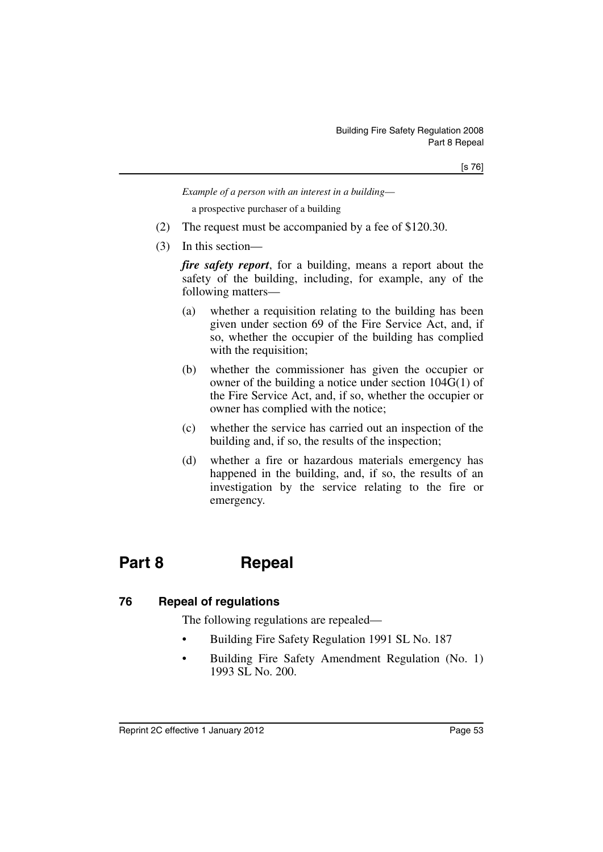[s 76]

*Example of a person with an interest in a building*—

a prospective purchaser of a building

- (2) The request must be accompanied by a fee of \$120.30.
- (3) In this section—

*fire safety report*, for a building, means a report about the safety of the building, including, for example, any of the following matters—

- (a) whether a requisition relating to the building has been given under section 69 of the Fire Service Act, and, if so, whether the occupier of the building has complied with the requisition;
- (b) whether the commissioner has given the occupier or owner of the building a notice under section 104G(1) of the Fire Service Act, and, if so, whether the occupier or owner has complied with the notice;
- (c) whether the service has carried out an inspection of the building and, if so, the results of the inspection;
- (d) whether a fire or hazardous materials emergency has happened in the building, and, if so, the results of an investigation by the service relating to the fire or emergency.

# **Part 8 Repeal**

#### **76 Repeal of regulations**

The following regulations are repealed—

- Building Fire Safety Regulation 1991 SL No. 187
- Building Fire Safety Amendment Regulation (No. 1) 1993 SL No. 200.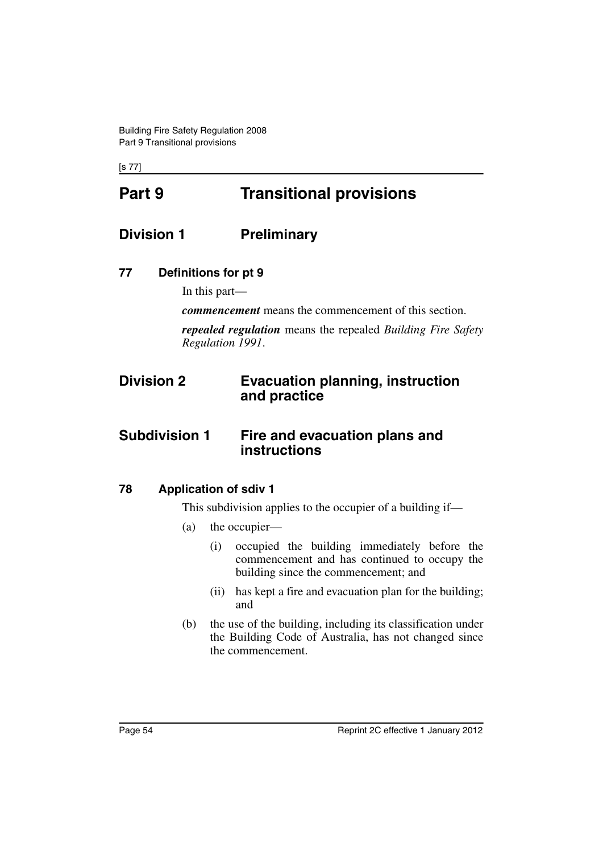[s 77]

# **Part 9 Transitional provisions**

## **Division 1 Preliminary**

### **77 Definitions for pt 9**

In this part—

*commencement* means the commencement of this section.

*repealed regulation* means the repealed *Building Fire Safety Regulation 1991*.

## **Division 2 Evacuation planning, instruction and practice**

### **Subdivision 1 Fire and evacuation plans and instructions**

### **78 Application of sdiv 1**

This subdivision applies to the occupier of a building if—

- (a) the occupier—
	- (i) occupied the building immediately before the commencement and has continued to occupy the building since the commencement; and
	- (ii) has kept a fire and evacuation plan for the building; and
- (b) the use of the building, including its classification under the Building Code of Australia, has not changed since the commencement.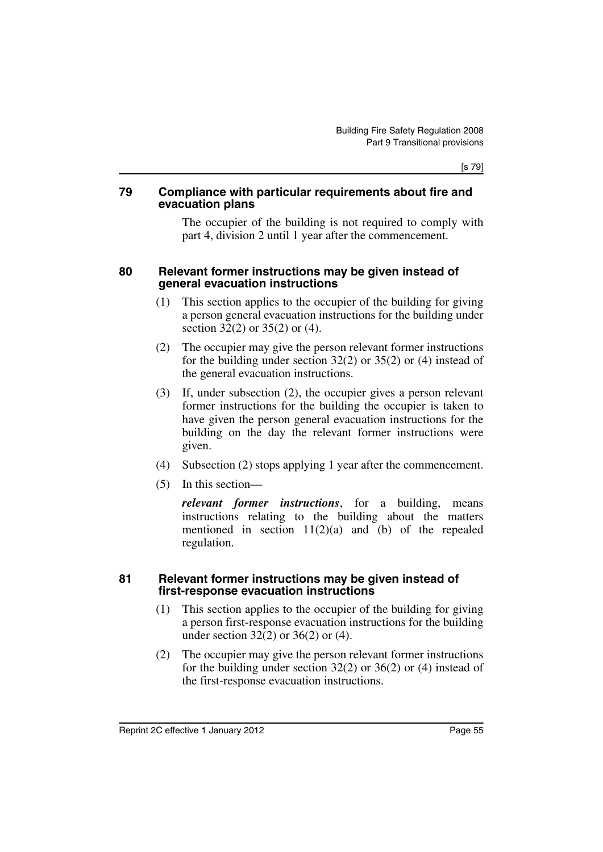[s 79]

#### **79 Compliance with particular requirements about fire and evacuation plans**

The occupier of the building is not required to comply with part 4, division 2 until 1 year after the commencement.

#### **80 Relevant former instructions may be given instead of general evacuation instructions**

- (1) This section applies to the occupier of the building for giving a person general evacuation instructions for the building under section 32(2) or 35(2) or (4).
- (2) The occupier may give the person relevant former instructions for the building under section 32(2) or 35(2) or (4) instead of the general evacuation instructions.
- (3) If, under subsection (2), the occupier gives a person relevant former instructions for the building the occupier is taken to have given the person general evacuation instructions for the building on the day the relevant former instructions were given.
- (4) Subsection (2) stops applying 1 year after the commencement.
- (5) In this section—

*relevant former instructions*, for a building, means instructions relating to the building about the matters mentioned in section  $11(2)(a)$  and  $(b)$  of the repealed regulation.

#### **81 Relevant former instructions may be given instead of first-response evacuation instructions**

- (1) This section applies to the occupier of the building for giving a person first-response evacuation instructions for the building under section 32(2) or 36(2) or (4).
- (2) The occupier may give the person relevant former instructions for the building under section  $32(2)$  or  $36(2)$  or  $(4)$  instead of the first-response evacuation instructions.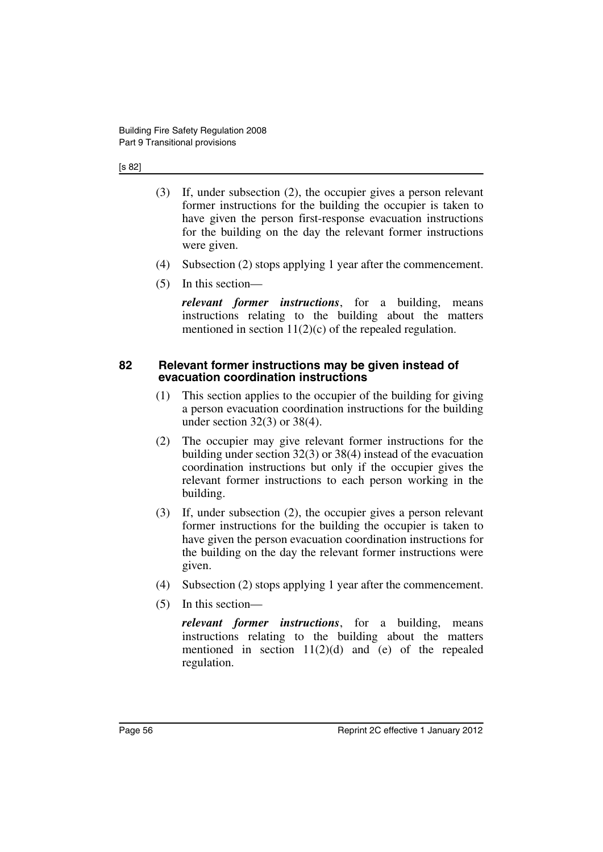#### [s 82]

- (3) If, under subsection (2), the occupier gives a person relevant former instructions for the building the occupier is taken to have given the person first-response evacuation instructions for the building on the day the relevant former instructions were given.
- (4) Subsection (2) stops applying 1 year after the commencement.
- (5) In this section—

*relevant former instructions*, for a building, means instructions relating to the building about the matters mentioned in section  $11(2)(c)$  of the repealed regulation.

#### **82 Relevant former instructions may be given instead of evacuation coordination instructions**

- (1) This section applies to the occupier of the building for giving a person evacuation coordination instructions for the building under section 32(3) or 38(4).
- (2) The occupier may give relevant former instructions for the building under section 32(3) or 38(4) instead of the evacuation coordination instructions but only if the occupier gives the relevant former instructions to each person working in the building.
- (3) If, under subsection (2), the occupier gives a person relevant former instructions for the building the occupier is taken to have given the person evacuation coordination instructions for the building on the day the relevant former instructions were given.
- (4) Subsection (2) stops applying 1 year after the commencement.
- (5) In this section—

*relevant former instructions*, for a building, means instructions relating to the building about the matters mentioned in section  $11(2)(d)$  and  $(e)$  of the repealed regulation.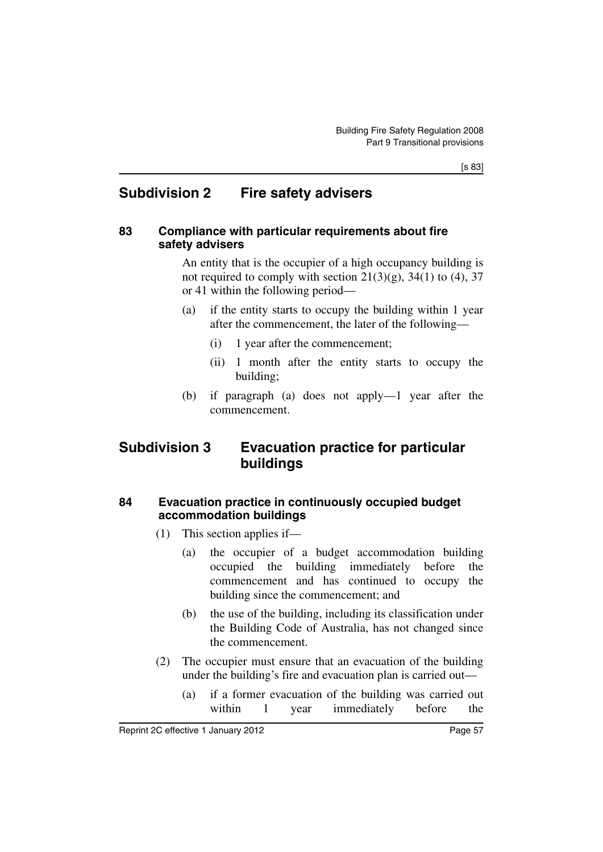## **Subdivision 2 Fire safety advisers**

#### **83 Compliance with particular requirements about fire safety advisers**

An entity that is the occupier of a high occupancy building is not required to comply with section  $21(3)(g)$ ,  $34(1)$  to (4), 37 or 41 within the following period—

- (a) if the entity starts to occupy the building within 1 year after the commencement, the later of the following—
	- (i) 1 year after the commencement;
	- (ii) 1 month after the entity starts to occupy the building;
- (b) if paragraph (a) does not apply—1 year after the commencement.

## **Subdivision 3 Evacuation practice for particular buildings**

### **84 Evacuation practice in continuously occupied budget accommodation buildings**

- (1) This section applies if—
	- (a) the occupier of a budget accommodation building occupied the building immediately before the commencement and has continued to occupy the building since the commencement; and
	- (b) the use of the building, including its classification under the Building Code of Australia, has not changed since the commencement.
- (2) The occupier must ensure that an evacuation of the building under the building's fire and evacuation plan is carried out—
	- (a) if a former evacuation of the building was carried out within 1 year immediately before the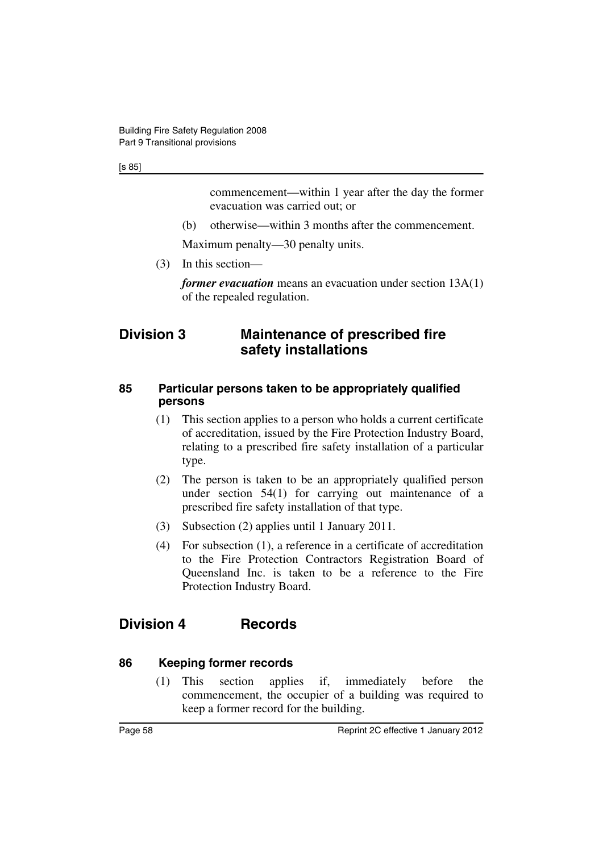[s 85]

commencement—within 1 year after the day the former evacuation was carried out; or

(b) otherwise—within 3 months after the commencement.

Maximum penalty—30 penalty units.

(3) In this section—

*former evacuation* means an evacuation under section 13A(1) of the repealed regulation.

## **Division 3 Maintenance of prescribed fire safety installations**

#### **85 Particular persons taken to be appropriately qualified persons**

- (1) This section applies to a person who holds a current certificate of accreditation, issued by the Fire Protection Industry Board, relating to a prescribed fire safety installation of a particular type.
- (2) The person is taken to be an appropriately qualified person under section 54(1) for carrying out maintenance of a prescribed fire safety installation of that type.
- (3) Subsection (2) applies until 1 January 2011.
- (4) For subsection (1), a reference in a certificate of accreditation to the Fire Protection Contractors Registration Board of Queensland Inc. is taken to be a reference to the Fire Protection Industry Board.

# **Division 4 Records**

### **86 Keeping former records**

(1) This section applies if, immediately before the commencement, the occupier of a building was required to keep a former record for the building.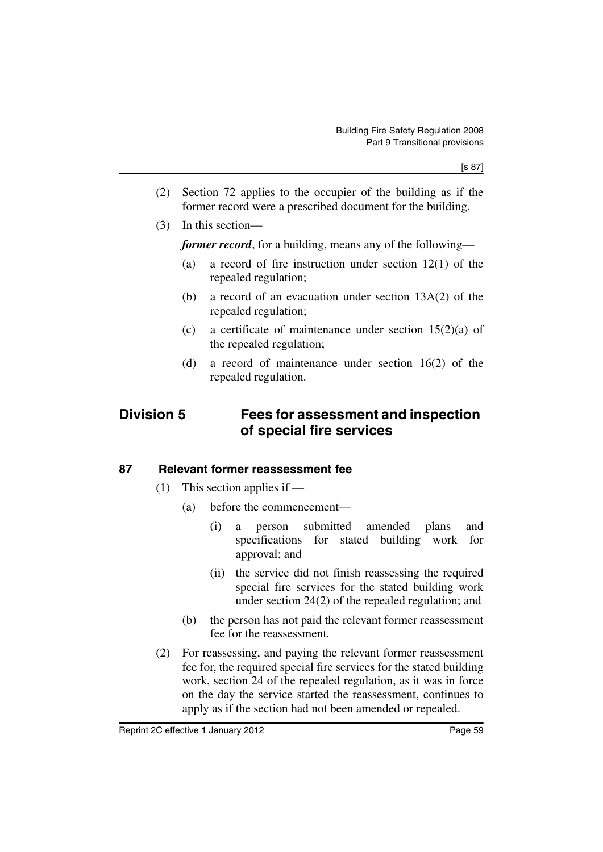- (2) Section 72 applies to the occupier of the building as if the former record were a prescribed document for the building.
- (3) In this section—

*former record*, for a building, means any of the following—

- (a) a record of fire instruction under section 12(1) of the repealed regulation;
- (b) a record of an evacuation under section 13A(2) of the repealed regulation;
- (c) a certificate of maintenance under section  $15(2)(a)$  of the repealed regulation;
- (d) a record of maintenance under section 16(2) of the repealed regulation.

## **Division 5 Fees for assessment and inspection of special fire services**

### **87 Relevant former reassessment fee**

- $(1)$  This section applies if
	- (a) before the commencement—
		- (i) a person submitted amended plans and specifications for stated building work for approval; and
		- (ii) the service did not finish reassessing the required special fire services for the stated building work under section 24(2) of the repealed regulation; and
	- (b) the person has not paid the relevant former reassessment fee for the reassessment.
- (2) For reassessing, and paying the relevant former reassessment fee for, the required special fire services for the stated building work, section 24 of the repealed regulation, as it was in force on the day the service started the reassessment, continues to apply as if the section had not been amended or repealed.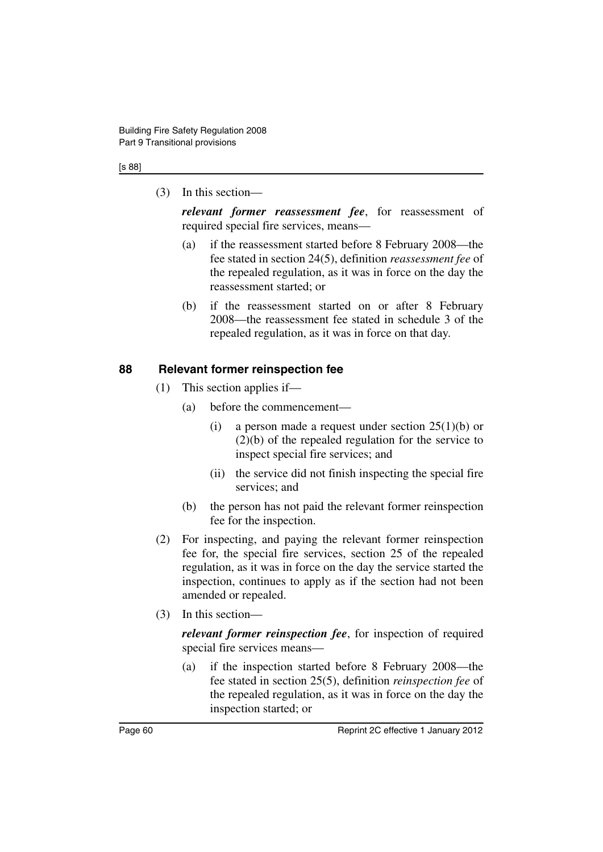#### [s 88]

(3) In this section—

*relevant former reassessment fee*, for reassessment of required special fire services, means—

- (a) if the reassessment started before 8 February 2008—the fee stated in section 24(5), definition *reassessment fee* of the repealed regulation, as it was in force on the day the reassessment started; or
- (b) if the reassessment started on or after 8 February 2008—the reassessment fee stated in schedule 3 of the repealed regulation, as it was in force on that day.

#### **88 Relevant former reinspection fee**

- (1) This section applies if—
	- (a) before the commencement—
		- (i) a person made a request under section  $25(1)(b)$  or (2)(b) of the repealed regulation for the service to inspect special fire services; and
		- (ii) the service did not finish inspecting the special fire services: and
	- (b) the person has not paid the relevant former reinspection fee for the inspection.
- (2) For inspecting, and paying the relevant former reinspection fee for, the special fire services, section 25 of the repealed regulation, as it was in force on the day the service started the inspection, continues to apply as if the section had not been amended or repealed.
- (3) In this section—

*relevant former reinspection fee*, for inspection of required special fire services means—

(a) if the inspection started before 8 February 2008—the fee stated in section 25(5), definition *reinspection fee* of the repealed regulation, as it was in force on the day the inspection started; or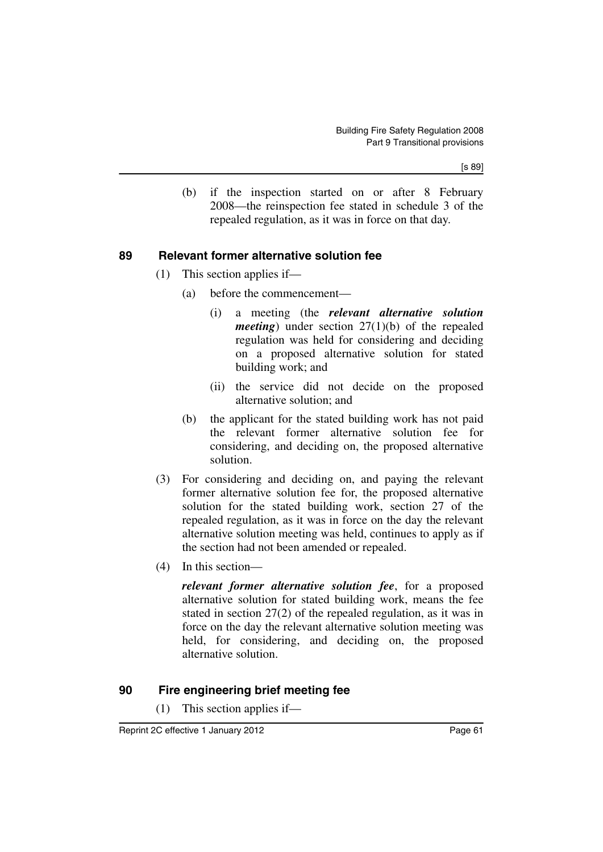(b) if the inspection started on or after 8 February 2008—the reinspection fee stated in schedule 3 of the repealed regulation, as it was in force on that day.

### **89 Relevant former alternative solution fee**

- (1) This section applies if—
	- (a) before the commencement—
		- (i) a meeting (the *relevant alternative solution meeting*) under section 27(1)(b) of the repealed regulation was held for considering and deciding on a proposed alternative solution for stated building work; and
		- (ii) the service did not decide on the proposed alternative solution; and
	- (b) the applicant for the stated building work has not paid the relevant former alternative solution fee for considering, and deciding on, the proposed alternative solution.
- (3) For considering and deciding on, and paying the relevant former alternative solution fee for, the proposed alternative solution for the stated building work, section 27 of the repealed regulation, as it was in force on the day the relevant alternative solution meeting was held, continues to apply as if the section had not been amended or repealed.
- (4) In this section—

*relevant former alternative solution fee*, for a proposed alternative solution for stated building work, means the fee stated in section 27(2) of the repealed regulation, as it was in force on the day the relevant alternative solution meeting was held, for considering, and deciding on, the proposed alternative solution.

### **90 Fire engineering brief meeting fee**

(1) This section applies if—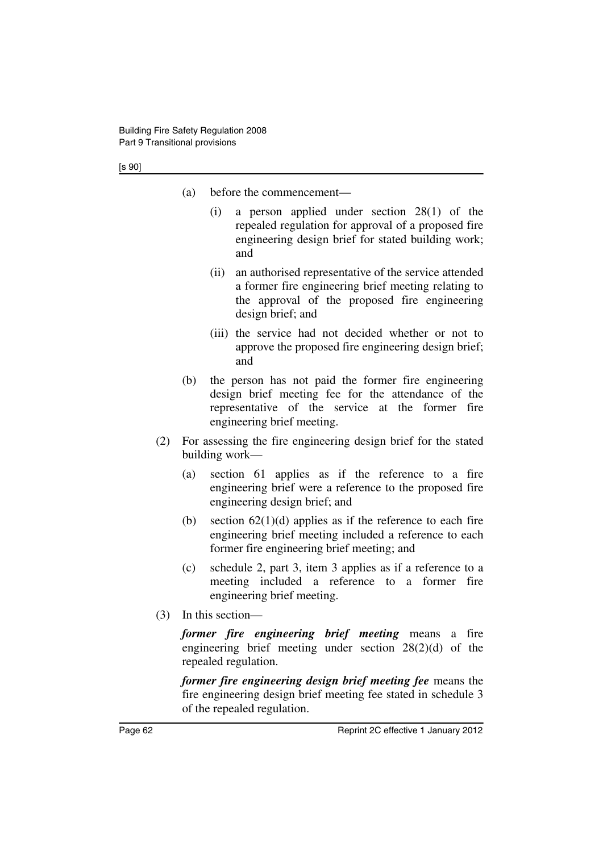#### [s 90]

- (a) before the commencement—
	- (i) a person applied under section 28(1) of the repealed regulation for approval of a proposed fire engineering design brief for stated building work; and
	- (ii) an authorised representative of the service attended a former fire engineering brief meeting relating to the approval of the proposed fire engineering design brief; and
	- (iii) the service had not decided whether or not to approve the proposed fire engineering design brief; and
- (b) the person has not paid the former fire engineering design brief meeting fee for the attendance of the representative of the service at the former fire engineering brief meeting.
- (2) For assessing the fire engineering design brief for the stated building work—
	- (a) section 61 applies as if the reference to a fire engineering brief were a reference to the proposed fire engineering design brief; and
	- (b) section  $62(1)(d)$  applies as if the reference to each fire engineering brief meeting included a reference to each former fire engineering brief meeting; and
	- (c) schedule 2, part 3, item 3 applies as if a reference to a meeting included a reference to a former fire engineering brief meeting.
- (3) In this section—

*former fire engineering brief meeting* means a fire engineering brief meeting under section 28(2)(d) of the repealed regulation.

*former fire engineering design brief meeting fee* means the fire engineering design brief meeting fee stated in schedule 3 of the repealed regulation.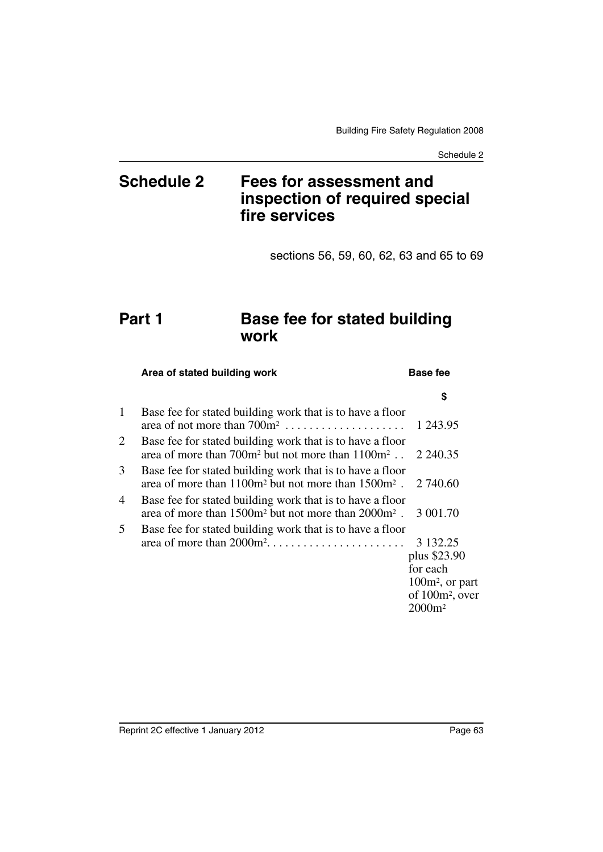# **Schedule 2 Fees for assessment and inspection of required special fire services**

sections 56, 59, 60, 62, 63 and 65 to 69

# **Part 1 Base fee for stated building work**

### Area of stated building work **Base fee \$** 1 Base fee for stated building work that is to have a floor area of not more than 700m2 . . . . . . . . . . . . . . . . . . . . 1 243.95 2 Base fee for stated building work that is to have a floor area of more than  $700m^2$  but not more than  $1100m^2$ ...  $2,240.35$ 3 Base fee for stated building work that is to have a floor area of more than  $1100m^2$  but not more than  $1500m^2$ .  $2740.60$ 4 Base fee for stated building work that is to have a floor area of more than 1500m2 but not more than 2000m2 . 3 001.70 5 Base fee for stated building work that is to have a floor area of more than 2000m2. . . . . . . . . . . . . . . . . . . . . . . 3 132.25 plus \$23.90 for each 100m2, or part of 100m2, over 2000m2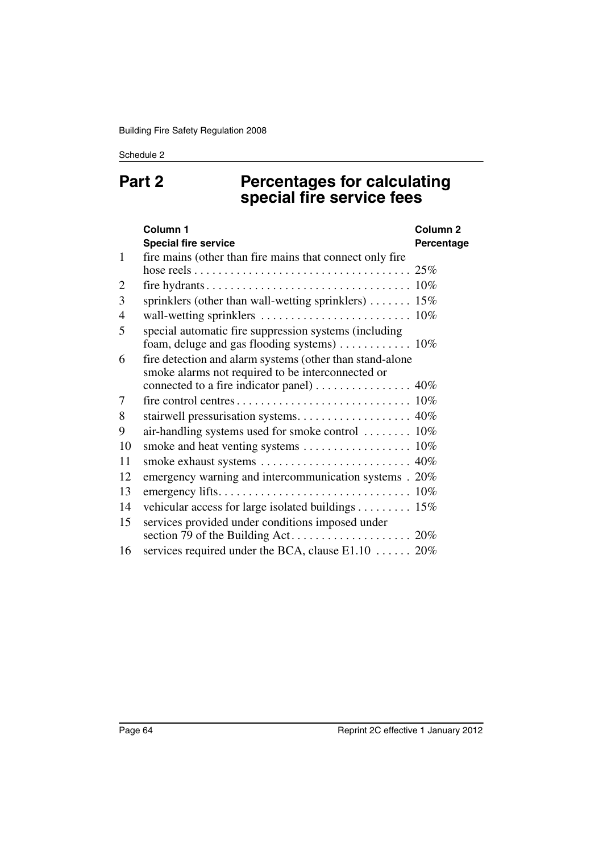#### Schedule 2

# **Part 2 Percentages for calculating special fire service fees**

|                | Column <sub>1</sub>                                                           | Column <sub>2</sub> |
|----------------|-------------------------------------------------------------------------------|---------------------|
|                | <b>Special fire service</b>                                                   | Percentage          |
| $\mathbf{1}$   | fire mains (other than fire mains that connect only fire                      |                     |
|                |                                                                               |                     |
| 2              |                                                                               |                     |
| 3              | sprinklers (other than wall-wetting sprinklers) $\dots \dots \dots 15\%$      |                     |
| $\overline{4}$ |                                                                               |                     |
| 5              | special automatic fire suppression systems (including                         |                     |
|                | foam, deluge and gas flooding systems) $\dots \dots \dots \dots \dots \dots$  |                     |
| 6              | fire detection and alarm systems (other than stand-alone                      |                     |
|                | smoke alarms not required to be interconnected or                             |                     |
|                | connected to a fire indicator panel) $\ldots \ldots \ldots \ldots \ldots$ 40% |                     |
| 7              |                                                                               |                     |
| 8              |                                                                               |                     |
| 9              | air-handling systems used for smoke control  10%                              |                     |
| 10             |                                                                               |                     |
| 11             |                                                                               |                     |
| 12             | emergency warning and intercommunication systems . 20%                        |                     |
| 13             |                                                                               |                     |
| 14             | vehicular access for large isolated buildings 15%                             |                     |
| 15             | services provided under conditions imposed under                              |                     |
|                |                                                                               |                     |
| 16             | services required under the BCA, clause $E1.10$ 20%                           |                     |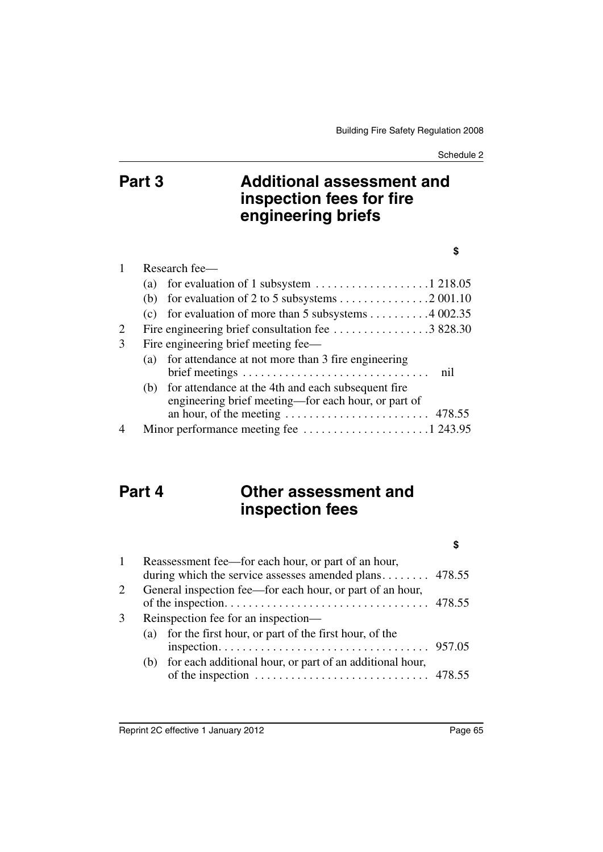# **Part 3 Additional assessment and inspection fees for fire engineering briefs**

#### **\$**

|   | Research fee- |                                                                                                           |  |  |
|---|---------------|-----------------------------------------------------------------------------------------------------------|--|--|
|   | (a)           | for evaluation of 1 subsystem $\dots \dots \dots \dots \dots \dots 1$ 218.05                              |  |  |
|   |               |                                                                                                           |  |  |
|   |               | (c) for evaluation of more than 5 subsystems $\dots \dots \dots 4002.35$                                  |  |  |
| 2 |               |                                                                                                           |  |  |
| 3 |               | Fire engineering brief meeting fee—                                                                       |  |  |
|   | (a)           | for attendance at not more than 3 fire engineering<br>nil                                                 |  |  |
|   | (b)           | for attendance at the 4th and each subsequent fire<br>engineering brief meeting—for each hour, or part of |  |  |
|   |               | an hour, of the meeting $\dots \dots \dots \dots \dots \dots \dots$ 478.55                                |  |  |
|   |               |                                                                                                           |  |  |

# **Part 4 Other assessment and inspection fees**

#### **\$**

| 1 |                                                           | Reassessment fee—for each hour, or part of an hour,<br>during which the service assesses amended plans $478.55$ |  |
|---|-----------------------------------------------------------|-----------------------------------------------------------------------------------------------------------------|--|
| 2 | General inspection fee—for each hour, or part of an hour, |                                                                                                                 |  |
|   |                                                           |                                                                                                                 |  |
| 3 |                                                           | Reinspection fee for an inspection—                                                                             |  |
|   | (a)                                                       | for the first hour, or part of the first hour, of the                                                           |  |
|   |                                                           |                                                                                                                 |  |
|   | (b)                                                       | for each additional hour, or part of an additional hour,                                                        |  |
|   |                                                           | of the inspection $\dots \dots \dots \dots \dots \dots \dots \dots \dots$ 478.55                                |  |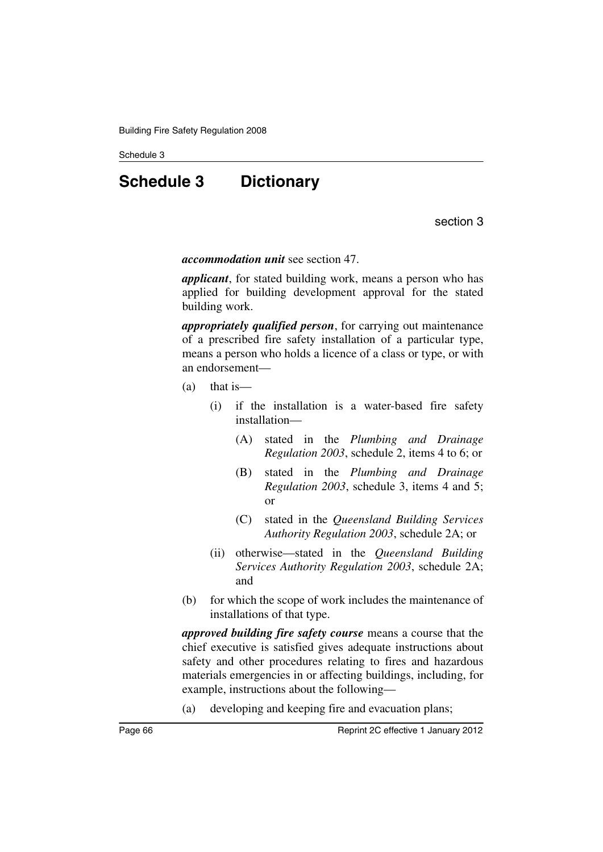#### Schedule 3

# **Schedule 3 Dictionary**

section 3

*accommodation unit* see section 47.

*applicant*, for stated building work, means a person who has applied for building development approval for the stated building work.

*appropriately qualified person*, for carrying out maintenance of a prescribed fire safety installation of a particular type, means a person who holds a licence of a class or type, or with an endorsement—

- (a) that is—
	- (i) if the installation is a water-based fire safety installation—
		- (A) stated in the *Plumbing and Drainage Regulation 2003*, schedule 2, items 4 to 6; or
		- (B) stated in the *Plumbing and Drainage Regulation 2003*, schedule 3, items 4 and 5; or
		- (C) stated in the *Queensland Building Services Authority Regulation 2003*, schedule 2A; or
	- (ii) otherwise—stated in the *Queensland Building Services Authority Regulation 2003*, schedule 2A; and
- (b) for which the scope of work includes the maintenance of installations of that type.

*approved building fire safety course* means a course that the chief executive is satisfied gives adequate instructions about safety and other procedures relating to fires and hazardous materials emergencies in or affecting buildings, including, for example, instructions about the following—

(a) developing and keeping fire and evacuation plans;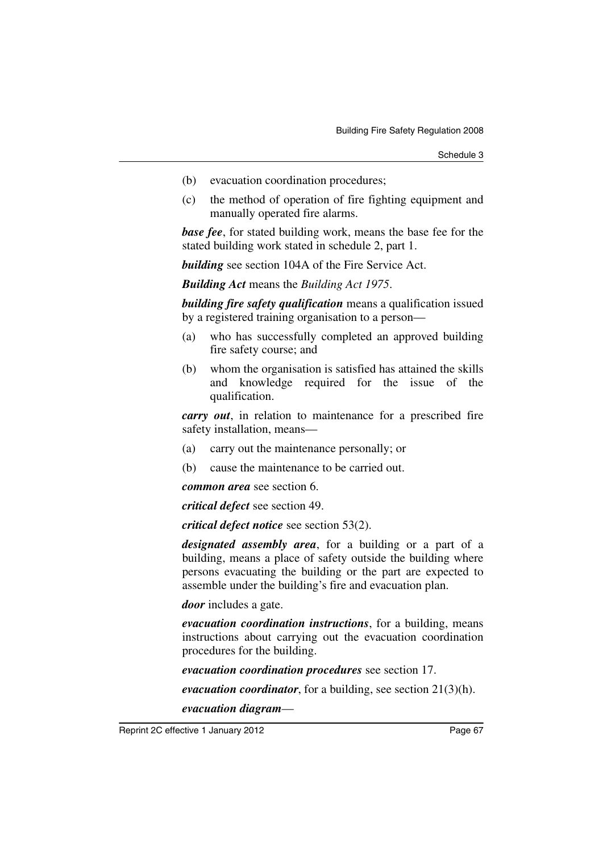- (b) evacuation coordination procedures;
- (c) the method of operation of fire fighting equipment and manually operated fire alarms.

*base fee*, for stated building work, means the base fee for the stated building work stated in schedule 2, part 1.

*building* see section 104A of the Fire Service Act.

*Building Act* means the *Building Act 1975*.

*building fire safety qualification* means a qualification issued by a registered training organisation to a person—

- (a) who has successfully completed an approved building fire safety course; and
- (b) whom the organisation is satisfied has attained the skills and knowledge required for the issue of the qualification.

*carry out*, in relation to maintenance for a prescribed fire safety installation, means—

- (a) carry out the maintenance personally; or
- (b) cause the maintenance to be carried out.

*common area* see section 6.

*critical defect* see section 49.

*critical defect notice* see section 53(2).

*designated assembly area*, for a building or a part of a building, means a place of safety outside the building where persons evacuating the building or the part are expected to assemble under the building's fire and evacuation plan.

*door* includes a gate.

*evacuation coordination instructions*, for a building, means instructions about carrying out the evacuation coordination procedures for the building.

*evacuation coordination procedures* see section 17.

*evacuation coordinator*, for a building, see section 21(3)(h).

#### *evacuation diagram*—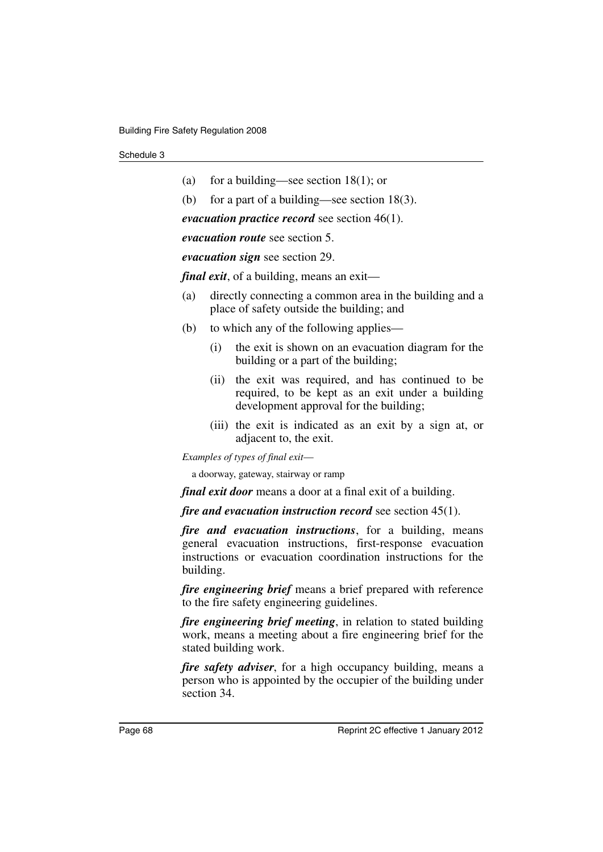| (a) | for a building—see section $18(1)$ ; or |  |
|-----|-----------------------------------------|--|
|     |                                         |  |

(b) for a part of a building—see section 18(3).

*evacuation practice record* see section 46(1).

*evacuation route* see section 5.

*evacuation sign* see section 29.

*final exit*, of a building, means an exit—

- (a) directly connecting a common area in the building and a place of safety outside the building; and
- (b) to which any of the following applies—
	- (i) the exit is shown on an evacuation diagram for the building or a part of the building;
	- (ii) the exit was required, and has continued to be required, to be kept as an exit under a building development approval for the building;
	- (iii) the exit is indicated as an exit by a sign at, or adjacent to, the exit.

*Examples of types of final exit*—

a doorway, gateway, stairway or ramp

*final exit door* means a door at a final exit of a building.

*fire and evacuation instruction record* see section 45(1).

*fire and evacuation instructions*, for a building, means general evacuation instructions, first-response evacuation instructions or evacuation coordination instructions for the building.

*fire engineering brief* means a brief prepared with reference to the fire safety engineering guidelines.

*fire engineering brief meeting*, in relation to stated building work, means a meeting about a fire engineering brief for the stated building work.

*fire safety adviser*, for a high occupancy building, means a person who is appointed by the occupier of the building under section 34.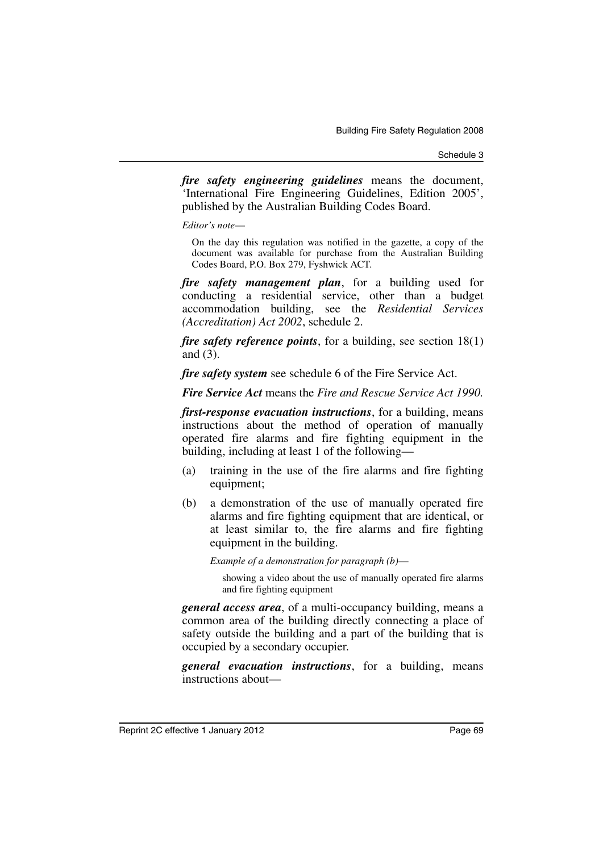Schedule 3

*fire safety engineering guidelines* means the document, 'International Fire Engineering Guidelines, Edition 2005', published by the Australian Building Codes Board.

*Editor's note*—

On the day this regulation was notified in the gazette, a copy of the document was available for purchase from the Australian Building Codes Board, P.O. Box 279, Fyshwick ACT.

*fire safety management plan*, for a building used for conducting a residential service, other than a budget accommodation building, see the *Residential Services (Accreditation) Act 2002*, schedule 2.

*fire safety reference points*, for a building, see section 18(1) and (3).

*fire safety system* see schedule 6 of the Fire Service Act.

*Fire Service Act* means the *Fire and Rescue Service Act 1990.*

*first-response evacuation instructions*, for a building, means instructions about the method of operation of manually operated fire alarms and fire fighting equipment in the building, including at least 1 of the following—

- (a) training in the use of the fire alarms and fire fighting equipment;
- (b) a demonstration of the use of manually operated fire alarms and fire fighting equipment that are identical, or at least similar to, the fire alarms and fire fighting equipment in the building.

*Example of a demonstration for paragraph (b)*—

showing a video about the use of manually operated fire alarms and fire fighting equipment

*general access area*, of a multi-occupancy building, means a common area of the building directly connecting a place of safety outside the building and a part of the building that is occupied by a secondary occupier.

*general evacuation instructions*, for a building, means instructions about—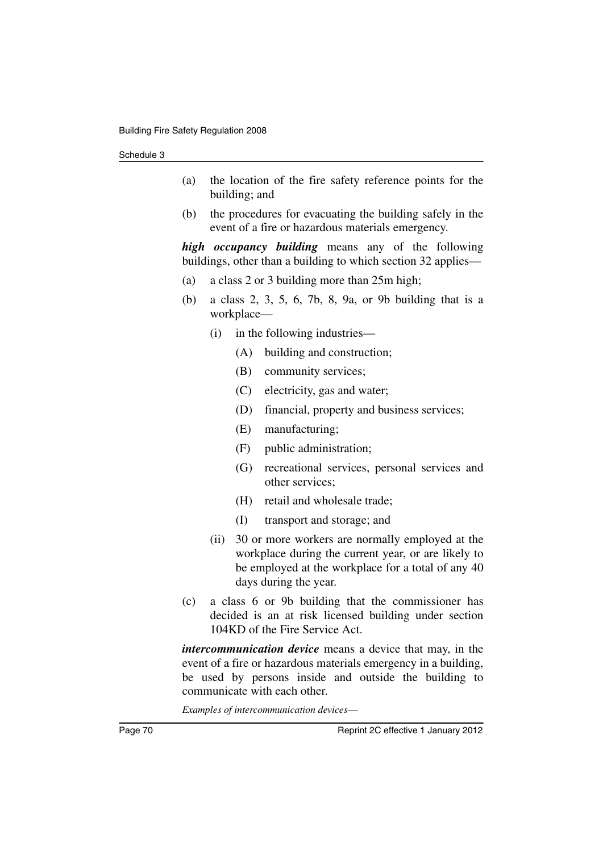- (a) the location of the fire safety reference points for the building; and
- (b) the procedures for evacuating the building safely in the event of a fire or hazardous materials emergency.

*high occupancy building* means any of the following buildings, other than a building to which section 32 applies—

- (a) a class 2 or 3 building more than 25m high;
- (b) a class 2, 3, 5, 6, 7b, 8, 9a, or 9b building that is a workplace—
	- (i) in the following industries—
		- (A) building and construction;
		- (B) community services;
		- (C) electricity, gas and water;
		- (D) financial, property and business services;
		- (E) manufacturing;
		- (F) public administration;
		- (G) recreational services, personal services and other services;
		- (H) retail and wholesale trade;
		- (I) transport and storage; and
	- (ii) 30 or more workers are normally employed at the workplace during the current year, or are likely to be employed at the workplace for a total of any 40 days during the year.
- (c) a class 6 or 9b building that the commissioner has decided is an at risk licensed building under section 104KD of the Fire Service Act.

*intercommunication device* means a device that may, in the event of a fire or hazardous materials emergency in a building, be used by persons inside and outside the building to communicate with each other.

*Examples of intercommunication devices*—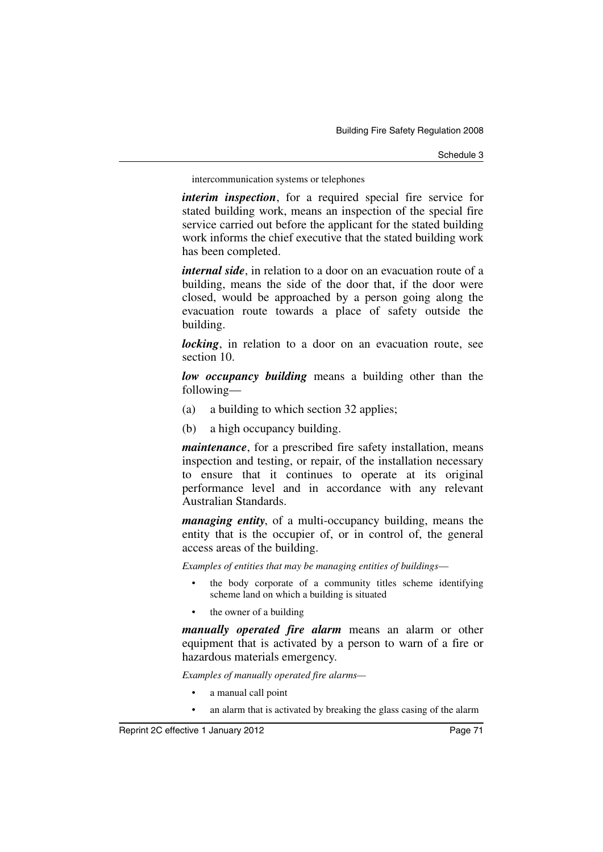Schedule 3

intercommunication systems or telephones

*interim inspection*, for a required special fire service for stated building work, means an inspection of the special fire service carried out before the applicant for the stated building work informs the chief executive that the stated building work has been completed.

*internal side*, in relation to a door on an evacuation route of a building, means the side of the door that, if the door were closed, would be approached by a person going along the evacuation route towards a place of safety outside the building.

*locking*, in relation to a door on an evacuation route, see section 10.

*low occupancy building* means a building other than the following—

- (a) a building to which section 32 applies;
- (b) a high occupancy building.

*maintenance*, for a prescribed fire safety installation, means inspection and testing, or repair, of the installation necessary to ensure that it continues to operate at its original performance level and in accordance with any relevant Australian Standards.

*managing entity*, of a multi-occupancy building, means the entity that is the occupier of, or in control of, the general access areas of the building.

*Examples of entities that may be managing entities of buildings*—

- the body corporate of a community titles scheme identifying scheme land on which a building is situated
- the owner of a building

*manually operated fire alarm* means an alarm or other equipment that is activated by a person to warn of a fire or hazardous materials emergency.

*Examples of manually operated fire alarms—*

- a manual call point
- an alarm that is activated by breaking the glass casing of the alarm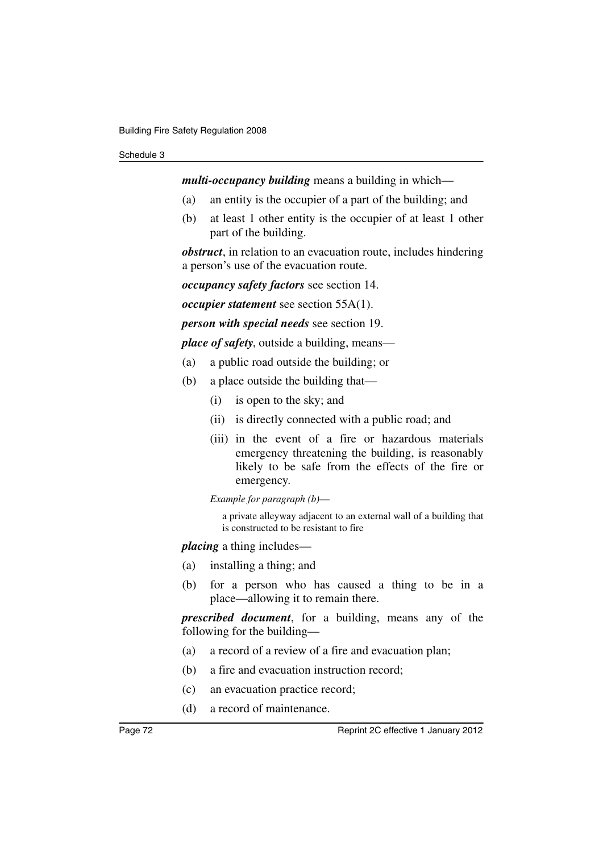## Schedule 3

*multi-occupancy building* means a building in which—

- (a) an entity is the occupier of a part of the building; and
- (b) at least 1 other entity is the occupier of at least 1 other part of the building.

*obstruct*, in relation to an evacuation route, includes hindering a person's use of the evacuation route.

*occupancy safety factors* see section 14.

*occupier statement* see section 55A(1).

*person with special needs* see section 19.

*place of safety*, outside a building, means—

- (a) a public road outside the building; or
- (b) a place outside the building that—
	- (i) is open to the sky; and
	- (ii) is directly connected with a public road; and
	- (iii) in the event of a fire or hazardous materials emergency threatening the building, is reasonably likely to be safe from the effects of the fire or emergency.

*Example for paragraph (b)*—

a private alleyway adjacent to an external wall of a building that is constructed to be resistant to fire

*placing* a thing includes—

- (a) installing a thing; and
- (b) for a person who has caused a thing to be in a place—allowing it to remain there.

*prescribed document*, for a building, means any of the following for the building—

- (a) a record of a review of a fire and evacuation plan;
- (b) a fire and evacuation instruction record;
- (c) an evacuation practice record;
- (d) a record of maintenance.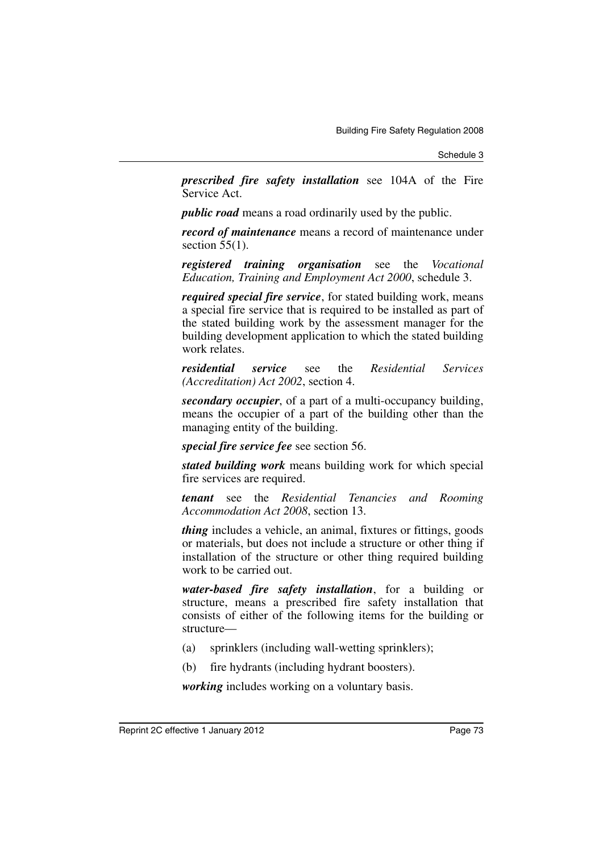*prescribed fire safety installation* see 104A of the Fire Service Act.

*public road* means a road ordinarily used by the public.

*record of maintenance* means a record of maintenance under section  $55(1)$ .

*registered training organisation* see the *Vocational Education, Training and Employment Act 2000*, schedule 3.

*required special fire service*, for stated building work, means a special fire service that is required to be installed as part of the stated building work by the assessment manager for the building development application to which the stated building work relates.

*residential service* see the *Residential Services (Accreditation) Act 2002*, section 4.

*secondary occupier*, of a part of a multi-occupancy building, means the occupier of a part of the building other than the managing entity of the building.

*special fire service fee* see section 56.

*stated building work* means building work for which special fire services are required.

*tenant* see the *Residential Tenancies and Rooming Accommodation Act 2008*, section 13.

*thing* includes a vehicle, an animal, fixtures or fittings, goods or materials, but does not include a structure or other thing if installation of the structure or other thing required building work to be carried out.

*water-based fire safety installation*, for a building or structure, means a prescribed fire safety installation that consists of either of the following items for the building or structure—

- (a) sprinklers (including wall-wetting sprinklers);
- (b) fire hydrants (including hydrant boosters).

*working* includes working on a voluntary basis.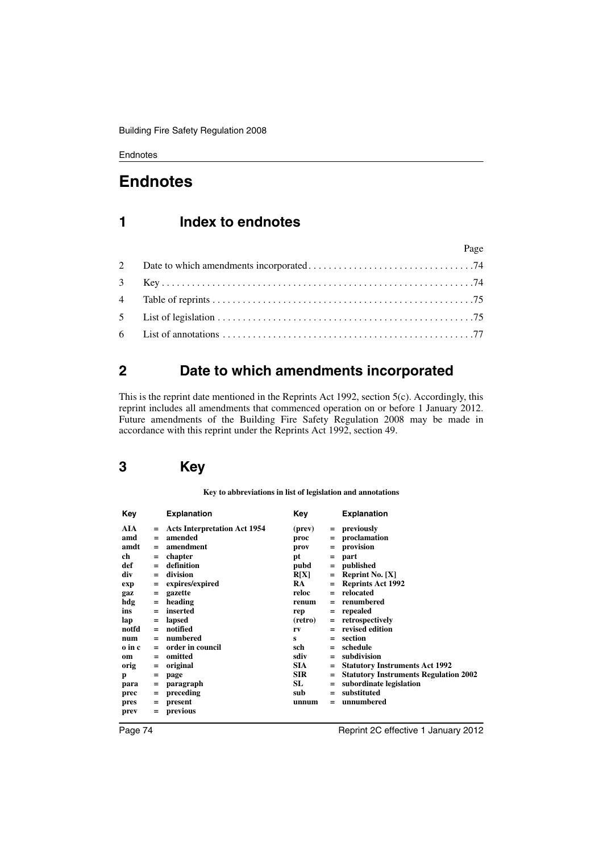# **Endnotes**

# **1 Index to endnotes**

|  | Page |
|--|------|
|  |      |
|  |      |
|  |      |
|  |      |
|  |      |

## <span id="page-75-0"></span>**2 Date to which amendments incorporated**

This is the reprint date mentioned in the Reprints Act 1992, section 5(c). Accordingly, this reprint includes all amendments that commenced operation on or before 1 January 2012. Future amendments of the Building Fire Safety Regulation 2008 may be made in accordance with this reprint under the Reprints Act 1992, section 49.

# <span id="page-75-1"></span>**3 Key**

**Key to abbreviations in list of legislation and annotations**

| Key    |     | <b>Explanation</b>                  | Kev        |     | <b>Explanation</b>                           |
|--------|-----|-------------------------------------|------------|-----|----------------------------------------------|
| AIA    | Ξ   | <b>Acts Interpretation Act 1954</b> | (prev)     |     | $=$ previously                               |
| amd    | $=$ | amended                             | proc       | $=$ | proclamation                                 |
| amdt   | $=$ | amendment                           | prov       | $=$ | provision                                    |
| ch     | Ξ   | chapter                             | pt         | $=$ | part                                         |
| def    | $=$ | definition                          | pubd       | $=$ | published                                    |
| div    | $=$ | division                            | R[X]       | $=$ | <b>Reprint No.</b> $[X]$                     |
| exp    | Ξ   | expires/expired                     | RA.        | $=$ | <b>Reprints Act 1992</b>                     |
| gaz    | Ξ   | gazette                             | reloc      | $=$ | relocated                                    |
| hdg    | $=$ | heading                             | renum      |     | renumbered                                   |
| ins    | $=$ | inserted                            | rep        | $=$ | repealed                                     |
| lap    | $=$ | lapsed                              | (retro)    | $=$ | retrospectively                              |
| notfd  | $=$ | notified                            | rv         |     | revised edition                              |
| num    | $=$ | numbered                            | s          | $=$ | section                                      |
| o in c | $=$ | order in council                    | sch        |     | schedule                                     |
| om     | $=$ | omitted                             | sdiv       | $=$ | subdivision                                  |
| orig   | $=$ | original                            | <b>SIA</b> |     | <b>Statutory Instruments Act 1992</b>        |
| p      | $=$ | page                                | <b>SIR</b> |     | <b>Statutory Instruments Regulation 2002</b> |
| para   | $=$ | paragraph                           | SL         | $=$ | subordinate legislation                      |
| prec   | $=$ | preceding                           | sub        | $=$ | substituted                                  |
| pres   | $=$ | present                             | unnum      |     | unnumbered                                   |
| prev   | $=$ | previous                            |            |     |                                              |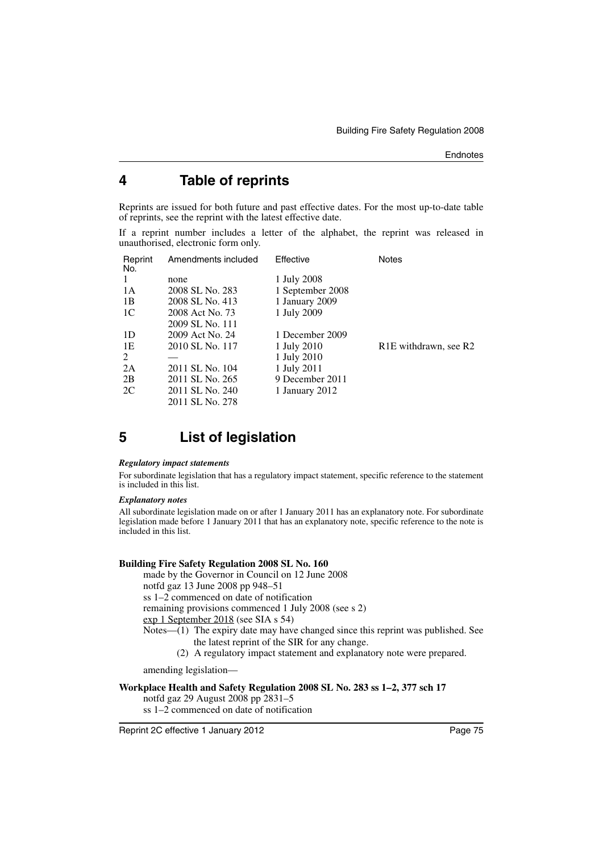## <span id="page-76-0"></span>**4 Table of reprints**

Reprints are issued for both future and past effective dates. For the most up-to-date table of reprints, see the reprint with the latest effective date.

If a reprint number includes a letter of the alphabet, the reprint was released in unauthorised, electronic form only.

| Reprint<br>No. | Amendments included | Effective        | <b>Notes</b>                                   |
|----------------|---------------------|------------------|------------------------------------------------|
| -1             | none                | 1 July 2008      |                                                |
| 1 A            | 2008 SL No. 283     | 1 September 2008 |                                                |
| 1B             | 2008 SL No. 413     | 1 January 2009   |                                                |
| 1C             | 2008 Act No. 73     | 1 July 2009      |                                                |
|                | 2009 SL No. 111     |                  |                                                |
| 1D             | 2009 Act No. 24     | 1 December 2009  |                                                |
| 1E             | 2010 SL No. 117     | 1 July 2010      | R <sub>1</sub> E withdrawn, see R <sub>2</sub> |
| 2              |                     | 1 July 2010      |                                                |
| 2A             | 2011 SL No. 104     | 1 July 2011      |                                                |
| 2B             | 2011 SL No. 265     | 9 December 2011  |                                                |
| 2C             | 2011 SL No. 240     | 1 January 2012   |                                                |
|                | 2011 SL No. 278     |                  |                                                |

# <span id="page-76-1"></span>**5 List of legislation**

#### *Regulatory impact statements*

For subordinate legislation that has a regulatory impact statement, specific reference to the statement is included in this list.

#### *Explanatory notes*

All subordinate legislation made on or after 1 January 2011 has an explanatory note. For subordinate legislation made before 1 January 2011 that has an explanatory note, specific reference to the note is included in this list.

## **Building Fire Safety Regulation 2008 SL No. 160**

made by the Governor in Council on 12 June 2008

notfd gaz 13 June 2008 pp 948–51

ss 1–2 commenced on date of notification

remaining provisions commenced 1 July 2008 (see s 2)

exp 1 September 2018 (see SIA s 54)

- Notes—(1) The expiry date may have changed since this reprint was published. See the latest reprint of the SIR for any change.
	- (2) A regulatory impact statement and explanatory note were prepared.

amending legislation—

## **Workplace Health and Safety Regulation 2008 SL No. 283 ss 1–2, 377 sch 17**

notfd gaz 29 August 2008 pp 2831–5

ss 1–2 commenced on date of notification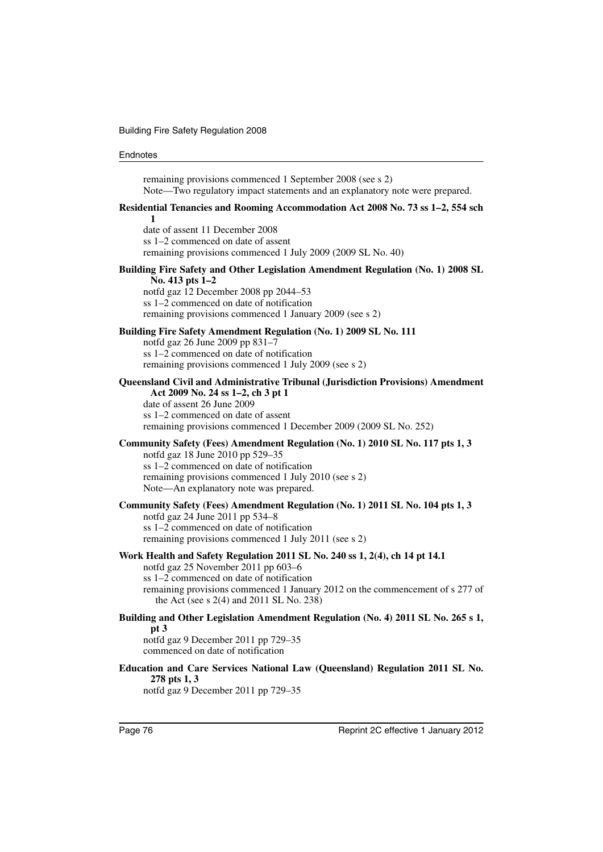| remaining provisions commenced 1 September 2008 (see s 2)<br>Note—Two regulatory impact statements and an explanatory note were prepared.                                                                                                                                                     |
|-----------------------------------------------------------------------------------------------------------------------------------------------------------------------------------------------------------------------------------------------------------------------------------------------|
| Residential Tenancies and Rooming Accommodation Act 2008 No. 73 ss 1–2, 554 sch<br>1                                                                                                                                                                                                          |
| date of assent 11 December 2008<br>ss 1–2 commenced on date of assent<br>remaining provisions commenced 1 July 2009 (2009 SL No. 40)                                                                                                                                                          |
| Building Fire Safety and Other Legislation Amendment Regulation (No. 1) 2008 SL<br>No. 413 pts 1-2                                                                                                                                                                                            |
| notfd gaz 12 December 2008 pp 2044-53<br>ss 1–2 commenced on date of notification<br>remaining provisions commenced 1 January 2009 (see s 2)                                                                                                                                                  |
| Building Fire Safety Amendment Regulation (No. 1) 2009 SL No. 111<br>notfd gaz 26 June 2009 pp 831-7                                                                                                                                                                                          |
| ss 1–2 commenced on date of notification<br>remaining provisions commenced 1 July 2009 (see s 2)                                                                                                                                                                                              |
| Queensland Civil and Administrative Tribunal (Jurisdiction Provisions) Amendment<br>Act 2009 No. 24 ss 1–2, ch 3 pt 1<br>date of assent 26 June 2009<br>ss 1–2 commenced on date of assent<br>remaining provisions commenced 1 December 2009 (2009 SL No. 252)                                |
| Community Safety (Fees) Amendment Regulation (No. 1) 2010 SL No. 117 pts 1, 3<br>notfd gaz 18 June 2010 pp 529-35<br>ss 1-2 commenced on date of notification<br>remaining provisions commenced 1 July 2010 (see s 2)<br>Note—An explanatory note was prepared.                               |
| Community Safety (Fees) Amendment Regulation (No. 1) 2011 SL No. 104 pts 1, 3<br>notfd gaz 24 June 2011 pp 534-8                                                                                                                                                                              |
| ss 1–2 commenced on date of notification<br>remaining provisions commenced 1 July 2011 (see s 2)                                                                                                                                                                                              |
| Work Health and Safety Regulation 2011 SL No. 240 ss 1, 2(4), ch 14 pt 14.1<br>notfd gaz 25 November 2011 pp 603-6<br>ss 1-2 commenced on date of notification<br>remaining provisions commenced 1 January 2012 on the commencement of s 277 of<br>the Act (see $s$ 2(4) and 2011 SL No. 238) |
| Building and Other Legislation Amendment Regulation (No. 4) 2011 SL No. 265 s 1,<br>pt 3                                                                                                                                                                                                      |
| notfd gaz 9 December 2011 pp 729-35<br>commenced on date of notification                                                                                                                                                                                                                      |
| Education and Care Services National Law (Queensland) Regulation 2011 SL No.<br>278 pts 1, 3<br>notfd gaz 9 December 2011 pp 729-35                                                                                                                                                           |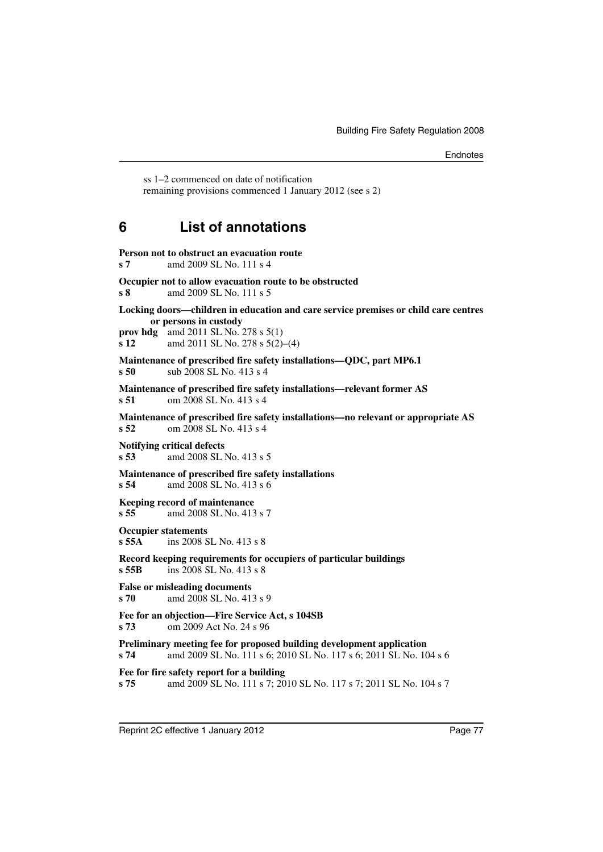ss 1–2 commenced on date of notification remaining provisions commenced 1 January 2012 (see s 2)

## <span id="page-78-0"></span>**6 List of annotations**

| s <sub>7</sub>                      | Person not to obstruct an evacuation route<br>amd 2009 SL No. 111 s 4                                                                      |
|-------------------------------------|--------------------------------------------------------------------------------------------------------------------------------------------|
| s <sub>8</sub>                      | Occupier not to allow evacuation route to be obstructed<br>amd 2009 SL No. 111 s 5                                                         |
|                                     | Locking doors—children in education and care service premises or child care centres<br>or persons in custody                               |
| prov hdg<br>s <sub>12</sub>         | amd 2011 SL No. 278 s 5(1)<br>amd 2011 SL No. 278 s 5(2)-(4)                                                                               |
| s50                                 | Maintenance of prescribed fire safety installations—QDC, part MP6.1<br>sub 2008 SL No. 413 s 4                                             |
| s <sub>51</sub>                     | Maintenance of prescribed fire safety installations-relevant former AS<br>om 2008 SL No. 413 s 4                                           |
| s <sub>52</sub>                     | Maintenance of prescribed fire safety installations-no relevant or appropriate AS<br>om 2008 SL No. 413 s 4                                |
| s <sub>53</sub>                     | <b>Notifying critical defects</b><br>amd 2008 SL No. 413 s 5                                                                               |
| s 54                                | Maintenance of prescribed fire safety installations<br>amd 2008 SL No. 413 s 6                                                             |
| s55                                 | <b>Keeping record of maintenance</b><br>amd 2008 SL No. 413 s 7                                                                            |
| <b>Occupier statements</b><br>s 55A | ins 2008 SL No. 413 s 8                                                                                                                    |
| $s$ 55 $B$                          | Record keeping requirements for occupiers of particular buildings<br>ins 2008 SL No. 413 s 8                                               |
| s 70                                | <b>False or misleading documents</b><br>amd 2008 SL No. 413 s 9                                                                            |
| s 73                                | Fee for an objection—Fire Service Act, s 104SB<br>om 2009 Act No. 24 s 96                                                                  |
| s 74                                | Preliminary meeting fee for proposed building development application<br>amd 2009 SL No. 111 s 6; 2010 SL No. 117 s 6; 2011 SL No. 104 s 6 |
| s 75                                | Fee for fire safety report for a building<br>amd 2009 SL No. 111 s 7; 2010 SL No. 117 s 7; 2011 SL No. 104 s 7                             |